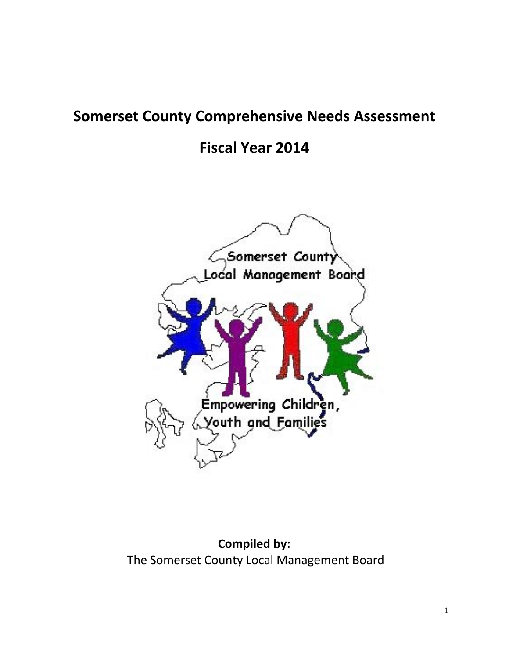# **Somerset County Comprehensive Needs Assessment**

**Fiscal Year 2014**



**Compiled by:** The Somerset County Local Management Board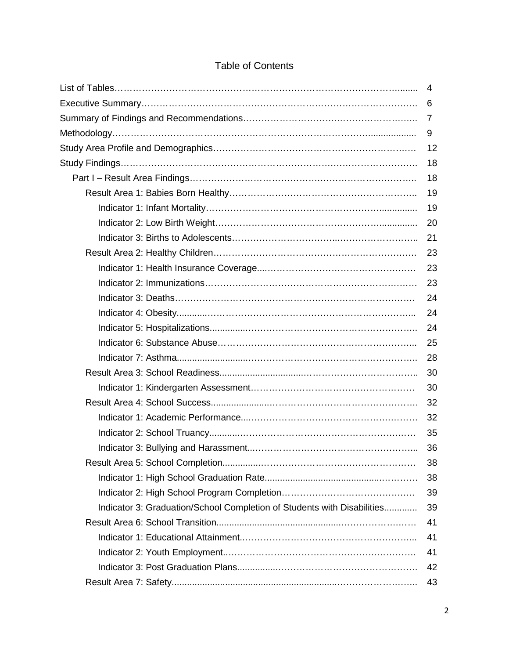|                                                                         | 4              |
|-------------------------------------------------------------------------|----------------|
|                                                                         | 6              |
|                                                                         | $\overline{7}$ |
|                                                                         | 9              |
|                                                                         | 12             |
|                                                                         | 18             |
|                                                                         | 18             |
|                                                                         | 19             |
|                                                                         | 19             |
|                                                                         | 20             |
|                                                                         | 21             |
|                                                                         | 23             |
|                                                                         | 23             |
|                                                                         | 23             |
|                                                                         | 24             |
|                                                                         | 24             |
|                                                                         | 24             |
|                                                                         | 25             |
|                                                                         | 28             |
|                                                                         | 30             |
|                                                                         | 30             |
|                                                                         | 32             |
|                                                                         | 32             |
|                                                                         | 35             |
|                                                                         | 36             |
|                                                                         | 38             |
|                                                                         | 38             |
|                                                                         | 39             |
| Indicator 3: Graduation/School Completion of Students with Disabilities | 39             |
|                                                                         | 41             |
|                                                                         | 41             |
|                                                                         | 41             |
|                                                                         | 42             |
|                                                                         | 43             |

# Table of Contents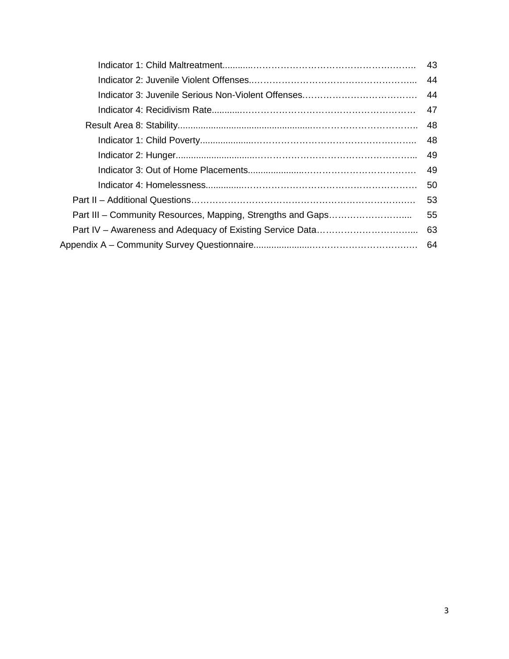|                                                             | 43  |
|-------------------------------------------------------------|-----|
|                                                             | 44  |
|                                                             | 44  |
|                                                             | 47  |
|                                                             | 48  |
|                                                             | 48  |
|                                                             | 49  |
|                                                             | 49  |
|                                                             | 50  |
|                                                             | 53  |
| Part III – Community Resources, Mapping, Strengths and Gaps | 55  |
|                                                             | 63  |
|                                                             | -64 |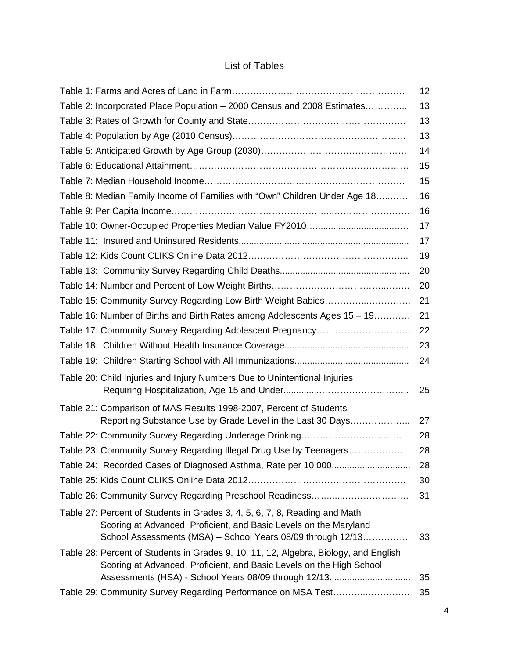# List of Tables

| 12 |
|----|
| 13 |
| 13 |
| 13 |
| 14 |
| 15 |
| 15 |
| 16 |
| 16 |
| 17 |
| 17 |
| 19 |
| 20 |
| 20 |
| 21 |
| 21 |
| 22 |
| 23 |
| 24 |
| 25 |
|    |
| 27 |
| 28 |
| 28 |
| 28 |
| 30 |
| 31 |
| 33 |
| 35 |
| 35 |
|    |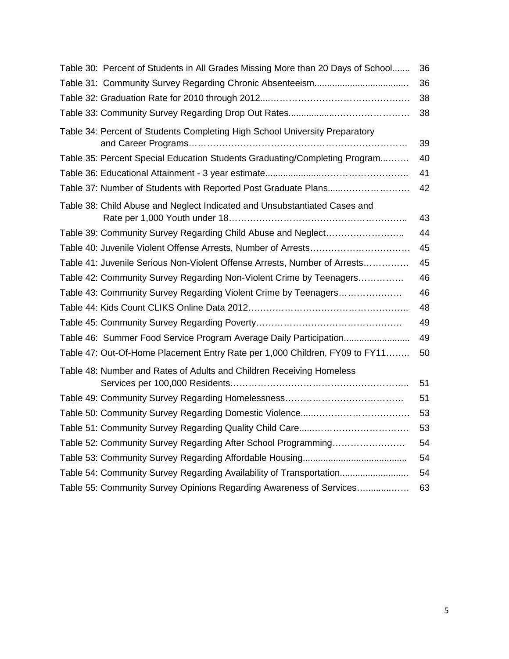| Table 30: Percent of Students in All Grades Missing More than 20 Days of School | 36 |
|---------------------------------------------------------------------------------|----|
|                                                                                 | 36 |
|                                                                                 | 38 |
|                                                                                 | 38 |
| Table 34: Percent of Students Completing High School University Preparatory     | 39 |
| Table 35: Percent Special Education Students Graduating/Completing Program      | 40 |
|                                                                                 | 41 |
| Table 37: Number of Students with Reported Post Graduate Plans                  | 42 |
| Table 38: Child Abuse and Neglect Indicated and Unsubstantiated Cases and       | 43 |
| Table 39: Community Survey Regarding Child Abuse and Neglect                    | 44 |
|                                                                                 | 45 |
| Table 41: Juvenile Serious Non-Violent Offense Arrests, Number of Arrests       | 45 |
| Table 42: Community Survey Regarding Non-Violent Crime by Teenagers             | 46 |
| Table 43: Community Survey Regarding Violent Crime by Teenagers                 | 46 |
|                                                                                 | 48 |
|                                                                                 | 49 |
| Table 46: Summer Food Service Program Average Daily Participation               | 49 |
| Table 47: Out-Of-Home Placement Entry Rate per 1,000 Children, FY09 to FY11     | 50 |
| Table 48: Number and Rates of Adults and Children Receiving Homeless            | 51 |
|                                                                                 | 51 |
|                                                                                 | 53 |
|                                                                                 | 53 |
| Table 52: Community Survey Regarding After School Programming                   | 54 |
|                                                                                 | 54 |
| Table 54: Community Survey Regarding Availability of Transportation             | 54 |
| Table 55: Community Survey Opinions Regarding Awareness of Services             | 63 |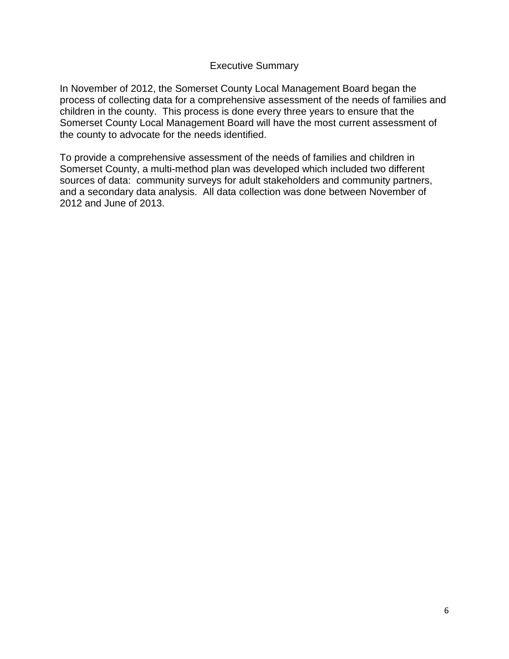#### Executive Summary

In November of 2012, the Somerset County Local Management Board began the process of collecting data for a comprehensive assessment of the needs of families and children in the county. This process is done every three years to ensure that the Somerset County Local Management Board will have the most current assessment of the county to advocate for the needs identified.

To provide a comprehensive assessment of the needs of families and children in Somerset County, a multi-method plan was developed which included two different sources of data: community surveys for adult stakeholders and community partners, and a secondary data analysis. All data collection was done between November of 2012 and June of 2013.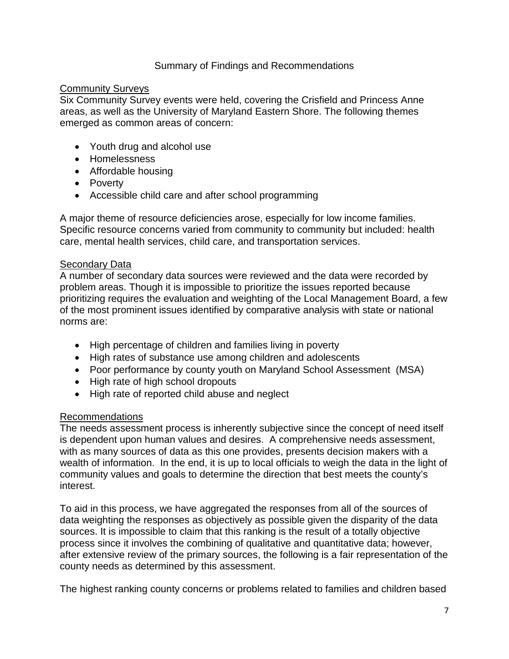### Summary of Findings and Recommendations

#### Community Surveys

Six Community Survey events were held, covering the Crisfield and Princess Anne areas, as well as the University of Maryland Eastern Shore. The following themes emerged as common areas of concern:

- Youth drug and alcohol use
- Homelessness
- Affordable housing
- Poverty
- Accessible child care and after school programming

A major theme of resource deficiencies arose, especially for low income families. Specific resource concerns varied from community to community but included: health care, mental health services, child care, and transportation services.

### Secondary Data

A number of secondary data sources were reviewed and the data were recorded by problem areas. Though it is impossible to prioritize the issues reported because prioritizing requires the evaluation and weighting of the Local Management Board, a few of the most prominent issues identified by comparative analysis with state or national norms are:

- High percentage of children and families living in poverty
- High rates of substance use among children and adolescents
- Poor performance by county youth on Maryland School Assessment (MSA)
- High rate of high school dropouts
- High rate of reported child abuse and neglect

### Recommendations

The needs assessment process is inherently subjective since the concept of need itself is dependent upon human values and desires. A comprehensive needs assessment, with as many sources of data as this one provides, presents decision makers with a wealth of information. In the end, it is up to local officials to weigh the data in the light of community values and goals to determine the direction that best meets the county's interest.

To aid in this process, we have aggregated the responses from all of the sources of data weighting the responses as objectively as possible given the disparity of the data sources. It is impossible to claim that this ranking is the result of a totally objective process since it involves the combining of qualitative and quantitative data; however, after extensive review of the primary sources, the following is a fair representation of the county needs as determined by this assessment.

The highest ranking county concerns or problems related to families and children based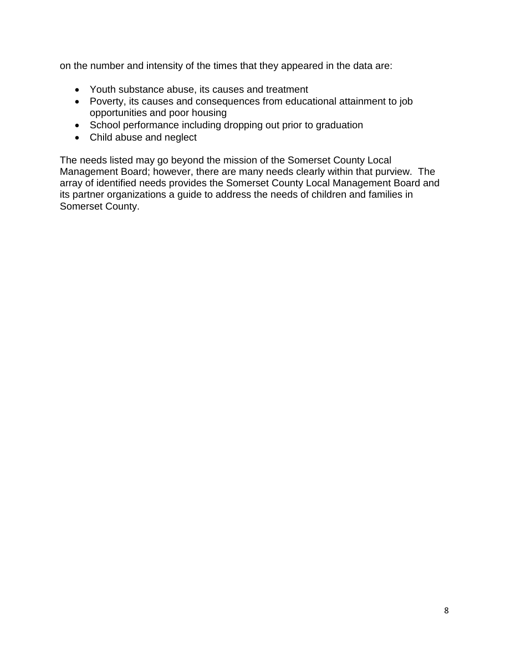on the number and intensity of the times that they appeared in the data are:

- Youth substance abuse, its causes and treatment
- Poverty, its causes and consequences from educational attainment to job opportunities and poor housing
- School performance including dropping out prior to graduation
- Child abuse and neglect

The needs listed may go beyond the mission of the Somerset County Local Management Board; however, there are many needs clearly within that purview. The array of identified needs provides the Somerset County Local Management Board and its partner organizations a guide to address the needs of children and families in Somerset County.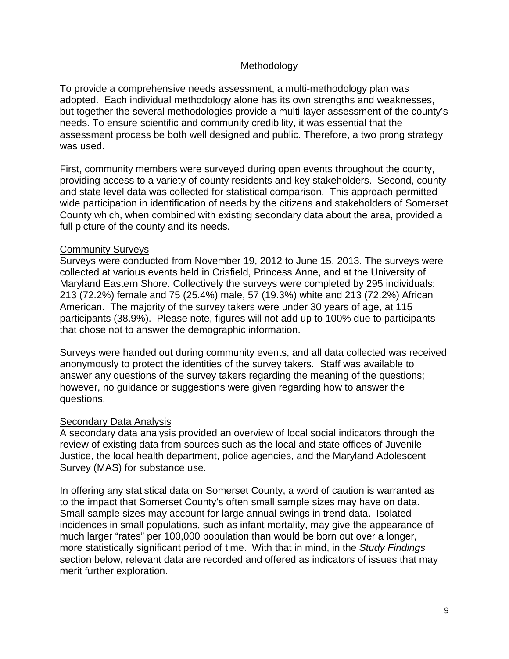### Methodology

To provide a comprehensive needs assessment, a multi-methodology plan was adopted. Each individual methodology alone has its own strengths and weaknesses, but together the several methodologies provide a multi-layer assessment of the county's needs. To ensure scientific and community credibility, it was essential that the assessment process be both well designed and public. Therefore, a two prong strategy was used.

First, community members were surveyed during open events throughout the county, providing access to a variety of county residents and key stakeholders. Second, county and state level data was collected for statistical comparison. This approach permitted wide participation in identification of needs by the citizens and stakeholders of Somerset County which, when combined with existing secondary data about the area, provided a full picture of the county and its needs.

### Community Surveys

Surveys were conducted from November 19, 2012 to June 15, 2013. The surveys were collected at various events held in Crisfield, Princess Anne, and at the University of Maryland Eastern Shore. Collectively the surveys were completed by 295 individuals: 213 (72.2%) female and 75 (25.4%) male, 57 (19.3%) white and 213 (72.2%) African American. The majority of the survey takers were under 30 years of age, at 115 participants (38.9%). Please note, figures will not add up to 100% due to participants that chose not to answer the demographic information.

Surveys were handed out during community events, and all data collected was received anonymously to protect the identities of the survey takers. Staff was available to answer any questions of the survey takers regarding the meaning of the questions; however, no guidance or suggestions were given regarding how to answer the questions.

### Secondary Data Analysis

A secondary data analysis provided an overview of local social indicators through the review of existing data from sources such as the local and state offices of Juvenile Justice, the local health department, police agencies, and the Maryland Adolescent Survey (MAS) for substance use.

In offering any statistical data on Somerset County, a word of caution is warranted as to the impact that Somerset County's often small sample sizes may have on data. Small sample sizes may account for large annual swings in trend data. Isolated incidences in small populations, such as infant mortality, may give the appearance of much larger "rates" per 100,000 population than would be born out over a longer, more statistically significant period of time. With that in mind, in the *Study Findings* section below, relevant data are recorded and offered as indicators of issues that may merit further exploration.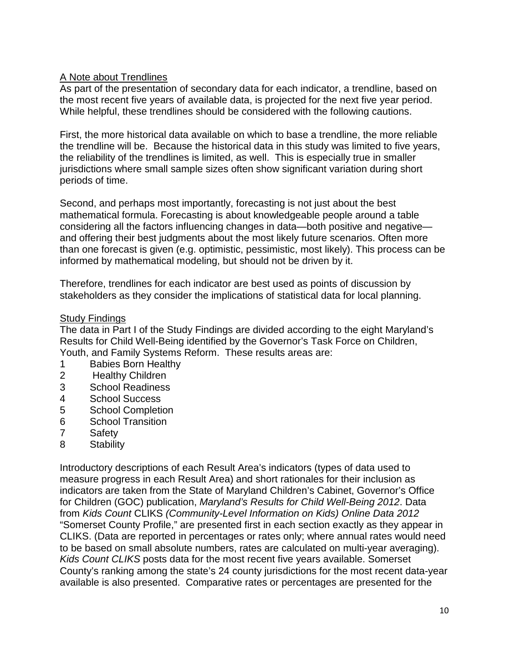### A Note about Trendlines

As part of the presentation of secondary data for each indicator, a trendline, based on the most recent five years of available data, is projected for the next five year period. While helpful, these trendlines should be considered with the following cautions.

First, the more historical data available on which to base a trendline, the more reliable the trendline will be. Because the historical data in this study was limited to five years, the reliability of the trendlines is limited, as well. This is especially true in smaller jurisdictions where small sample sizes often show significant variation during short periods of time.

Second, and perhaps most importantly, forecasting is not just about the best mathematical formula. Forecasting is about knowledgeable people around a table considering all the factors influencing changes in data—both positive and negative and offering their best judgments about the most likely future scenarios. Often more than one forecast is given (e.g. optimistic, pessimistic, most likely). This process can be informed by mathematical modeling, but should not be driven by it.

Therefore, trendlines for each indicator are best used as points of discussion by stakeholders as they consider the implications of statistical data for local planning.

### **Study Findings**

The data in Part I of the Study Findings are divided according to the eight Maryland's Results for Child Well-Being identified by the Governor's Task Force on Children, Youth, and Family Systems Reform. These results areas are:

- 1 Babies Born Healthy<br>2 Healthy Children
- Healthy Children
- 3 School Readiness
- 4 School Success
- 5 School Completion
- 6 School Transition
- 7 Safety
- 8 Stability

Introductory descriptions of each Result Area's indicators (types of data used to measure progress in each Result Area) and short rationales for their inclusion as indicators are taken from the State of Maryland Children's Cabinet, Governor's Office for Children (GOC) publication, *Maryland's Results for Child Well-Being 2012*. Data from *Kids Count* CLIKS *(Community-Level Information on Kids) Online Data 2012* "Somerset County Profile," are presented first in each section exactly as they appear in CLIKS. (Data are reported in percentages or rates only; where annual rates would need to be based on small absolute numbers, rates are calculated on multi-year averaging). *Kids Count CLIKS* posts data for the most recent five years available. Somerset County's ranking among the state's 24 county jurisdictions for the most recent data-year available is also presented. Comparative rates or percentages are presented for the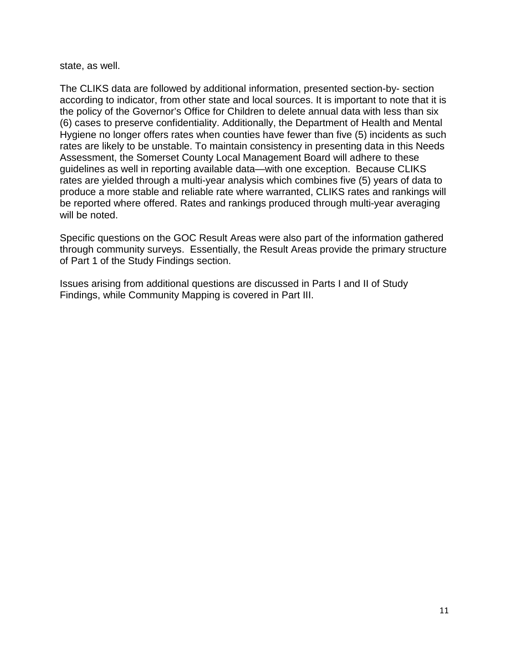state, as well.

The CLIKS data are followed by additional information, presented section-by- section according to indicator, from other state and local sources. It is important to note that it is the policy of the Governor's Office for Children to delete annual data with less than six (6) cases to preserve confidentiality. Additionally, the Department of Health and Mental Hygiene no longer offers rates when counties have fewer than five (5) incidents as such rates are likely to be unstable. To maintain consistency in presenting data in this Needs Assessment, the Somerset County Local Management Board will adhere to these guidelines as well in reporting available data—with one exception. Because CLIKS rates are yielded through a multi-year analysis which combines five (5) years of data to produce a more stable and reliable rate where warranted, CLIKS rates and rankings will be reported where offered. Rates and rankings produced through multi-year averaging will be noted.

Specific questions on the GOC Result Areas were also part of the information gathered through community surveys. Essentially, the Result Areas provide the primary structure of Part 1 of the Study Findings section.

Issues arising from additional questions are discussed in Parts I and II of Study Findings, while Community Mapping is covered in Part III.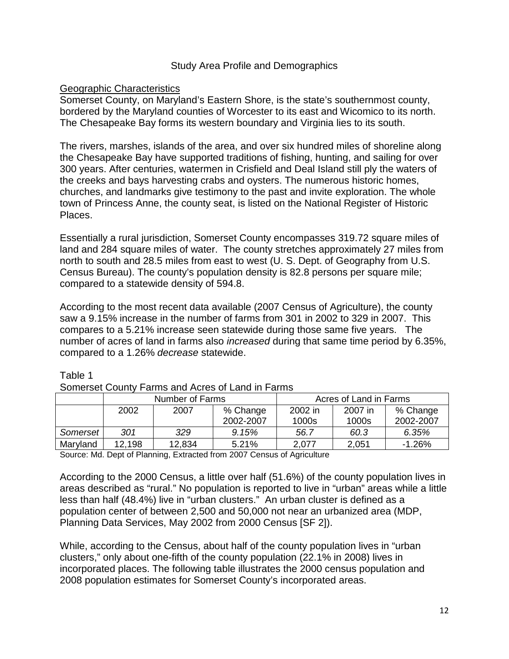### Study Area Profile and Demographics

### Geographic Characteristics

Somerset County, on Maryland's Eastern Shore, is the state's southernmost county, bordered by the Maryland counties of Worcester to its east and Wicomico to its north. The Chesapeake Bay forms its western boundary and Virginia lies to its south.

The rivers, marshes, islands of the area, and over six hundred miles of shoreline along the Chesapeake Bay have supported traditions of fishing, hunting, and sailing for over 300 years. After centuries, watermen in Crisfield and Deal Island still ply the waters of the creeks and bays harvesting crabs and oysters. The numerous historic homes, churches, and landmarks give testimony to the past and invite exploration. The whole town of Princess Anne, the county seat, is listed on the National Register of Historic Places.

Essentially a rural jurisdiction, Somerset County encompasses 319.72 square miles of land and 284 square miles of water. The county stretches approximately 27 miles from north to south and 28.5 miles from east to west (U. S. Dept. of Geography from U.S. Census Bureau). The county's population density is 82.8 persons per square mile; compared to a statewide density of 594.8.

According to the most recent data available (2007 Census of Agriculture), the county saw a 9.15% increase in the number of farms from 301 in 2002 to 329 in 2007. This compares to a 5.21% increase seen statewide during those same five years. The number of acres of land in farms also *increased* during that same time period by 6.35%, compared to a 1.26% *decrease* statewide.

| Somerset County Farms and Acres of Land in Farms                              |                                           |  |  |       |                       |          |
|-------------------------------------------------------------------------------|-------------------------------------------|--|--|-------|-----------------------|----------|
|                                                                               | Acres of Land in Farms<br>Number of Farms |  |  |       |                       |          |
| % Change<br>2002 in<br>2002<br>2007 in<br>2007<br>2002-2007<br>1000s<br>1000s |                                           |  |  |       | % Change<br>2002-2007 |          |
| 9.15%<br>Somerset<br>301<br>56.7<br>60.3<br>329                               |                                           |  |  | 6.35% |                       |          |
| Maryland<br>12,198<br>12,834<br>5.21%<br>2,051<br>2,077                       |                                           |  |  |       |                       | $-1.26%$ |

#### Table 1

Source: Md. Dept of Planning, Extracted from 2007 Census of Agriculture

According to the 2000 Census, a little over half (51.6%) of the county population lives in areas described as "rural." No population is reported to live in "urban" areas while a little less than half (48.4%) live in "urban clusters." An urban cluster is defined as a population center of between 2,500 and 50,000 not near an urbanized area (MDP, Planning Data Services, May 2002 from 2000 Census [SF 2]).

While, according to the Census, about half of the county population lives in "urban clusters," only about one-fifth of the county population (22.1% in 2008) lives in incorporated places. The following table illustrates the 2000 census population and 2008 population estimates for Somerset County's incorporated areas.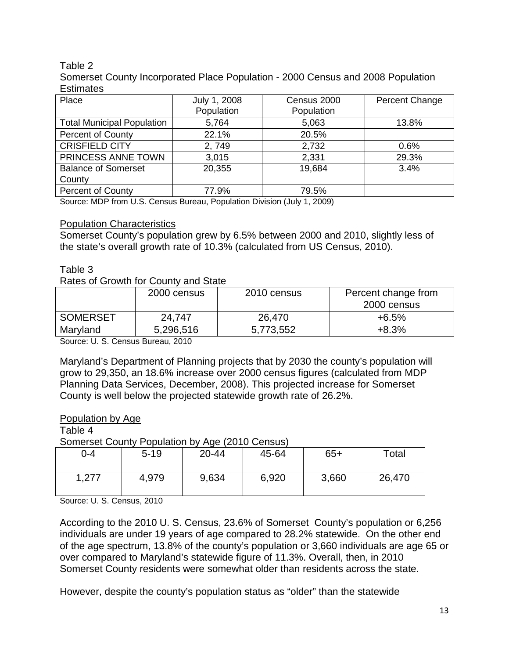### Table 2

Somerset County Incorporated Place Population - 2000 Census and 2008 Population **Estimates** 

| Place                             | July 1, 2008<br>Population | Census 2000<br>Population | Percent Change |
|-----------------------------------|----------------------------|---------------------------|----------------|
| <b>Total Municipal Population</b> | 5,764                      | 5,063                     | 13.8%          |
| Percent of County                 | 22.1%                      | 20.5%                     |                |
| <b>CRISFIELD CITY</b>             | 2,749                      | 2,732                     | 0.6%           |
| PRINCESS ANNE TOWN                | 3,015                      | 2,331                     | 29.3%          |
| <b>Balance of Somerset</b>        | 20,355                     | 19,684                    | 3.4%           |
| County                            |                            |                           |                |
| <b>Percent of County</b>          | 77.9%                      | 79.5%                     |                |

Source: MDP from U.S. Census Bureau, Population Division (July 1, 2009)

### **Population Characteristics**

Somerset County's population grew by 6.5% between 2000 and 2010, slightly less of the state's overall growth rate of 10.3% (calculated from US Census, 2010).

#### Table 3

Rates of Growth for County and State

|                                                | 2000 census    | 2010 census | Percent change from<br>2000 census |
|------------------------------------------------|----------------|-------------|------------------------------------|
| <b>SOMERSET</b>                                | 24.747         | 26,470      | $+6.5%$                            |
| Maryland                                       | 5,296,516      | 5,773,552   | $+8.3%$                            |
| $\sim$ $\sim$ $\sim$ $\sim$ $\sim$ $\sim$<br>. | $\sim$<br>---- |             |                                    |

Source: U. S. Census Bureau, 2010

Maryland's Department of Planning projects that by 2030 the county's population will grow to 29,350, an 18.6% increase over 2000 census figures (calculated from MDP Planning Data Services, December, 2008). This projected increase for Somerset County is well below the projected statewide growth rate of 26.2%.

#### Population by Age

Table 4

Somerset County Population by Age (2010 Census)

| 0-4       | $5 - 19$ | $\cdot$<br>20-44 | 45-64 | $65+$ | Total  |
|-----------|----------|------------------|-------|-------|--------|
| ,277<br>4 | 4,979    | 9,634            | 6,920 | 3,660 | 26,470 |

Source: U. S. Census, 2010

According to the 2010 U. S. Census, 23.6% of Somerset County's population or 6,256 individuals are under 19 years of age compared to 28.2% statewide. On the other end of the age spectrum, 13.8% of the county's population or 3,660 individuals are age 65 or over compared to Maryland's statewide figure of 11.3%. Overall, then, in 2010 Somerset County residents were somewhat older than residents across the state.

However, despite the county's population status as "older" than the statewide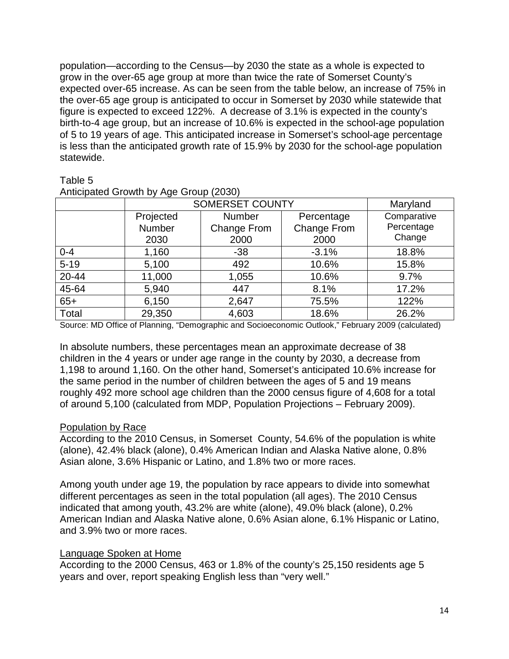population—according to the Census—by 2030 the state as a whole is expected to grow in the over-65 age group at more than twice the rate of Somerset County's expected over-65 increase. As can be seen from the table below, an increase of 75% in the over-65 age group is anticipated to occur in Somerset by 2030 while statewide that figure is expected to exceed 122%. A decrease of 3.1% is expected in the county's birth-to-4 age group, but an increase of 10.6% is expected in the school-age population of 5 to 19 years of age. This anticipated increase in Somerset's school-age percentage is less than the anticipated growth rate of 15.9% by 2030 for the school-age population statewide.

### Table 5

|           | , ,                    |                    |                    |             |  |  |  |
|-----------|------------------------|--------------------|--------------------|-------------|--|--|--|
|           | <b>SOMERSET COUNTY</b> |                    |                    | Maryland    |  |  |  |
|           | Projected              | <b>Number</b>      | Percentage         | Comparative |  |  |  |
|           | Number                 | <b>Change From</b> | <b>Change From</b> | Percentage  |  |  |  |
|           | 2030                   | 2000               | 2000               | Change      |  |  |  |
| $0 - 4$   | 1,160                  | $-38$              | $-3.1%$            | 18.8%       |  |  |  |
| $5 - 19$  | 5,100                  | 492                | 10.6%              | 15.8%       |  |  |  |
| $20 - 44$ | 11,000                 | 1,055              | 10.6%              | 9.7%        |  |  |  |
| 45-64     | 5,940                  | 447                | 8.1%               | 17.2%       |  |  |  |
| $65+$     | 6,150                  | 2,647              | 75.5%              | 122%        |  |  |  |
| Total     | 29,350                 | 4,603              | 18.6%              | 26.2%       |  |  |  |
|           |                        |                    |                    |             |  |  |  |

Anticipated Growth by Age Group (2030)

Source: MD Office of Planning, "Demographic and Socioeconomic Outlook," February 2009 (calculated)

In absolute numbers, these percentages mean an approximate decrease of 38 children in the 4 years or under age range in the county by 2030, a decrease from 1,198 to around 1,160. On the other hand, Somerset's anticipated 10.6% increase for the same period in the number of children between the ages of 5 and 19 means roughly 492 more school age children than the 2000 census figure of 4,608 for a total of around 5,100 (calculated from MDP, Population Projections – February 2009).

### Population by Race

According to the 2010 Census, in Somerset County, 54.6% of the population is white (alone), 42.4% black (alone), 0.4% American Indian and Alaska Native alone, 0.8% Asian alone, 3.6% Hispanic or Latino, and 1.8% two or more races.

Among youth under age 19, the population by race appears to divide into somewhat different percentages as seen in the total population (all ages). The 2010 Census indicated that among youth, 43.2% are white (alone), 49.0% black (alone), 0.2% American Indian and Alaska Native alone, 0.6% Asian alone, 6.1% Hispanic or Latino, and 3.9% two or more races.

### Language Spoken at Home

According to the 2000 Census, 463 or 1.8% of the county's 25,150 residents age 5 years and over, report speaking English less than "very well."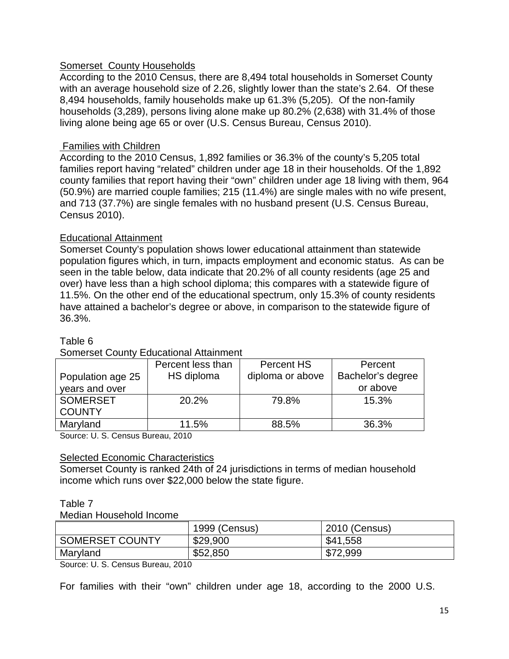### **Somerset County Households**

According to the 2010 Census, there are 8,494 total households in Somerset County with an average household size of 2.26, slightly lower than the state's 2.64. Of these 8,494 households, family households make up 61.3% (5,205). Of the non-family households (3,289), persons living alone make up 80.2% (2,638) with 31.4% of those living alone being age 65 or over (U.S. Census Bureau, Census 2010).

### Families with Children

According to the 2010 Census, 1,892 families or 36.3% of the county's 5,205 total families report having "related" children under age 18 in their households. Of the 1,892 county families that report having their "own" children under age 18 living with them, 964 (50.9%) are married couple families; 215 (11.4%) are single males with no wife present, and 713 (37.7%) are single females with no husband present (U.S. Census Bureau, Census 2010).

### Educational Attainment

Somerset County's population shows lower educational attainment than statewide population figures which, in turn, impacts employment and economic status. As can be seen in the table below, data indicate that 20.2% of all county residents (age 25 and over) have less than a high school diploma; this compares with a statewide figure of 11.5%. On the other end of the educational spectrum, only 15.3% of county residents have attained a bachelor's degree or above, in comparison to the statewide figure of 36.3%.

### Table 6

### Somerset County Educational Attainment

|                             | Percent less than                                                        | <b>Percent HS</b> | Percent           |
|-----------------------------|--------------------------------------------------------------------------|-------------------|-------------------|
| Population age 25           | HS diploma                                                               | diploma or above  | Bachelor's degree |
| years and over              |                                                                          |                   | or above          |
| <b>SOMERSET</b>             | 20.2%                                                                    | 79.8%             | 15.3%             |
| <b>COUNTY</b>               |                                                                          |                   |                   |
| Maryland                    | 11.5%                                                                    | 88.5%             | 36.3%             |
| $\sim$ $\sim$ $\sim$ $\sim$ | $\begin{array}{c} \n\bullet \bullet \bullet \bullet \bullet \end{array}$ |                   |                   |

Source: U. S. Census Bureau, 2010

### Selected Economic Characteristics

Somerset County is ranked 24th of 24 jurisdictions in terms of median household income which runs over \$22,000 below the state figure.

### Table 7

Median Household Income

|                 | 1999 (Census) | 2010 (Census) |
|-----------------|---------------|---------------|
| SOMERSET COUNTY | \$29,900      | \$41,558      |
| Maryland        | \$52,850      | \$72,999      |
|                 |               |               |

Source: U. S. Census Bureau, 2010

For families with their "own" children under age 18, according to the 2000 U.S.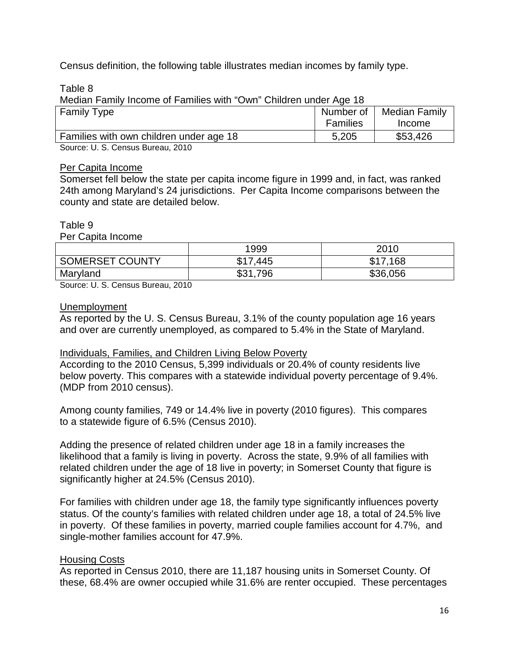Census definition, the following table illustrates median incomes by family type.

Table 8

Median Family Income of Families with "Own" Children under Age 18

| <b>Family Type</b>                      | Number of       | Median Family |
|-----------------------------------------|-----------------|---------------|
|                                         | <b>Families</b> | Income        |
| Families with own children under age 18 | 5,205           | \$53,426      |
| $\sim$<br>.<br>----                     |                 |               |

Source: U. S. Census Bureau, 2010

#### Per Capita Income

Somerset fell below the state per capita income figure in 1999 and, in fact, was ranked 24th among Maryland's 24 jurisdictions. Per Capita Income comparisons between the county and state are detailed below.

#### Table 9

Per Capita Income

|                 | 1999        | 2010     |
|-----------------|-------------|----------|
| SOMERSET COUNTY | \$17,445    | \$17,168 |
| Maryland        | \$31<br>796 | \$36,056 |

Source: U. S. Census Bureau, 2010

#### Unemployment

As reported by the U. S. Census Bureau, 3.1% of the county population age 16 years and over are currently unemployed, as compared to 5.4% in the State of Maryland.

### Individuals, Families, and Children Living Below Poverty

According to the 2010 Census, 5,399 individuals or 20.4% of county residents live below poverty. This compares with a statewide individual poverty percentage of 9.4%. (MDP from 2010 census).

Among county families, 749 or 14.4% live in poverty (2010 figures). This compares to a statewide figure of 6.5% (Census 2010).

Adding the presence of related children under age 18 in a family increases the likelihood that a family is living in poverty. Across the state, 9.9% of all families with related children under the age of 18 live in poverty; in Somerset County that figure is significantly higher at 24.5% (Census 2010).

For families with children under age 18, the family type significantly influences poverty status. Of the county's families with related children under age 18, a total of 24.5% live in poverty. Of these families in poverty, married couple families account for 4.7%, and single-mother families account for 47.9%.

### Housing Costs

As reported in Census 2010, there are 11,187 housing units in Somerset County. Of these, 68.4% are owner occupied while 31.6% are renter occupied. These percentages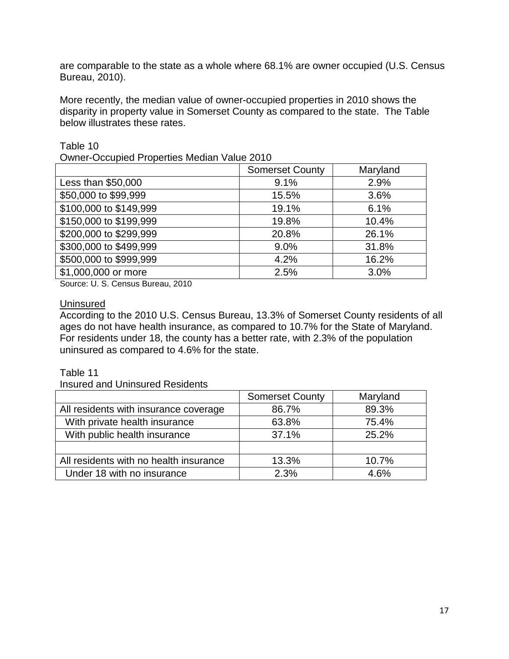are comparable to the state as a whole where 68.1% are owner occupied (U.S. Census Bureau, 2010).

More recently, the median value of owner-occupied properties in 2010 shows the disparity in property value in Somerset County as compared to the state. The Table below illustrates these rates.

Table 10

|  | <b>Owner-Occupied Properties Median Value 2010</b> |  |  |  |  |
|--|----------------------------------------------------|--|--|--|--|
|--|----------------------------------------------------|--|--|--|--|

|                        | <b>Somerset County</b> | Maryland |
|------------------------|------------------------|----------|
| Less than \$50,000     | 9.1%                   | 2.9%     |
| \$50,000 to \$99,999   | 15.5%                  | 3.6%     |
| \$100,000 to \$149,999 | 19.1%                  | 6.1%     |
| \$150,000 to \$199,999 | 19.8%                  | 10.4%    |
| \$200,000 to \$299,999 | 20.8%                  | 26.1%    |
| \$300,000 to \$499,999 | 9.0%                   | 31.8%    |
| \$500,000 to \$999,999 | 4.2%                   | 16.2%    |
| \$1,000,000 or more    | 2.5%                   | 3.0%     |

Source: U. S. Census Bureau, 2010

### **Uninsured**

According to the 2010 U.S. Census Bureau, 13.3% of Somerset County residents of all ages do not have health insurance, as compared to 10.7% for the State of Maryland. For residents under 18, the county has a better rate, with 2.3% of the population uninsured as compared to 4.6% for the state.

### Table 11

Insured and Uninsured Residents

|                                        | <b>Somerset County</b> | Maryland |
|----------------------------------------|------------------------|----------|
| All residents with insurance coverage  | 86.7%                  | 89.3%    |
| With private health insurance          | 63.8%                  | 75.4%    |
| With public health insurance           | 37.1%                  | 25.2%    |
|                                        |                        |          |
| All residents with no health insurance | 13.3%                  | 10.7%    |
| Under 18 with no insurance             | 2.3%                   | 4.6%     |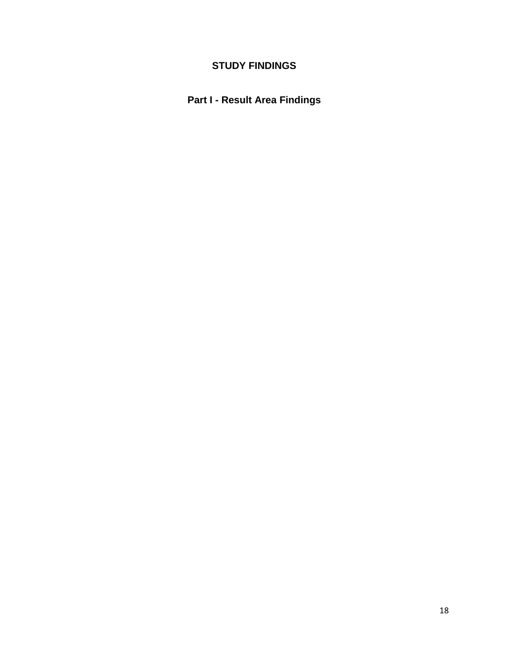# **STUDY FINDINGS**

# **Part I - Result Area Findings**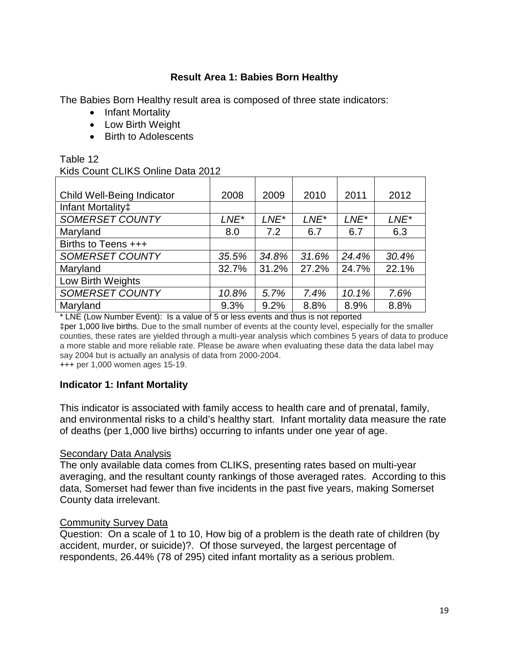### **Result Area 1: Babies Born Healthy**

The Babies Born Healthy result area is composed of three state indicators:

- Infant Mortality
- Low Birth Weight
- Birth to Adolescents

### Table 12

#### Kids Count CLIKS Online Data 2012

| <b>Child Well-Being Indicator</b> | 2008    | 2009             | 2010    | 2011             | 2012    |
|-----------------------------------|---------|------------------|---------|------------------|---------|
| Infant Mortality <sup>±</sup>     |         |                  |         |                  |         |
| <b>SOMERSET COUNTY</b>            | $LNE^*$ | LNE <sup>*</sup> | $LNE^*$ | LNE <sup>*</sup> | $LNE^*$ |
| Maryland                          | 8.0     | 7.2              | 6.7     | 6.7              | 6.3     |
| Births to Teens +++               |         |                  |         |                  |         |
| <b>SOMERSET COUNTY</b>            | 35.5%   | 34.8%            | 31.6%   | 24.4%            | 30.4%   |
| Maryland                          | 32.7%   | 31.2%            | 27.2%   | 24.7%            | 22.1%   |
| Low Birth Weights                 |         |                  |         |                  |         |
| <b>SOMERSET COUNTY</b>            | 10.8%   | 5.7%             | 7.4%    | 10.1%            | 7.6%    |
| Maryland                          | 9.3%    | 9.2%             | 8.8%    | 8.9%             | 8.8%    |

\* LNE (Low Number Event): Is a value of 5 or less events and thus is not reported ‡per 1,000 live births. Due to the small number of events at the county level, especially for the smaller counties, these rates are yielded through a multi-year analysis which combines 5 years of data to produce a more stable and more reliable rate. Please be aware when evaluating these data the data label may say 2004 but is actually an analysis of data from 2000-2004.

+++ per 1,000 women ages 15-19.

### **Indicator 1: Infant Mortality**

This indicator is associated with family access to health care and of prenatal, family, and environmental risks to a child's healthy start. Infant mortality data measure the rate of deaths (per 1,000 live births) occurring to infants under one year of age.

#### Secondary Data Analysis

The only available data comes from CLIKS, presenting rates based on multi-year averaging, and the resultant county rankings of those averaged rates. According to this data, Somerset had fewer than five incidents in the past five years, making Somerset County data irrelevant.

#### Community Survey Data

Question: On a scale of 1 to 10, How big of a problem is the death rate of children (by accident, murder, or suicide)?. Of those surveyed, the largest percentage of respondents, 26.44% (78 of 295) cited infant mortality as a serious problem.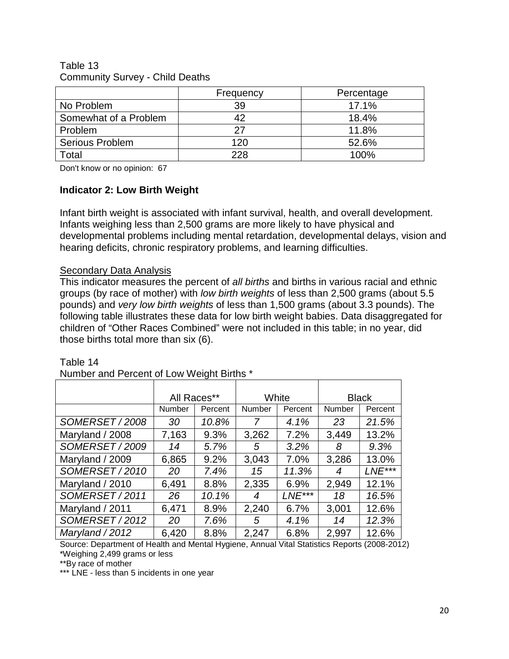#### Table 13 Community Survey - Child Deaths

|                       | Frequency | Percentage |
|-----------------------|-----------|------------|
| No Problem            | 39        | 17.1%      |
| Somewhat of a Problem | 42        | 18.4%      |
| Problem               | 27        | 11.8%      |
| Serious Problem       | 120       | 52.6%      |
| Total                 | 228       | 100%       |

Don't know or no opinion: 67

### **Indicator 2: Low Birth Weight**

Infant birth weight is associated with infant survival, health, and overall development. Infants weighing less than 2,500 grams are more likely to have physical and developmental problems including mental retardation, developmental delays, vision and hearing deficits, chronic respiratory problems, and learning difficulties.

### **Secondary Data Analysis**

This indicator measures the percent of *all births* and births in various racial and ethnic groups (by race of mother) with *low birth weights* of less than 2,500 grams (about 5.5 pounds) and *very low birth weights* of less than 1,500 grams (about 3.3 pounds). The following table illustrates these data for low birth weight babies. Data disaggregated for children of "Other Races Combined" were not included in this table; in no year, did those births total more than six (6).

|  | Table 14 |
|--|----------|
|  |          |

| <b>TWITING LATING LATING IN CONTRACTOR</b> |               |         |        |          |               |              |  |
|--------------------------------------------|---------------|---------|--------|----------|---------------|--------------|--|
|                                            | All Races**   |         |        | White    |               | <b>Black</b> |  |
|                                            | <b>Number</b> | Percent | Number | Percent  | <b>Number</b> | Percent      |  |
| SOMERSET/2008                              | 30            | 10.8%   | 7      | 4.1%     | 23            | 21.5%        |  |
| Maryland / 2008                            | 7,163         | 9.3%    | 3,262  | 7.2%     | 3,449         | 13.2%        |  |
| SOMERSET / 2009                            | 14            | 5.7%    | 5      | 3.2%     | 8             | 9.3%         |  |
| Maryland / 2009                            | 6,865         | 9.2%    | 3,043  | 7.0%     | 3,286         | 13.0%        |  |
| SOMERSET/2010                              | 20            | 7.4%    | 15     | 11.3%    | 4             | LNE***       |  |
| Maryland / 2010                            | 6,491         | 8.8%    | 2,335  | 6.9%     | 2,949         | 12.1%        |  |
| SOMERSET/2011                              | 26            | 10.1%   | 4      | $LNE***$ | 18            | 16.5%        |  |
| Maryland / 2011                            | 6,471         | 8.9%    | 2,240  | 6.7%     | 3,001         | 12.6%        |  |
| SOMERSET/2012                              | 20            | 7.6%    | 5      | 4.1%     | 14            | 12.3%        |  |
| Maryland / 2012                            | 6,420         | 8.8%    | 2,247  | 6.8%     | 2,997         | 12.6%        |  |

Number and Percent of Low Weight Births \*

Source: Department of Health and Mental Hygiene, Annual Vital Statistics Reports (2008-2012) \*Weighing 2,499 grams or less

\*\*By race of mother

\*\*\* LNE - less than 5 incidents in one year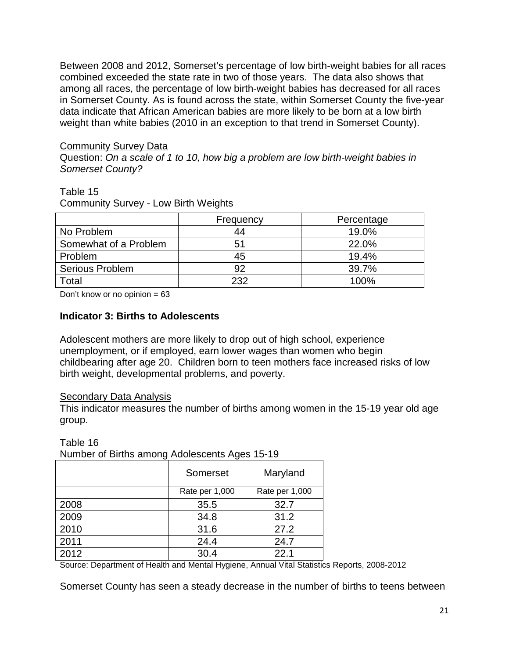Between 2008 and 2012, Somerset's percentage of low birth-weight babies for all races combined exceeded the state rate in two of those years. The data also shows that among all races, the percentage of low birth-weight babies has decreased for all races in Somerset County. As is found across the state, within Somerset County the five-year data indicate that African American babies are more likely to be born at a low birth weight than white babies (2010 in an exception to that trend in Somerset County).

### Community Survey Data

Question: *On a scale of 1 to 10, how big a problem are low birth-weight babies in Somerset County?* 

#### Table 15

Community Survey - Low Birth Weights

|                       | Frequency | Percentage |
|-----------------------|-----------|------------|
| No Problem            | 44        | 19.0%      |
| Somewhat of a Problem | 51        | 22.0%      |
| Problem               | 45        | 19.4%      |
| Serious Problem       | 92        | 39.7%      |
| Total                 | 232       | 100%       |

Don't know or no opinion  $= 63$ 

### **Indicator 3: Births to Adolescents**

Adolescent mothers are more likely to drop out of high school, experience unemployment, or if employed, earn lower wages than women who begin childbearing after age 20. Children born to teen mothers face increased risks of low birth weight, developmental problems, and poverty.

### Secondary Data Analysis

This indicator measures the number of births among women in the 15-19 year old age group.

Table 16

Number of Births among Adolescents Ages 15-19

|      | Somerset       | Maryland       |
|------|----------------|----------------|
|      | Rate per 1,000 | Rate per 1,000 |
| 2008 | 35.5           | 32.7           |
| 2009 | 34.8           | 31.2           |
| 2010 | 31.6           | 27.2           |
| 2011 | 24.4           | 24.7           |
| 2012 | 30.4           | 22.1           |

Source: Department of Health and Mental Hygiene, Annual Vital Statistics Reports, 2008-2012

Somerset County has seen a steady decrease in the number of births to teens between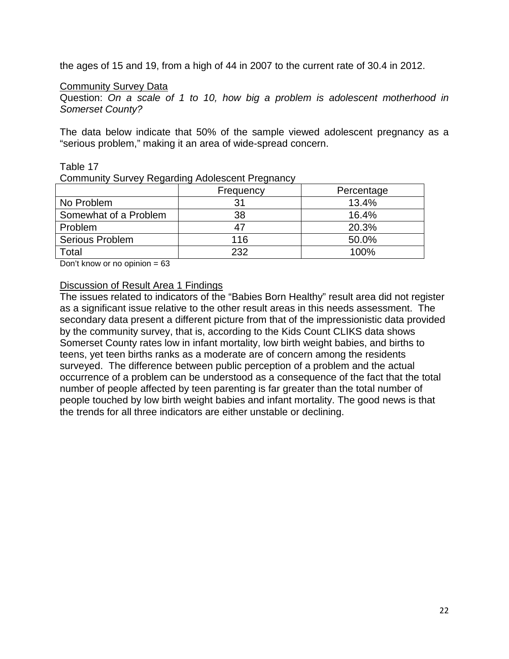the ages of 15 and 19, from a high of 44 in 2007 to the current rate of 30.4 in 2012.

#### Community Survey Data

Question: *On a scale of 1 to 10, how big a problem is adolescent motherhood in Somerset County?* 

The data below indicate that 50% of the sample viewed adolescent pregnancy as a "serious problem," making it an area of wide-spread concern.

#### Table 17

Community Survey Regarding Adolescent Pregnancy

|                       | Frequency | Percentage |
|-----------------------|-----------|------------|
| No Problem            | 31        | 13.4%      |
| Somewhat of a Problem | 38        | 16.4%      |
| Problem               | 47        | 20.3%      |
| Serious Problem       | 116       | 50.0%      |
| Total                 | 232       | 100%       |

Don't know or no opinion  $= 63$ 

#### Discussion of Result Area 1 Findings

The issues related to indicators of the "Babies Born Healthy" result area did not register as a significant issue relative to the other result areas in this needs assessment. The secondary data present a different picture from that of the impressionistic data provided by the community survey, that is, according to the Kids Count CLIKS data shows Somerset County rates low in infant mortality, low birth weight babies, and births to teens, yet teen births ranks as a moderate are of concern among the residents surveyed. The difference between public perception of a problem and the actual occurrence of a problem can be understood as a consequence of the fact that the total number of people affected by teen parenting is far greater than the total number of people touched by low birth weight babies and infant mortality. The good news is that the trends for all three indicators are either unstable or declining.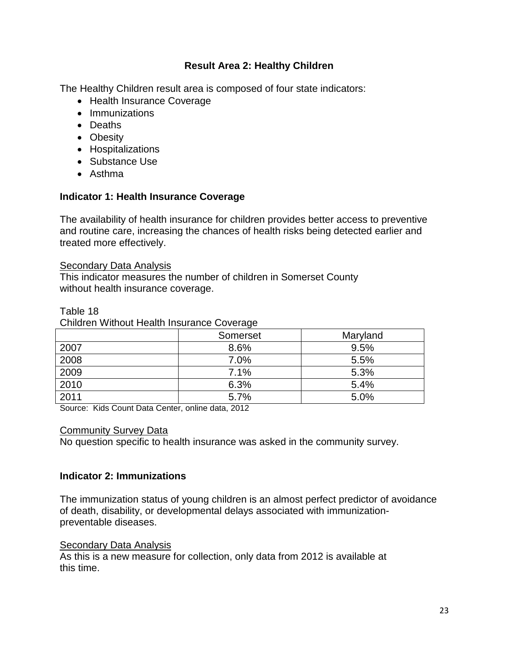### **Result Area 2: Healthy Children**

The Healthy Children result area is composed of four state indicators:

- Health Insurance Coverage
- Immunizations
- Deaths
- Obesity
- Hospitalizations
- Substance Use
- Asthma

### **Indicator 1: Health Insurance Coverage**

The availability of health insurance for children provides better access to preventive and routine care, increasing the chances of health risks being detected earlier and treated more effectively.

#### Secondary Data Analysis

This indicator measures the number of children in Somerset County without health insurance coverage.

| Children Without Health Insurance Coverage |          |          |  |  |
|--------------------------------------------|----------|----------|--|--|
|                                            | Somerset | Maryland |  |  |
| 2007                                       | 8.6%     | 9.5%     |  |  |
| 2008                                       | 7.0%     | 5.5%     |  |  |
| 2009                                       | 7.1%     | 5.3%     |  |  |
| 2010                                       | 6.3%     | 5.4%     |  |  |
| 2011                                       | 5.7%     | 5.0%     |  |  |

Table 18

Source: Kids Count Data Center, online data, 2012

#### Community Survey Data

No question specific to health insurance was asked in the community survey.

### **Indicator 2: Immunizations**

The immunization status of young children is an almost perfect predictor of avoidance of death, disability, or developmental delays associated with immunizationpreventable diseases.

### Secondary Data Analysis

As this is a new measure for collection, only data from 2012 is available at this time.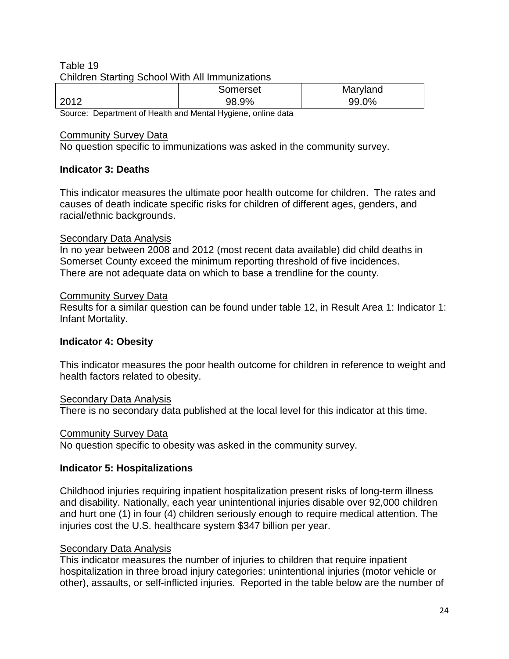### Table 19 Children Starting School With All Immunizations

|                                                                                 | Somerset | Maryland |  |  |  |  |
|---------------------------------------------------------------------------------|----------|----------|--|--|--|--|
| 2012                                                                            | 98.9%    | 0%<br>aa |  |  |  |  |
| $\sim$<br>$\sim$ $\sim$ $\sim$ $\sim$ $\sim$ $\sim$<br>$\overline{\phantom{a}}$ | <br>.    |          |  |  |  |  |

Source: Department of Health and Mental Hygiene, online data

### Community Survey Data

No question specific to immunizations was asked in the community survey.

### **Indicator 3: Deaths**

This indicator measures the ultimate poor health outcome for children. The rates and causes of death indicate specific risks for children of different ages, genders, and racial/ethnic backgrounds.

### Secondary Data Analysis

In no year between 2008 and 2012 (most recent data available) did child deaths in Somerset County exceed the minimum reporting threshold of five incidences. There are not adequate data on which to base a trendline for the county.

### Community Survey Data

Results for a similar question can be found under table 12, in Result Area 1: Indicator 1: Infant Mortality.

### **Indicator 4: Obesity**

This indicator measures the poor health outcome for children in reference to weight and health factors related to obesity.

### **Secondary Data Analysis**

There is no secondary data published at the local level for this indicator at this time.

### Community Survey Data

No question specific to obesity was asked in the community survey.

### **Indicator 5: Hospitalizations**

Childhood injuries requiring inpatient hospitalization present risks of long-term illness and disability. Nationally, each year unintentional injuries disable over 92,000 children and hurt one (1) in four (4) children seriously enough to require medical attention. The injuries cost the U.S. healthcare system \$347 billion per year.

### **Secondary Data Analysis**

This indicator measures the number of injuries to children that require inpatient hospitalization in three broad injury categories: unintentional injuries (motor vehicle or other), assaults, or self-inflicted injuries. Reported in the table below are the number of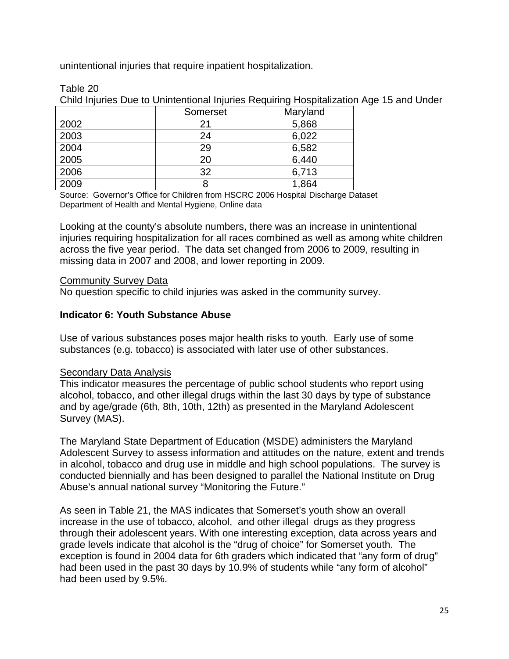unintentional injuries that require inpatient hospitalization.

|  | Table 20 |
|--|----------|
|  |          |

Child Injuries Due to Unintentional Injuries Requiring Hospitalization Age 15 and Under

|      | Somerset | Maryland |
|------|----------|----------|
| 2002 | 21       | 5,868    |
| 2003 | 24       | 6,022    |
| 2004 | 29       | 6,582    |
| 2005 | 20       | 6,440    |
| 2006 | 32       | 6,713    |
| 2009 |          | 1,864    |

Source: Governor's Office for Children from HSCRC 2006 Hospital Discharge Dataset Department of Health and Mental Hygiene, Online data

Looking at the county's absolute numbers, there was an increase in unintentional injuries requiring hospitalization for all races combined as well as among white children across the five year period. The data set changed from 2006 to 2009, resulting in missing data in 2007 and 2008, and lower reporting in 2009.

### Community Survey Data

No question specific to child injuries was asked in the community survey.

### **Indicator 6: Youth Substance Abuse**

Use of various substances poses major health risks to youth. Early use of some substances (e.g. tobacco) is associated with later use of other substances.

### **Secondary Data Analysis**

This indicator measures the percentage of public school students who report using alcohol, tobacco, and other illegal drugs within the last 30 days by type of substance and by age/grade (6th, 8th, 10th, 12th) as presented in the Maryland Adolescent Survey (MAS).

The Maryland State Department of Education (MSDE) administers the Maryland Adolescent Survey to assess information and attitudes on the nature, extent and trends in alcohol, tobacco and drug use in middle and high school populations. The survey is conducted biennially and has been designed to parallel the National Institute on Drug Abuse's annual national survey "Monitoring the Future."

As seen in Table 21, the MAS indicates that Somerset's youth show an overall increase in the use of tobacco, alcohol, and other illegal drugs as they progress through their adolescent years. With one interesting exception, data across years and grade levels indicate that alcohol is the "drug of choice" for Somerset youth. The exception is found in 2004 data for 6th graders which indicated that "any form of drug" had been used in the past 30 days by 10.9% of students while "any form of alcohol" had been used by 9.5%.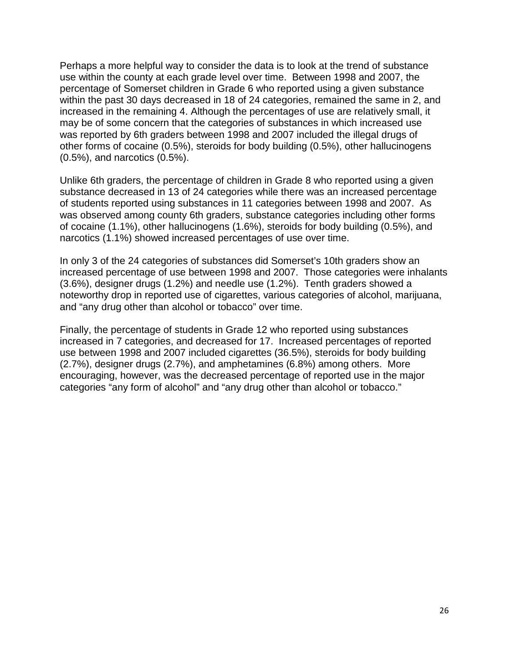Perhaps a more helpful way to consider the data is to look at the trend of substance use within the county at each grade level over time. Between 1998 and 2007, the percentage of Somerset children in Grade 6 who reported using a given substance within the past 30 days decreased in 18 of 24 categories, remained the same in 2, and increased in the remaining 4. Although the percentages of use are relatively small, it may be of some concern that the categories of substances in which increased use was reported by 6th graders between 1998 and 2007 included the illegal drugs of other forms of cocaine (0.5%), steroids for body building (0.5%), other hallucinogens (0.5%), and narcotics (0.5%).

Unlike 6th graders, the percentage of children in Grade 8 who reported using a given substance decreased in 13 of 24 categories while there was an increased percentage of students reported using substances in 11 categories between 1998 and 2007. As was observed among county 6th graders, substance categories including other forms of cocaine (1.1%), other hallucinogens (1.6%), steroids for body building (0.5%), and narcotics (1.1%) showed increased percentages of use over time.

In only 3 of the 24 categories of substances did Somerset's 10th graders show an increased percentage of use between 1998 and 2007. Those categories were inhalants (3.6%), designer drugs (1.2%) and needle use (1.2%). Tenth graders showed a noteworthy drop in reported use of cigarettes, various categories of alcohol, marijuana, and "any drug other than alcohol or tobacco" over time.

Finally, the percentage of students in Grade 12 who reported using substances increased in 7 categories, and decreased for 17. Increased percentages of reported use between 1998 and 2007 included cigarettes (36.5%), steroids for body building (2.7%), designer drugs (2.7%), and amphetamines (6.8%) among others. More encouraging, however, was the decreased percentage of reported use in the major categories "any form of alcohol" and "any drug other than alcohol or tobacco."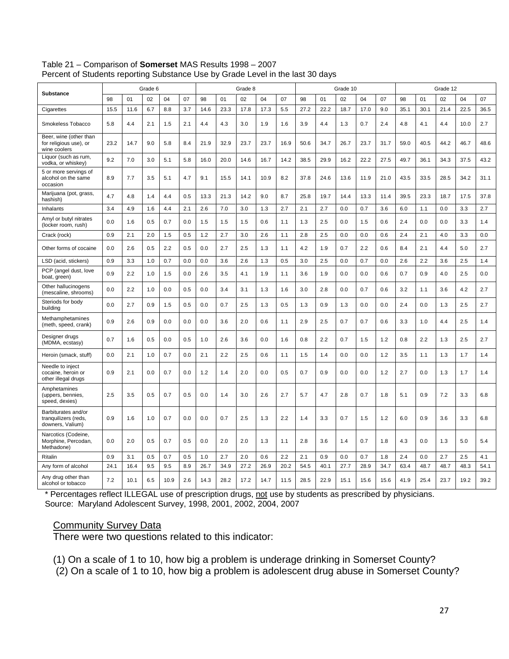|                                                                  |      |      | Grade 6 |      |     |      |      | Grade 8 |      |      |      |      | Grade 10 |      |      | Grade 12 |      |      |      |      |
|------------------------------------------------------------------|------|------|---------|------|-----|------|------|---------|------|------|------|------|----------|------|------|----------|------|------|------|------|
| Substance                                                        | 98   | 01   | 02      | 04   | 07  | 98   | 01   | 02      | 04   | 07   | 98   | 01   | 02       | 04   | 07   | 98       | 01   | 02   | 04   | 07   |
| Cigarettes                                                       | 15.5 | 11.6 | 6.7     | 8.8  | 3.7 | 14.6 | 23.3 | 17.8    | 17.3 | 5.5  | 27.2 | 22.2 | 18.7     | 17.0 | 9.0  | 35.1     | 30.1 | 21.4 | 22.5 | 36.5 |
| Smokeless Tobacco                                                | 5.8  | 4.4  | 2.1     | 1.5  | 2.1 | 4.4  | 4.3  | 3.0     | 1.9  | 1.6  | 3.9  | 4.4  | 1.3      | 0.7  | 2.4  | 4.8      | 4.1  | 4.4  | 10.0 | 2.7  |
| Beer, wine (other than<br>for religious use), or<br>wine coolers | 23.2 | 14.7 | 9.0     | 5.8  | 8.4 | 21.9 | 32.9 | 23.7    | 23.7 | 16.9 | 50.6 | 34.7 | 26.7     | 23.7 | 31.7 | 59.0     | 40.5 | 44.2 | 46.7 | 48.6 |
| Liquor (such as rum,<br>vodka, or whiskey)                       | 9.2  | 7.0  | 3.0     | 5.1  | 5.8 | 16.0 | 20.0 | 14.6    | 16.7 | 14.2 | 38.5 | 29.9 | 16.2     | 22.2 | 27.5 | 49.7     | 36.1 | 34.3 | 37.5 | 43.2 |
| 5 or more servings of<br>alcohol on the same<br>occasion         | 8.9  | 7.7  | 3.5     | 5.1  | 4.7 | 9.1  | 15.5 | 14.1    | 10.9 | 8.2  | 37.8 | 24.6 | 13.6     | 11.9 | 21.0 | 43.5     | 33.5 | 28.5 | 34.2 | 31.1 |
| Marijuana (pot, grass,<br>hashish)                               | 4.7  | 4.8  | 1.4     | 4.4  | 0.5 | 13.3 | 21.3 | 14.2    | 9.0  | 8.7  | 25.8 | 19.7 | 14.4     | 13.3 | 11.4 | 39.5     | 23.3 | 18.7 | 17.5 | 37.8 |
| Inhalants                                                        | 3.4  | 4.9  | 1.6     | 4.4  | 2.1 | 2.6  | 7.0  | 3.0     | 1.3  | 2.7  | 2.1  | 2.7  | 0.0      | 0.7  | 3.6  | 6.0      | 1.1  | 0.0  | 3.3  | 2.7  |
| Amyl or butyl nitrates<br>(locker room, rush)                    | 0.0  | 1.6  | 0.5     | 0.7  | 0.0 | 1.5  | 1.5  | 1.5     | 0.6  | 1.1  | 1.3  | 2.5  | 0.0      | 1.5  | 0.6  | 2.4      | 0.0  | 0.0  | 3.3  | 1.4  |
| Crack (rock)                                                     | 0.9  | 2.1  | 2.0     | 1.5  | 0.5 | 1.2  | 2.7  | 3.0     | 2.6  | 1.1  | 2.8  | 2.5  | 0.0      | 0.0  | 0.6  | 2.4      | 2.1  | 4.0  | 3.3  | 0.0  |
| Other forms of cocaine                                           | 0.0  | 2.6  | 0.5     | 2.2  | 0.5 | 0.0  | 2.7  | 2.5     | 1.3  | 1.1  | 4.2  | 1.9  | 0.7      | 2.2  | 0.6  | 8.4      | 2.1  | 4.4  | 5.0  | 2.7  |
| LSD (acid, stickers)                                             | 0.9  | 3.3  | 1.0     | 0.7  | 0.0 | 0.0  | 3.6  | 2.6     | 1.3  | 0.5  | 3.0  | 2.5  | 0.0      | 0.7  | 0.0  | 2.6      | 2.2  | 3.6  | 2.5  | 1.4  |
| PCP (angel dust, love<br>boat, green)                            | 0.9  | 2.2  | 1.0     | 1.5  | 0.0 | 2.6  | 3.5  | 4.1     | 1.9  | 1.1  | 3.6  | 1.9  | 0.0      | 0.0  | 0.6  | 0.7      | 0.9  | 4.0  | 2.5  | 0.0  |
| Other hallucinogens<br>(mescaline, shrooms)                      | 0.0  | 2.2  | 1.0     | 0.0  | 0.5 | 0.0  | 3.4  | 3.1     | 1.3  | 1.6  | 3.0  | 2.8  | 0.0      | 0.7  | 0.6  | 3.2      | 1.1  | 3.6  | 4.2  | 2.7  |
| Steriods for body<br>building                                    | 0.0  | 2.7  | 0.9     | 1.5  | 0.5 | 0.0  | 0.7  | 2.5     | 1.3  | 0.5  | 1.3  | 0.9  | 1.3      | 0.0  | 0.0  | 2.4      | 0.0  | 1.3  | 2.5  | 2.7  |
| Methamphetamines<br>(meth, speed, crank)                         | 0.9  | 2.6  | 0.9     | 0.0  | 0.0 | 0.0  | 3.6  | 2.0     | 0.6  | 1.1  | 2.9  | 2.5  | 0.7      | 0.7  | 0.6  | 3.3      | 1.0  | 4.4  | 2.5  | 1.4  |
| Designer drugs<br>(MDMA, ecstasy)                                | 0.7  | 1.6  | 0.5     | 0.0  | 0.5 | 1.0  | 2.6  | 3.6     | 0.0  | 1.6  | 0.8  | 2.2  | 0.7      | 1.5  | 1.2  | 0.8      | 2.2  | 1.3  | 2.5  | 2.7  |
| Heroin (smack, stuff)                                            | 0.0  | 2.1  | 1.0     | 0.7  | 0.0 | 2.1  | 2.2  | 2.5     | 0.6  | 1.1  | 1.5  | 1.4  | 0.0      | 0.0  | 1.2  | 3.5      | 1.1  | 1.3  | 1.7  | 1.4  |
| Needle to inject<br>cocaine, heroin or<br>other illegal drugs    | 0.9  | 2.1  | 0.0     | 0.7  | 0.0 | 1.2  | 1.4  | 2.0     | 0.0  | 0.5  | 0.7  | 0.9  | 0.0      | 0.0  | 1.2  | 2.7      | 0.0  | 1.3  | 1.7  | 1.4  |
| Amphetamines<br>(uppers, bennies,<br>speed, dexies)              | 2.5  | 3.5  | 0.5     | 0.7  | 0.5 | 0.0  | 1.4  | 3.0     | 2.6  | 2.7  | 5.7  | 4.7  | 2.8      | 0.7  | 1.8  | 5.1      | 0.9  | 7.2  | 3.3  | 6.8  |
| Barbiturates and/or<br>tranguilizers (reds,<br>downers, Valium)  | 0.9  | 1.6  | 1.0     | 0.7  | 0.0 | 0.0  | 0.7  | 2.5     | 1.3  | 2.2  | 1.4  | 3.3  | 0.7      | 1.5  | 1.2  | 6.0      | 0.9  | 3.6  | 3.3  | 6.8  |
| Narcotics (Codeine,<br>Morphine, Percodan,<br>Methadone)         | 0.0  | 2.0  | 0.5     | 0.7  | 0.5 | 0.0  | 2.0  | 2.0     | 1.3  | 1.1  | 2.8  | 3.6  | 1.4      | 0.7  | 1.8  | 4.3      | 0.0  | 1.3  | 5.0  | 5.4  |
| Ritalin                                                          | 0.9  | 3.1  | 0.5     | 0.7  | 0.5 | 1.0  | 2.7  | 2.0     | 0.6  | 2.2  | 2.1  | 0.9  | 0.0      | 0.7  | 1.8  | 2.4      | 0.0  | 2.7  | 2.5  | 4.1  |
| Any form of alcohol                                              | 24.1 | 16.4 | 9.5     | 9.5  | 8.9 | 26.7 | 34.9 | 27.2    | 26.9 | 20.2 | 54.5 | 40.1 | 27.7     | 28.9 | 34.7 | 63.4     | 48.7 | 48.7 | 48.3 | 54.1 |
| Any drug other than<br>alcohol or tobacco                        | 7.2  | 10.1 | 6.5     | 10.9 | 2.6 | 14.3 | 28.2 | 17.2    | 14.7 | 11.5 | 28.5 | 22.9 | 15.1     | 15.6 | 15.6 | 41.9     | 25.4 | 23.7 | 19.2 | 39.2 |

Table 21 – Comparison of **Somerset** MAS Results 1998 – 2007 Percent of Students reporting Substance Use by Grade Level in the last 30 days

\* Percentages reflect ILLEGAL use of prescription drugs, not use by students as prescribed by physicians. Source: Maryland Adolescent Survey, 1998, 2001, 2002, 2004, 2007

#### **Community Survey Data**

There were two questions related to this indicator:

(1) On a scale of 1 to 10, how big a problem is underage drinking in Somerset County?

(2) On a scale of 1 to 10, how big a problem is adolescent drug abuse in Somerset County?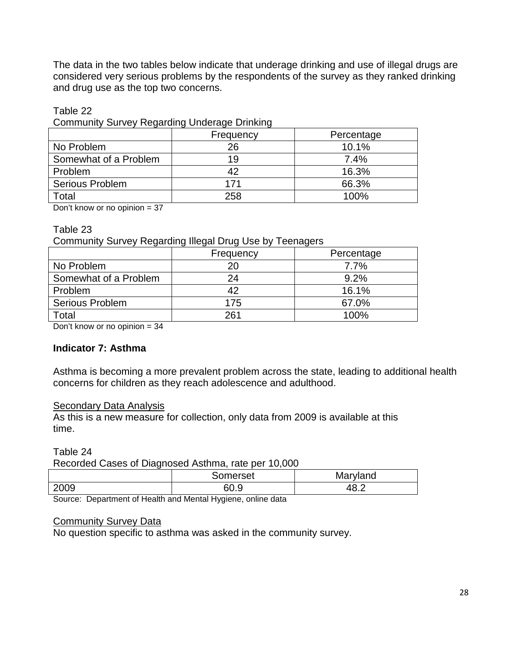The data in the two tables below indicate that underage drinking and use of illegal drugs are considered very serious problems by the respondents of the survey as they ranked drinking and drug use as the top two concerns.

#### Table 22

Community Survey Regarding Underage Drinking

|                        | Frequency | Percentage |
|------------------------|-----------|------------|
| No Problem             | 26        | 10.1%      |
| Somewhat of a Problem  | 19        | 7.4%       |
| Problem                | 42        | 16.3%      |
| <b>Serious Problem</b> | 171       | 66.3%      |
| Total                  | 258       | 100%       |

Don't know or no opinion = 37

#### Table 23

Community Survey Regarding Illegal Drug Use by Teenagers

|                        | Frequency | Percentage |
|------------------------|-----------|------------|
| No Problem             | 20        | 7.7%       |
| Somewhat of a Problem  | 24        | 9.2%       |
| Problem                | 42        | 16.1%      |
| <b>Serious Problem</b> | 175       | 67.0%      |
| Total                  | 261       | 100%       |

Don't know or no opinion = 34

### **Indicator 7: Asthma**

Asthma is becoming a more prevalent problem across the state, leading to additional health concerns for children as they reach adolescence and adulthood.

### Secondary Data Analysis

As this is a new measure for collection, only data from 2009 is available at this time.

Table 24

Recorded Cases of Diagnosed Asthma, rate per 10,000

|      | Somerset     | Maryland             |
|------|--------------|----------------------|
| 2009 | rn r<br>60.S | $\sim$ $\sim$<br>™.⊾ |

Source: Department of Health and Mental Hygiene, online data

### Community Survey Data

No question specific to asthma was asked in the community survey.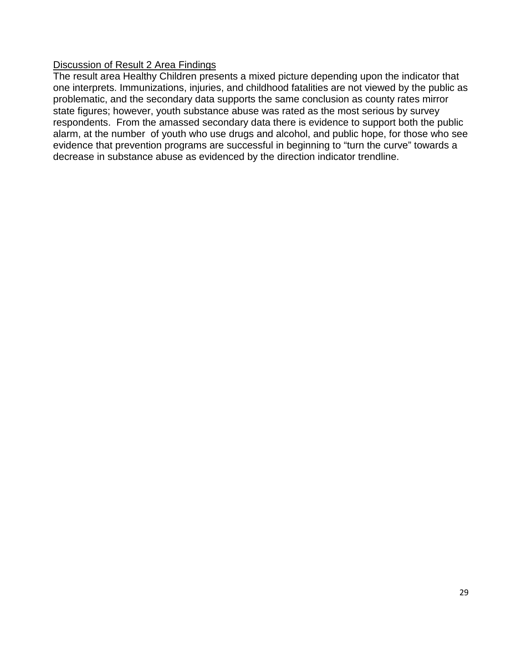### Discussion of Result 2 Area Findings

The result area Healthy Children presents a mixed picture depending upon the indicator that one interprets. Immunizations, injuries, and childhood fatalities are not viewed by the public as problematic, and the secondary data supports the same conclusion as county rates mirror state figures; however, youth substance abuse was rated as the most serious by survey respondents. From the amassed secondary data there is evidence to support both the public alarm, at the number of youth who use drugs and alcohol, and public hope, for those who see evidence that prevention programs are successful in beginning to "turn the curve" towards a decrease in substance abuse as evidenced by the direction indicator trendline.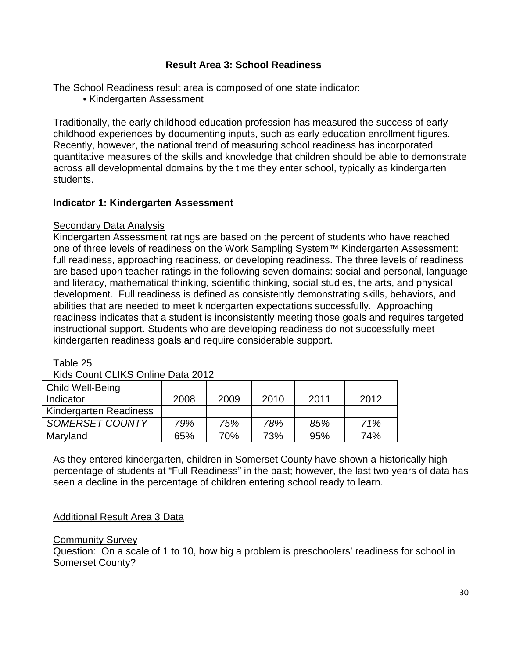### **Result Area 3: School Readiness**

The School Readiness result area is composed of one state indicator:

• Kindergarten Assessment

Traditionally, the early childhood education profession has measured the success of early childhood experiences by documenting inputs, such as early education enrollment figures. Recently, however, the national trend of measuring school readiness has incorporated quantitative measures of the skills and knowledge that children should be able to demonstrate across all developmental domains by the time they enter school, typically as kindergarten students.

### **Indicator 1: Kindergarten Assessment**

#### Secondary Data Analysis

Kindergarten Assessment ratings are based on the percent of students who have reached one of three levels of readiness on the Work Sampling System™ Kindergarten Assessment: full readiness, approaching readiness, or developing readiness. The three levels of readiness are based upon teacher ratings in the following seven domains: social and personal, language and literacy, mathematical thinking, scientific thinking, social studies, the arts, and physical development. Full readiness is defined as consistently demonstrating skills, behaviors, and abilities that are needed to meet kindergarten expectations successfully. Approaching readiness indicates that a student is inconsistently meeting those goals and requires targeted instructional support. Students who are developing readiness do not successfully meet kindergarten readiness goals and require considerable support.

Table 25

Kids Count CLIKS Online Data 2012

| <b>Child Well-Being</b>       |      |      |      |      |      |
|-------------------------------|------|------|------|------|------|
| Indicator                     | 2008 | 2009 | 2010 | 2011 | 2012 |
| <b>Kindergarten Readiness</b> |      |      |      |      |      |
| SOMERSET COUNTY               | 79%  | 75%  | 78%  | 85%  | 71%  |
| Maryland                      | 65%  | 70%  | 73%  | 95%  | 74%  |

As they entered kindergarten, children in Somerset County have shown a historically high percentage of students at "Full Readiness" in the past; however, the last two years of data has seen a decline in the percentage of children entering school ready to learn.

### Additional Result Area 3 Data

#### **Community Survey**

Question: On a scale of 1 to 10, how big a problem is preschoolers' readiness for school in Somerset County?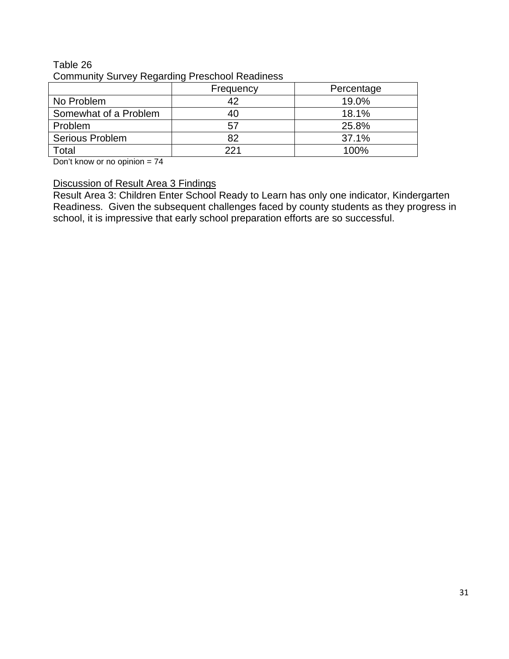### Table 26 Community Survey Regarding Preschool Readiness

| _ _ _ _ _ _ _ _ _ _ _  |           |            |  |  |  |  |  |  |  |  |
|------------------------|-----------|------------|--|--|--|--|--|--|--|--|
|                        | Frequency | Percentage |  |  |  |  |  |  |  |  |
| No Problem             |           | 19.0%      |  |  |  |  |  |  |  |  |
| Somewhat of a Problem  | 40        | 18.1%      |  |  |  |  |  |  |  |  |
| Problem                | 57        | 25.8%      |  |  |  |  |  |  |  |  |
| <b>Serious Problem</b> | 82        | 37.1%      |  |  |  |  |  |  |  |  |
| Total                  | 221       | 100%       |  |  |  |  |  |  |  |  |

Don't know or no opinion = 74

### Discussion of Result Area 3 Findings

Result Area 3: Children Enter School Ready to Learn has only one indicator, Kindergarten Readiness. Given the subsequent challenges faced by county students as they progress in school, it is impressive that early school preparation efforts are so successful.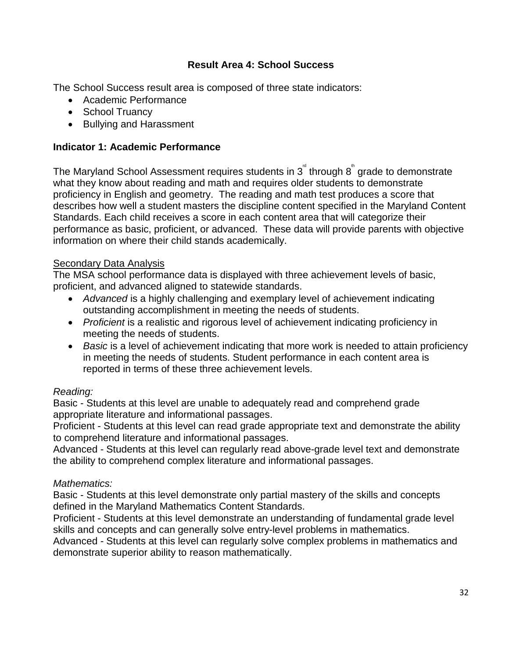### **Result Area 4: School Success**

The School Success result area is composed of three state indicators:

- Academic Performance
- School Truancy
- Bullying and Harassment

### **Indicator 1: Academic Performance**

The Maryland School Assessment requires students in  $3^{^{\circ}}$  through  $8^{^{\circ}}$  grade to demonstrate what they know about reading and math and requires older students to demonstrate proficiency in English and geometry. The reading and math test produces a score that describes how well a student masters the discipline content specified in the Maryland Content Standards. Each child receives a score in each content area that will categorize their performance as basic, proficient, or advanced. These data will provide parents with objective information on where their child stands academically.

### **Secondary Data Analysis**

The MSA school performance data is displayed with three achievement levels of basic, proficient, and advanced aligned to statewide standards.

- *Advanced* is a highly challenging and exemplary level of achievement indicating outstanding accomplishment in meeting the needs of students.
- *Proficient* is a realistic and rigorous level of achievement indicating proficiency in meeting the needs of students.
- *Basic* is a level of achievement indicating that more work is needed to attain proficiency in meeting the needs of students. Student performance in each content area is reported in terms of these three achievement levels.

### *Reading:*

Basic - Students at this level are unable to adequately read and comprehend grade appropriate literature and informational passages.

Proficient - Students at this level can read grade appropriate text and demonstrate the ability to comprehend literature and informational passages.

Advanced - Students at this level can regularly read above-grade level text and demonstrate the ability to comprehend complex literature and informational passages.

### *Mathematics:*

Basic - Students at this level demonstrate only partial mastery of the skills and concepts defined in the Maryland Mathematics Content Standards.

Proficient - Students at this level demonstrate an understanding of fundamental grade level skills and concepts and can generally solve entry-level problems in mathematics.

Advanced - Students at this level can regularly solve complex problems in mathematics and demonstrate superior ability to reason mathematically.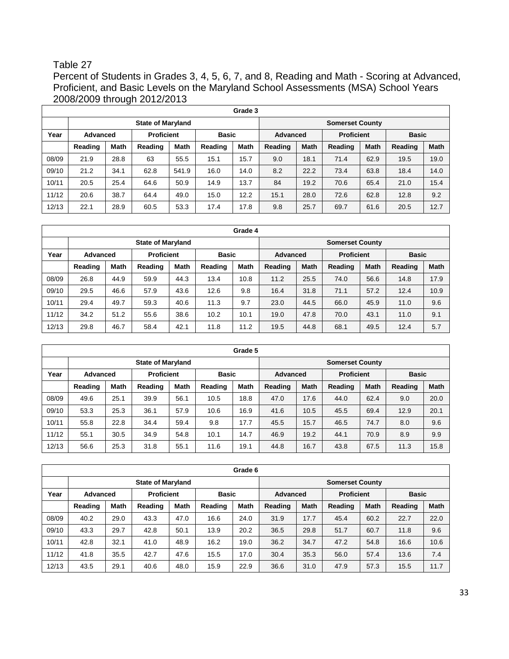### Table 27

Percent of Students in Grades 3, 4, 5, 6, 7, and 8, Reading and Math - Scoring at Advanced, Proficient, and Basic Levels on the Maryland School Assessments (MSA) School Years 2008/2009 through 2012/2013

|       | Grade 3  |             |                          |             |         |                        |         |                 |         |                   |         |              |  |  |  |
|-------|----------|-------------|--------------------------|-------------|---------|------------------------|---------|-----------------|---------|-------------------|---------|--------------|--|--|--|
|       |          |             | <b>State of Maryland</b> |             |         | <b>Somerset County</b> |         |                 |         |                   |         |              |  |  |  |
| Year  | Advanced |             | <b>Proficient</b>        |             |         | <b>Basic</b>           |         | <b>Advanced</b> |         | <b>Proficient</b> |         | <b>Basic</b> |  |  |  |
|       | Reading  | <b>Math</b> | Reading                  | <b>Math</b> | Reading | <b>Math</b>            | Reading | <b>Math</b>     | Reading | <b>Math</b>       | Reading | <b>Math</b>  |  |  |  |
| 08/09 | 21.9     | 28.8        | 63                       | 55.5        | 15.1    | 15.7                   | 9.0     | 18.1            | 71.4    | 62.9              | 19.5    | 19.0         |  |  |  |
| 09/10 | 21.2     | 34.1        | 62.8                     | 541.9       | 16.0    | 14.0                   | 8.2     | 22.2            | 73.4    | 63.8              | 18.4    | 14.0         |  |  |  |
| 10/11 | 20.5     | 25.4        | 64.6                     | 50.9        | 14.9    | 13.7                   | 84      | 19.2            | 70.6    | 65.4              | 21.0    | 15.4         |  |  |  |
| 11/12 | 20.6     | 38.7        | 64.4                     | 49.0        | 15.0    | 12.2                   | 15.1    | 28.0            | 72.6    | 62.8              | 12.8    | 9.2          |  |  |  |
| 12/13 | 22.1     | 28.9        | 60.5                     | 53.3        | 17.4    | 17.8                   | 9.8     | 25.7            | 69.7    | 61.6              | 20.5    | 12.7         |  |  |  |

**Grade 4 State of Maryland State of Maryland Somerset County Year Advanced Proficient Basic Advanced Proficient Basic Reading Math Reading Math Reading Math Reading Math Reading Math Reading Math** 08/09 | 26.8 | 44.9 | 59.9 | 44.3 | 13.4 | 10.8 | 11.2 | 25.5 | 74.0 | 56.6 | 14.8 | 17.9 09/10 | 29.5 | 46.6 | 57.9 | 43.6 | 12.6 | 9.8 | 16.4 | 31.8 | 71.1 | 57.2 | 12.4 | 10.9 10/11 29.4 49.7 59.3 40.6 11.3 9.7 23.0 44.5 66.0 45.9 11.0 9.6 11/12 | 34.2 | 51.2 | 55.6 | 38.6 | 10.2 | 10.1 | 19.0 | 47.8 | 70.0 | 43.1 | 11.0 | 9.1 12/13 | 29.8 | 46.7 | 58.4 | 42.1 | 11.8 | 11.2 | 19.5 | 44.8 | 68.1 | 49.5 | 12.4 | 5.7

|       | Grade 5  |             |                          |                   |         |                        |         |                 |         |                   |              |             |  |  |  |
|-------|----------|-------------|--------------------------|-------------------|---------|------------------------|---------|-----------------|---------|-------------------|--------------|-------------|--|--|--|
|       |          |             | <b>State of Maryland</b> |                   |         | <b>Somerset County</b> |         |                 |         |                   |              |             |  |  |  |
| Year  | Advanced |             |                          | <b>Proficient</b> |         | <b>Basic</b>           |         | <b>Advanced</b> |         | <b>Proficient</b> | <b>Basic</b> |             |  |  |  |
|       | Reading  | <b>Math</b> | Reading                  | <b>Math</b>       | Reading | <b>Math</b>            | Reading | <b>Math</b>     | Reading | <b>Math</b>       | Reading      | <b>Math</b> |  |  |  |
| 08/09 | 49.6     | 25.1        | 39.9                     | 56.1              | 10.5    | 18.8                   | 47.0    | 17.6            | 44.0    | 62.4              | 9.0          | 20.0        |  |  |  |
| 09/10 | 53.3     | 25.3        | 36.1                     | 57.9              | 10.6    | 16.9                   | 41.6    | 10.5            | 45.5    | 69.4              | 12.9         | 20.1        |  |  |  |
| 10/11 | 55.8     | 22.8        | 34.4                     | 59.4              | 9.8     | 17.7                   | 45.5    | 15.7            | 46.5    | 74.7              | 8.0          | 9.6         |  |  |  |
| 11/12 | 55.1     | 30.5        | 34.9                     | 54.8              | 10.1    | 14.7                   | 46.9    | 19.2            | 44.1    | 70.9              | 8.9          | 9.9         |  |  |  |
| 12/13 | 56.6     | 25.3        | 31.8                     | 55.1              | 11.6    | 19.1                   | 44.8    | 16.7            | 43.8    | 67.5              | 11.3         | 15.8        |  |  |  |

|       | Grade 6  |             |                          |             |              |                        |                 |             |                   |             |              |             |  |  |  |
|-------|----------|-------------|--------------------------|-------------|--------------|------------------------|-----------------|-------------|-------------------|-------------|--------------|-------------|--|--|--|
|       |          |             | <b>State of Maryland</b> |             |              | <b>Somerset County</b> |                 |             |                   |             |              |             |  |  |  |
| Year  | Advanced |             | <b>Proficient</b>        |             | <b>Basic</b> |                        | <b>Advanced</b> |             | <b>Proficient</b> |             | <b>Basic</b> |             |  |  |  |
|       | Reading  | <b>Math</b> | Reading                  | <b>Math</b> | Reading      | <b>Math</b>            | Reading         | <b>Math</b> | Reading           | <b>Math</b> | Reading      | <b>Math</b> |  |  |  |
| 08/09 | 40.2     | 29.0        | 43.3                     | 47.0        | 16.6         | 24.0                   | 31.9            | 17.7        | 45.4              | 60.2        | 22.7         | 22.0        |  |  |  |
| 09/10 | 43.3     | 29.7        | 42.8                     | 50.1        | 13.9         | 20.2                   | 36.5            | 29.8        | 51.7              | 60.7        | 11.8         | 9.6         |  |  |  |
| 10/11 | 42.8     | 32.1        | 41.0                     | 48.9        | 16.2         | 19.0                   | 36.2            | 34.7        | 47.2              | 54.8        | 16.6         | 10.6        |  |  |  |
| 11/12 | 41.8     | 35.5        | 42.7                     | 47.6        | 15.5         | 17.0                   | 30.4            | 35.3        | 56.0              | 57.4        | 13.6         | 7.4         |  |  |  |
| 12/13 | 43.5     | 29.1        | 40.6                     | 48.0        | 15.9         | 22.9                   | 36.6            | 31.0        | 47.9              | 57.3        | 15.5         | 11.7        |  |  |  |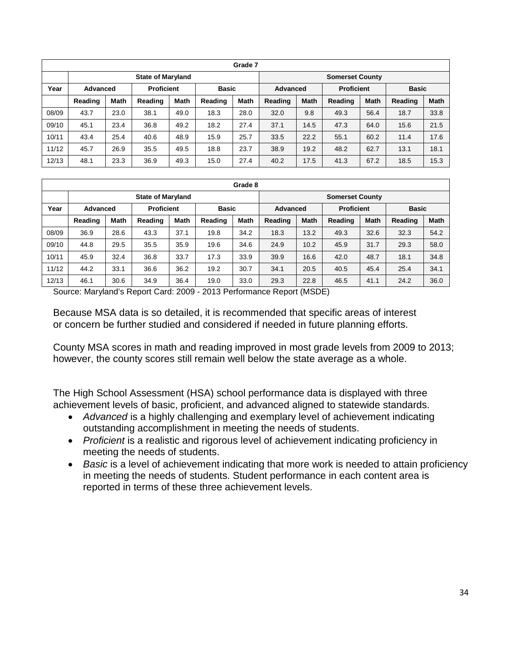|       | Grade 7                  |             |         |                                   |         |                 |                        |                   |         |              |         |             |  |
|-------|--------------------------|-------------|---------|-----------------------------------|---------|-----------------|------------------------|-------------------|---------|--------------|---------|-------------|--|
|       | <b>State of Maryland</b> |             |         |                                   |         |                 | <b>Somerset County</b> |                   |         |              |         |             |  |
| Year  | Advanced                 |             |         | <b>Proficient</b><br><b>Basic</b> |         | <b>Advanced</b> |                        | <b>Proficient</b> |         | <b>Basic</b> |         |             |  |
|       | Reading                  | <b>Math</b> | Reading | <b>Math</b>                       | Reading | <b>Math</b>     | Reading                | <b>Math</b>       | Reading | <b>Math</b>  | Reading | <b>Math</b> |  |
| 08/09 | 43.7                     | 23.0        | 38.1    | 49.0                              | 18.3    | 28.0            | 32.0                   | 9.8               | 49.3    | 56.4         | 18.7    | 33.8        |  |
| 09/10 | 45.1                     | 23.4        | 36.8    | 49.2                              | 18.2    | 27.4            | 37.1                   | 14.5              | 47.3    | 64.0         | 15.6    | 21.5        |  |
| 10/11 | 43.4                     | 25.4        | 40.6    | 48.9                              | 15.9    | 25.7            | 33.5                   | 22.2              | 55.1    | 60.2         | 11.4    | 17.6        |  |
| 11/12 | 45.7                     | 26.9        | 35.5    | 49.5                              | 18.8    | 23.7            | 38.9                   | 19.2              | 48.2    | 62.7         | 13.1    | 18.1        |  |
| 12/13 | 48.1                     | 23.3        | 36.9    | 49.3                              | 15.0    | 27.4            | 40.2                   | 17.5              | 41.3    | 67.2         | 18.5    | 15.3        |  |

|       | Grade 8                       |             |         |              |         |                        |         |                   |         |              |         |             |
|-------|-------------------------------|-------------|---------|--------------|---------|------------------------|---------|-------------------|---------|--------------|---------|-------------|
|       | <b>State of Maryland</b>      |             |         |              |         | <b>Somerset County</b> |         |                   |         |              |         |             |
| Year  | <b>Proficient</b><br>Advanced |             |         | <b>Basic</b> |         | <b>Advanced</b>        |         | <b>Proficient</b> |         | <b>Basic</b> |         |             |
|       | Reading                       | <b>Math</b> | Reading | <b>Math</b>  | Reading | <b>Math</b>            | Reading | <b>Math</b>       | Reading | <b>Math</b>  | Reading | <b>Math</b> |
| 08/09 | 36.9                          | 28.6        | 43.3    | 37.1         | 19.8    | 34.2                   | 18.3    | 13.2              | 49.3    | 32.6         | 32.3    | 54.2        |
| 09/10 | 44.8                          | 29.5        | 35.5    | 35.9         | 19.6    | 34.6                   | 24.9    | 10.2              | 45.9    | 31.7         | 29.3    | 58.0        |
| 10/11 | 45.9                          | 32.4        | 36.8    | 33.7         | 17.3    | 33.9                   | 39.9    | 16.6              | 42.0    | 48.7         | 18.1    | 34.8        |
| 11/12 | 44.2                          | 33.1        | 36.6    | 36.2         | 19.2    | 30.7                   | 34.1    | 20.5              | 40.5    | 45.4         | 25.4    | 34.1        |
| 12/13 | 46.1                          | 30.6        | 34.9    | 36.4         | 19.0    | 33.0                   | 29.3    | 22.8              | 46.5    | 41.1         | 24.2    | 36.0        |

Source: Maryland's Report Card: 2009 - 2013 Performance Report (MSDE)

Because MSA data is so detailed, it is recommended that specific areas of interest or concern be further studied and considered if needed in future planning efforts.

County MSA scores in math and reading improved in most grade levels from 2009 to 2013; however, the county scores still remain well below the state average as a whole.

The High School Assessment (HSA) school performance data is displayed with three achievement levels of basic, proficient, and advanced aligned to statewide standards.

- *Advanced* is a highly challenging and exemplary level of achievement indicating outstanding accomplishment in meeting the needs of students.
- *Proficient* is a realistic and rigorous level of achievement indicating proficiency in meeting the needs of students.
- *Basic* is a level of achievement indicating that more work is needed to attain proficiency in meeting the needs of students. Student performance in each content area is reported in terms of these three achievement levels.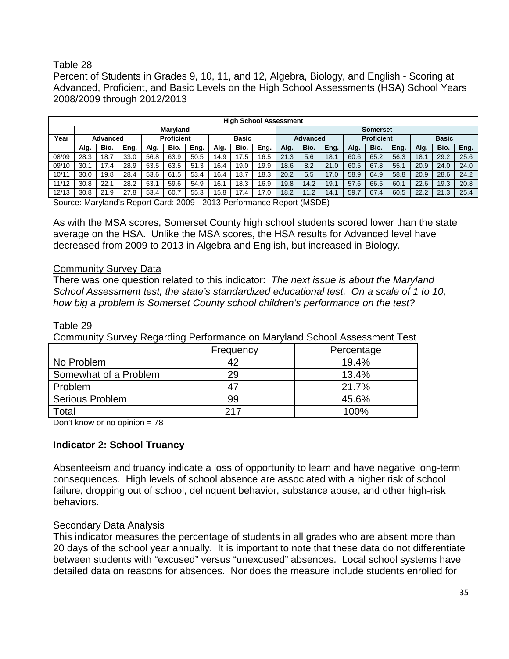### Table 28

Percent of Students in Grades 9, 10, 11, and 12, Algebra, Biology, and English - Scoring at Advanced, Proficient, and Basic Levels on the High School Assessments (HSA) School Years 2008/2009 through 2012/2013

|       | <b>High School Assessment</b> |      |      |      |              |      |                 |          |      |                   |      |      |      |              |      |      |      |      |
|-------|-------------------------------|------|------|------|--------------|------|-----------------|----------|------|-------------------|------|------|------|--------------|------|------|------|------|
|       | <b>Marvland</b>               |      |      |      |              |      | <b>Somerset</b> |          |      |                   |      |      |      |              |      |      |      |      |
| Year  | <b>Proficient</b><br>Advanced |      |      |      | <b>Basic</b> |      |                 | Advanced |      | <b>Proficient</b> |      |      |      | <b>Basic</b> |      |      |      |      |
|       | Alg.                          | Bio. | Eng. | Alg. | Bio.         | Eng. | Alg.            | Bio.     | Eng. | Alg.              | Bio. | Eng. | Alg. | Bio.         | Eng. | Alg. | Bio. | Eng. |
| 08/09 | 28.3                          | 18.7 | 33.0 | 56.8 | 63.9         | 50.5 | 14.9            | 17.5     | 16.5 | 21.3              | 5.6  | 18.1 | 60.6 | 65.2         | 56.3 | 18.7 | 29.2 | 25.6 |
| 09/10 | 30.7                          | 17.4 | 28.9 | 53.5 | 63.5         | 51.3 | 16.4            | 19.0     | 19.9 | 18.6              | 8.2  | 21.0 | 60.5 | 67.8         | 55.1 | 20.9 | 24.0 | 24.0 |
| 10/11 | 30.0                          | 9.8  | 28.4 | 53.6 | 61.5         | 53.4 | 16.4            | 18.7     | 18.3 | 20.2              | 6.5  | 17.0 | 58.9 | 64.9         | 58.8 | 20.9 | 28.6 | 24.2 |
| 11/12 | 30.8                          | 22.1 | 28.2 | 53.1 | 59.6         | 54.9 | 16.1            | 18.3     | 16.9 | 19.8              | 14.2 | 19.1 | 57.6 | 66.5         | 60.1 | 22.6 | 19.3 | 20.8 |
| 12/13 | 30.8                          | 21.9 | 27.8 | 53.4 | 60.7         | 55.3 | 15.8            | 17.4     | 17.0 | 18.2              | 1.2  | 14.1 | 59.7 | 67.4         | 60.5 | 22.2 | 21.3 | 25.4 |

Source: Maryland's Report Card: 2009 - 2013 Performance Report (MSDE)

As with the MSA scores, Somerset County high school students scored lower than the state average on the HSA. Unlike the MSA scores, the HSA results for Advanced level have decreased from 2009 to 2013 in Algebra and English, but increased in Biology.

#### Community Survey Data

There was one question related to this indicator: *The next issue is about the Maryland School Assessment test, the state's standardized educational test. On a scale of 1 to 10, how big a problem is Somerset County school children's performance on the test?* 

# Frequency | Percentage No Problem  $\overline{42}$  and  $\overline{19.4\%}$ Somewhat of a Problem 29 13.4% Problem | 47 | 21.7% Serious Problem 199 15.6% Total 217 100%

Table 29

Community Survey Regarding Performance on Maryland School Assessment Test

Don't know or no opinion  $= 78$ 

### **Indicator 2: School Truancy**

Absenteeism and truancy indicate a loss of opportunity to learn and have negative long-term consequences. High levels of school absence are associated with a higher risk of school failure, dropping out of school, delinquent behavior, substance abuse, and other high-risk behaviors.

### Secondary Data Analysis

This indicator measures the percentage of students in all grades who are absent more than 20 days of the school year annually. It is important to note that these data do not differentiate between students with "excused" versus "unexcused" absences. Local school systems have detailed data on reasons for absences. Nor does the measure include students enrolled for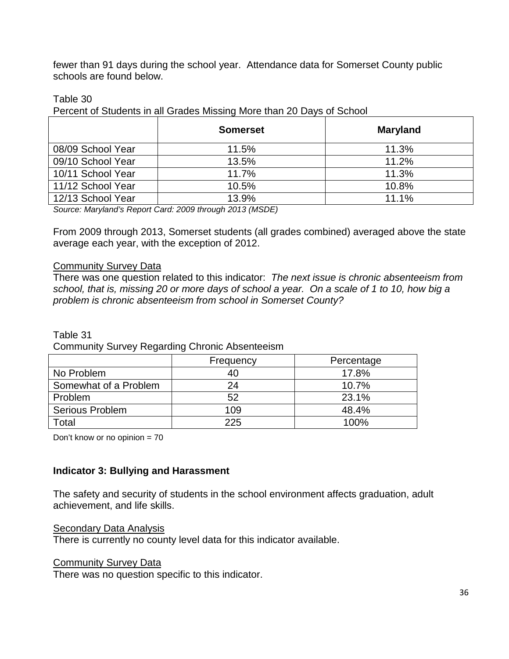fewer than 91 days during the school year. Attendance data for Somerset County public schools are found below.

### Table 30

Percent of Students in all Grades Missing More than 20 Days of School

|                   | <b>Somerset</b> | <b>Maryland</b> |
|-------------------|-----------------|-----------------|
| 08/09 School Year | 11.5%           | 11.3%           |
| 09/10 School Year | 13.5%           | 11.2%           |
| 10/11 School Year | 11.7%           | 11.3%           |
| 11/12 School Year | 10.5%           | 10.8%           |
| 12/13 School Year | 13.9%           | 11.1%           |

*Source: Maryland's Report Card: 2009 through 2013 (MSDE)*

From 2009 through 2013, Somerset students (all grades combined) averaged above the state average each year, with the exception of 2012.

#### Community Survey Data

There was one question related to this indicator: *The next issue is chronic absenteeism from school, that is, missing 20 or more days of school a year. On a scale of 1 to 10, how big a problem is chronic absenteeism from school in Somerset County?* 

Table 31

Community Survey Regarding Chronic Absenteeism

|                        | Frequency | Percentage |
|------------------------|-----------|------------|
| No Problem             | 40        | 17.8%      |
| Somewhat of a Problem  | 24        | 10.7%      |
| <b>Problem</b>         | 52        | 23.1%      |
| <b>Serious Problem</b> | 109       | 48.4%      |
| Γotal                  | 225       | 100%       |

Don't know or no opinion = 70

### **Indicator 3: Bullying and Harassment**

The safety and security of students in the school environment affects graduation, adult achievement, and life skills.

### Secondary Data Analysis

There is currently no county level data for this indicator available.

### Community Survey Data

There was no question specific to this indicator.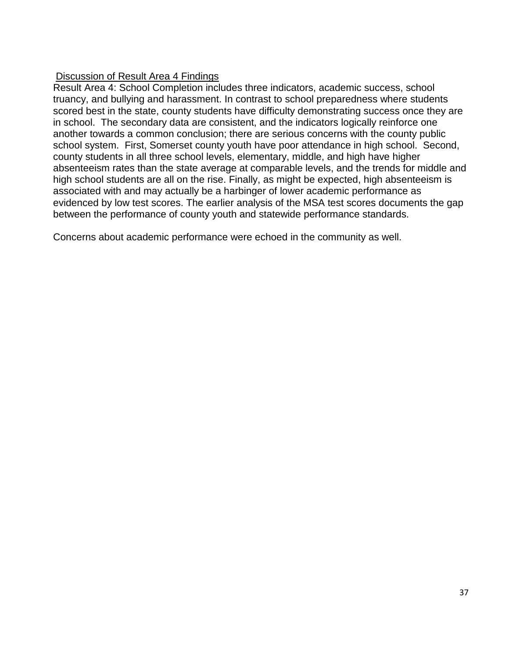### Discussion of Result Area 4 Findings

Result Area 4: School Completion includes three indicators, academic success, school truancy, and bullying and harassment. In contrast to school preparedness where students scored best in the state, county students have difficulty demonstrating success once they are in school. The secondary data are consistent, and the indicators logically reinforce one another towards a common conclusion; there are serious concerns with the county public school system. First, Somerset county youth have poor attendance in high school. Second, county students in all three school levels, elementary, middle, and high have higher absenteeism rates than the state average at comparable levels, and the trends for middle and high school students are all on the rise. Finally, as might be expected, high absenteeism is associated with and may actually be a harbinger of lower academic performance as evidenced by low test scores. The earlier analysis of the MSA test scores documents the gap between the performance of county youth and statewide performance standards.

Concerns about academic performance were echoed in the community as well.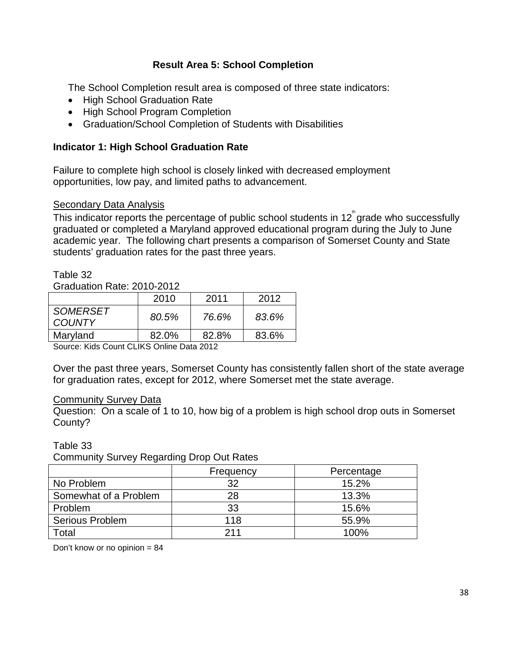### **Result Area 5: School Completion**

The School Completion result area is composed of three state indicators:

- High School Graduation Rate
- High School Program Completion
- Graduation/School Completion of Students with Disabilities

### **Indicator 1: High School Graduation Rate**

Failure to complete high school is closely linked with decreased employment opportunities, low pay, and limited paths to advancement.

### Secondary Data Analysis

This indicator reports the percentage of public school students in 12  $\degree$ grade who successfully graduated or completed a Maryland approved educational program during the July to June academic year. The following chart presents a comparison of Somerset County and State students' graduation rates for the past three years.

#### Table 32

Graduation Rate: 2010-2012

|                                  | 2010  | 2011  | 2012  |
|----------------------------------|-------|-------|-------|
| <b>SOMERSET</b><br><b>COUNTY</b> | 80.5% | 76.6% | 83.6% |
| Maryland                         | 82.0% | 82.8% | 83.6% |
|                                  |       |       |       |

Source: Kids Count CLIKS Online Data 2012

Over the past three years, Somerset County has consistently fallen short of the state average for graduation rates, except for 2012, where Somerset met the state average.

#### Community Survey Data

Question: On a scale of 1 to 10, how big of a problem is high school drop outs in Somerset County?

Table 33

Community Survey Regarding Drop Out Rates

|                       | Frequency | Percentage |
|-----------------------|-----------|------------|
| No Problem            | 32        | 15.2%      |
| Somewhat of a Problem | 28        | 13.3%      |
| Problem               | 33        | 15.6%      |
| Serious Problem       | 118       | 55.9%      |
| Гоtal                 | 211       | 100%       |

Don't know or no opinion = 84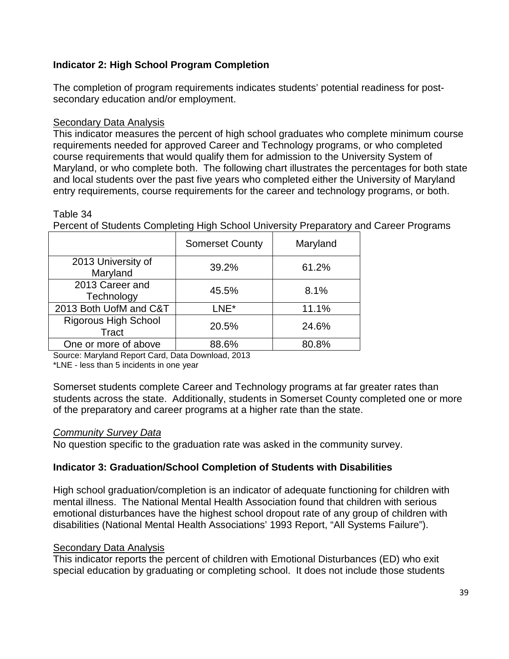## **Indicator 2: High School Program Completion**

The completion of program requirements indicates students' potential readiness for postsecondary education and/or employment.

### Secondary Data Analysis

This indicator measures the percent of high school graduates who complete minimum course requirements needed for approved Career and Technology programs, or who completed course requirements that would qualify them for admission to the University System of Maryland, or who complete both. The following chart illustrates the percentages for both state and local students over the past five years who completed either the University of Maryland entry requirements, course requirements for the career and technology programs, or both.

#### Table 34

Percent of Students Completing High School University Preparatory and Career Programs

|                                      | <b>Somerset County</b> | Maryland |
|--------------------------------------|------------------------|----------|
| 2013 University of<br>Maryland       | 39.2%                  | 61.2%    |
| 2013 Career and<br>Technology        | 45.5%                  | 8.1%     |
| 2013 Both UofM and C&T               | LNE*                   | 11.1%    |
| <b>Rigorous High School</b><br>Tract | 20.5%                  | 24.6%    |
| One or more of above                 | 88.6%                  | 80.8%    |

Source: Maryland Report Card, Data Download, 2013

\*LNE - less than 5 incidents in one year

Somerset students complete Career and Technology programs at far greater rates than students across the state. Additionally, students in Somerset County completed one or more of the preparatory and career programs at a higher rate than the state.

### *Community Survey Data*

No question specific to the graduation rate was asked in the community survey.

### **Indicator 3: Graduation/School Completion of Students with Disabilities**

High school graduation/completion is an indicator of adequate functioning for children with mental illness. The National Mental Health Association found that children with serious emotional disturbances have the highest school dropout rate of any group of children with disabilities (National Mental Health Associations' 1993 Report, "All Systems Failure").

### **Secondary Data Analysis**

This indicator reports the percent of children with Emotional Disturbances (ED) who exit special education by graduating or completing school. It does not include those students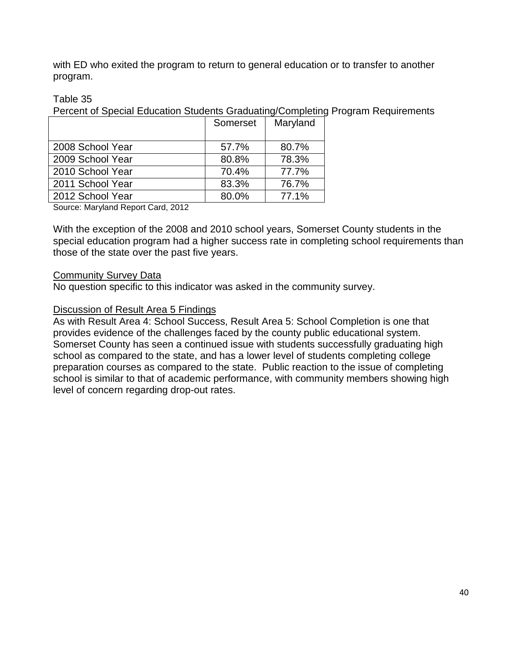with ED who exited the program to return to general education or to transfer to another program.

### Table 35

Percent of Special Education Students Graduating/Completing Program Requirements

|                  | Somerset | Maryland |
|------------------|----------|----------|
| 2008 School Year | 57.7%    | 80.7%    |
| 2009 School Year | 80.8%    | 78.3%    |
| 2010 School Year | 70.4%    | 77.7%    |
| 2011 School Year | 83.3%    | 76.7%    |
| 2012 School Year | 80.0%    | 77.1%    |
|                  |          |          |

Source: Maryland Report Card, 2012

With the exception of the 2008 and 2010 school years, Somerset County students in the special education program had a higher success rate in completing school requirements than those of the state over the past five years.

### Community Survey Data

No question specific to this indicator was asked in the community survey.

### Discussion of Result Area 5 Findings

As with Result Area 4: School Success, Result Area 5: School Completion is one that provides evidence of the challenges faced by the county public educational system. Somerset County has seen a continued issue with students successfully graduating high school as compared to the state, and has a lower level of students completing college preparation courses as compared to the state. Public reaction to the issue of completing school is similar to that of academic performance, with community members showing high level of concern regarding drop-out rates.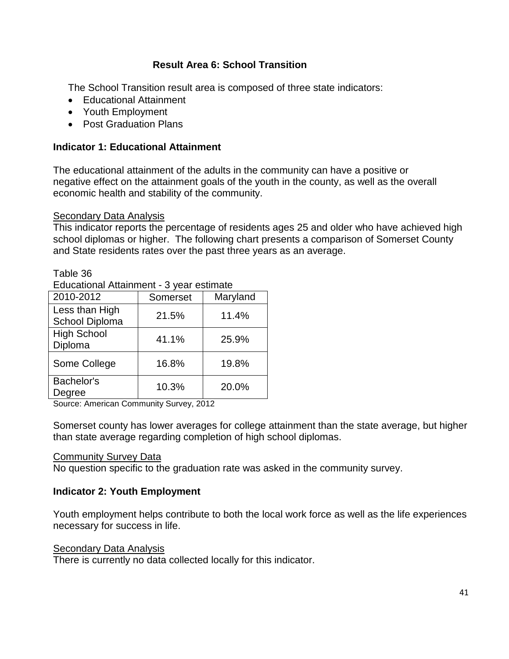### **Result Area 6: School Transition**

The School Transition result area is composed of three state indicators:

- Educational Attainment
- Youth Employment
- Post Graduation Plans

### **Indicator 1: Educational Attainment**

The educational attainment of the adults in the community can have a positive or negative effect on the attainment goals of the youth in the county, as well as the overall economic health and stability of the community.

### Secondary Data Analysis

Table 36

This indicator reports the percentage of residents ages 25 and older who have achieved high school diplomas or higher. The following chart presents a comparison of Somerset County and State residents rates over the past three years as an average.

| Educational Attainment - 3 year estimate |          |          |  |  |  |  |  |  |
|------------------------------------------|----------|----------|--|--|--|--|--|--|
| 2010-2012                                | Somerset | Maryland |  |  |  |  |  |  |
| Less than High<br>School Diploma         | 21.5%    | 11.4%    |  |  |  |  |  |  |
| <b>High School</b><br>Diploma            | 41.1%    | 25.9%    |  |  |  |  |  |  |
| Some College                             | 16.8%    | 19.8%    |  |  |  |  |  |  |
| Bachelor's<br>Degree                     | 10.3%    | 20.0%    |  |  |  |  |  |  |

Source: American Community Survey, 2012

Somerset county has lower averages for college attainment than the state average, but higher than state average regarding completion of high school diplomas.

#### **Community Survey Data**

No question specific to the graduation rate was asked in the community survey.

### **Indicator 2: Youth Employment**

Youth employment helps contribute to both the local work force as well as the life experiences necessary for success in life.

### **Secondary Data Analysis**

There is currently no data collected locally for this indicator.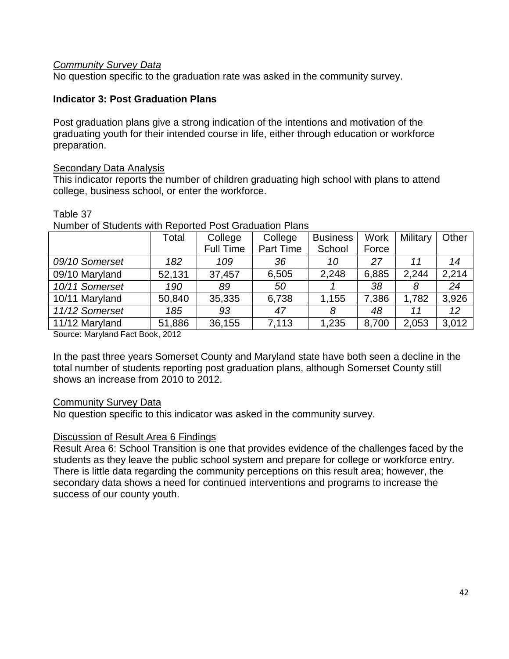### *Community Survey Data*

No question specific to the graduation rate was asked in the community survey.

### **Indicator 3: Post Graduation Plans**

Post graduation plans give a strong indication of the intentions and motivation of the graduating youth for their intended course in life, either through education or workforce preparation.

#### Secondary Data Analysis

This indicator reports the number of children graduating high school with plans to attend college, business school, or enter the workforce.

#### Table 37

|                                                  | Total  | College          | College   | <b>Business</b> | <b>Work</b> | Military | Other           |
|--------------------------------------------------|--------|------------------|-----------|-----------------|-------------|----------|-----------------|
|                                                  |        | <b>Full Time</b> | Part Time | School          | Force       |          |                 |
| 09/10 Somerset                                   | 182    | 109              | 36        | 10              | 27          | 11       | 14              |
| 09/10 Maryland                                   | 52,131 | 37,457           | 6,505     | 2,248           | 6,885       | 2,244    | 2,214           |
| 10/11 Somerset                                   | 190    | 89               | 50        |                 | 38          | 8        | 24              |
| 10/11 Maryland                                   | 50,840 | 35,335           | 6,738     | 1,155           | 7,386       | 1,782    | 3,926           |
| 11/12 Somerset                                   | 185    | 93               | 47        | 8               | 48          | 11       | 12 <sup>°</sup> |
| 11/12 Maryland                                   | 51,886 | 36,155           | 7,113     | 1,235           | 8,700       | 2,053    | 3,012           |
| $O_{\text{source}}$ , Member J. Fest Deal : 0040 |        |                  |           |                 |             |          |                 |

Number of Students with Reported Post Graduation Plans

Source: Maryland Fact Book, 2012

In the past three years Somerset County and Maryland state have both seen a decline in the total number of students reporting post graduation plans, although Somerset County still shows an increase from 2010 to 2012.

### Community Survey Data

No question specific to this indicator was asked in the community survey.

### Discussion of Result Area 6 Findings

Result Area 6: School Transition is one that provides evidence of the challenges faced by the students as they leave the public school system and prepare for college or workforce entry. There is little data regarding the community perceptions on this result area; however, the secondary data shows a need for continued interventions and programs to increase the success of our county youth.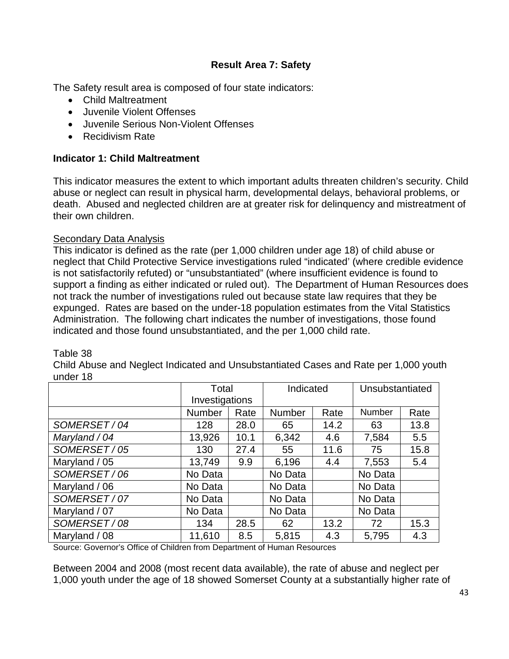### **Result Area 7: Safety**

The Safety result area is composed of four state indicators:

- Child Maltreatment
- Juvenile Violent Offenses
- Juvenile Serious Non-Violent Offenses
- Recidivism Rate

### **Indicator 1: Child Maltreatment**

This indicator measures the extent to which important adults threaten children's security. Child abuse or neglect can result in physical harm, developmental delays, behavioral problems, or death. Abused and neglected children are at greater risk for delinquency and mistreatment of their own children.

### Secondary Data Analysis

This indicator is defined as the rate (per 1,000 children under age 18) of child abuse or neglect that Child Protective Service investigations ruled "indicated' (where credible evidence is not satisfactorily refuted) or "unsubstantiated" (where insufficient evidence is found to support a finding as either indicated or ruled out). The Department of Human Resources does not track the number of investigations ruled out because state law requires that they be expunged. Rates are based on the under-18 population estimates from the Vital Statistics Administration. The following chart indicates the number of investigations, those found indicated and those found unsubstantiated, and the per 1,000 child rate.

### Table 38

Child Abuse and Neglect Indicated and Unsubstantiated Cases and Rate per 1,000 youth under 18

|               | Total                 |      | Indicated     |      | Unsubstantiated |      |
|---------------|-----------------------|------|---------------|------|-----------------|------|
|               | Investigations        |      |               |      |                 |      |
|               | <b>Number</b><br>Rate |      | <b>Number</b> | Rate | Number          | Rate |
| SOMERSET/04   | 128                   | 28.0 | 65            | 14.2 | 63              | 13.8 |
| Maryland / 04 | 13,926                | 10.1 | 6,342         | 4.6  | 7,584           | 5.5  |
| SOMERSET/05   | 130                   | 27.4 | 55            | 11.6 | 75              | 15.8 |
| Maryland / 05 | 13,749                | 9.9  | 6,196         | 4.4  | 7,553           | 5.4  |
| SOMERSET/06   | No Data               |      | No Data       |      | No Data         |      |
| Maryland / 06 | No Data               |      | No Data       |      | No Data         |      |
| SOMERSET/07   | No Data               |      | No Data       |      | No Data         |      |
| Maryland / 07 | No Data               |      | No Data       |      | No Data         |      |
| SOMERSET/08   | 134                   | 28.5 | 62            | 13.2 | 72              | 15.3 |
| Maryland / 08 | 11,610                | 8.5  | 5,815         | 4.3  | 5,795           | 4.3  |

Source: Governor's Office of Children from Department of Human Resources

Between 2004 and 2008 (most recent data available), the rate of abuse and neglect per 1,000 youth under the age of 18 showed Somerset County at a substantially higher rate of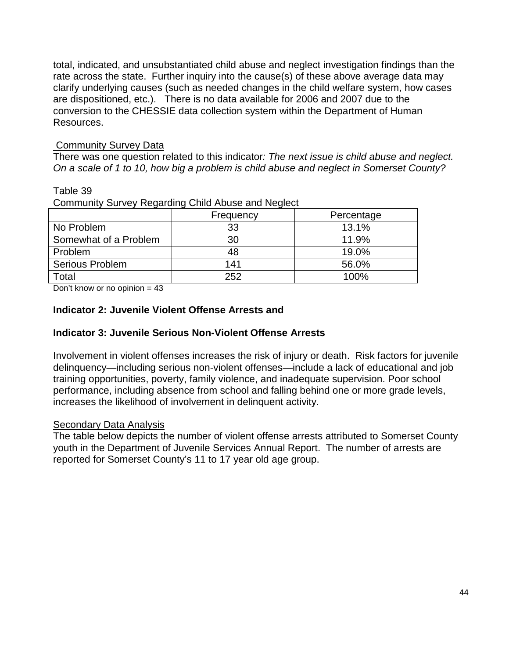total, indicated, and unsubstantiated child abuse and neglect investigation findings than the rate across the state. Further inquiry into the cause(s) of these above average data may clarify underlying causes (such as needed changes in the child welfare system, how cases are dispositioned, etc.). There is no data available for 2006 and 2007 due to the conversion to the CHESSIE data collection system within the Department of Human Resources.

### Community Survey Data

There was one question related to this indicator*: The next issue is child abuse and neglect. On a scale of 1 to 10, how big a problem is child abuse and neglect in Somerset County?* 

### Table 39

Community Survey Regarding Child Abuse and Neglect

|                        | Frequency | Percentage |
|------------------------|-----------|------------|
| No Problem             | 33        | 13.1%      |
| Somewhat of a Problem  | 30        | 11.9%      |
| Problem                | 48        | 19.0%      |
| <b>Serious Problem</b> | 141       | 56.0%      |
| Total                  | 252       | 100%       |

Don't know or no opinion = 43

### **Indicator 2: Juvenile Violent Offense Arrests and**

### **Indicator 3: Juvenile Serious Non-Violent Offense Arrests**

Involvement in violent offenses increases the risk of injury or death. Risk factors for juvenile delinquency—including serious non-violent offenses—include a lack of educational and job training opportunities, poverty, family violence, and inadequate supervision. Poor school performance, including absence from school and falling behind one or more grade levels, increases the likelihood of involvement in delinquent activity.

### **Secondary Data Analysis**

The table below depicts the number of violent offense arrests attributed to Somerset County youth in the Department of Juvenile Services Annual Report. The number of arrests are reported for Somerset County's 11 to 17 year old age group.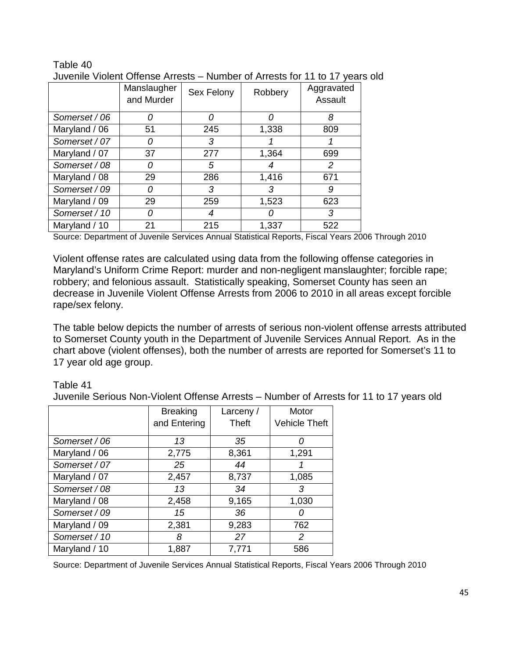|               |                           |            |         | , , , , ,             |
|---------------|---------------------------|------------|---------|-----------------------|
|               | Manslaugher<br>and Murder | Sex Felony | Robbery | Aggravated<br>Assault |
| Somerset / 06 | Ω                         | O          |         | 8                     |
| Maryland / 06 | 51                        | 245        | 1,338   | 809                   |
| Somerset / 07 | Ω                         | 3          |         |                       |
| Maryland / 07 | 37                        | 277        | 1,364   | 699                   |
| Somerset / 08 | Ω                         | 5          |         | 2                     |
| Maryland / 08 | 29                        | 286        | 1,416   | 671                   |
| Somerset / 09 | 0                         | 3          | 3       | 9                     |
| Maryland / 09 | 29                        | 259        | 1,523   | 623                   |
| Somerset / 10 | Ω                         |            |         | 3                     |
| Maryland / 10 | 21                        | 215        | 1,337   | 522                   |

#### Table 40 Juvenile Violent Offense Arrests – Number of Arrests for 11 to 17 years old

Source: Department of Juvenile Services Annual Statistical Reports, Fiscal Years 2006 Through 2010

Violent offense rates are calculated using data from the following offense categories in Maryland's Uniform Crime Report: murder and non-negligent manslaughter; forcible rape; robbery; and felonious assault. Statistically speaking, Somerset County has seen an decrease in Juvenile Violent Offense Arrests from 2006 to 2010 in all areas except forcible rape/sex felony.

The table below depicts the number of arrests of serious non-violent offense arrests attributed to Somerset County youth in the Department of Juvenile Services Annual Report. As in the chart above (violent offenses), both the number of arrests are reported for Somerset's 11 to 17 year old age group.

### Table 41

Juvenile Serious Non-Violent Offense Arrests – Number of Arrests for 11 to 17 years old

|               | <b>Breaking</b> | Larceny / | Motor                |
|---------------|-----------------|-----------|----------------------|
|               | and Entering    | Theft     | <b>Vehicle Theft</b> |
| Somerset / 06 | 13              | 35        |                      |
| Maryland / 06 | 2,775           | 8,361     | 1,291                |
| Somerset / 07 | 25              | 44        |                      |
| Maryland / 07 | 2,457           | 8,737     | 1,085                |
| Somerset / 08 | 13              | 34        | 3                    |
| Maryland / 08 | 2,458           | 9,165     | 1,030                |
| Somerset / 09 | 15              | 36        |                      |
| Maryland / 09 | 2,381           | 9,283     | 762                  |
| Somerset / 10 | 8               | 27        | $\overline{2}$       |
| Maryland / 10 | 1,887           | 7,771     | 586                  |

Source: Department of Juvenile Services Annual Statistical Reports, Fiscal Years 2006 Through 2010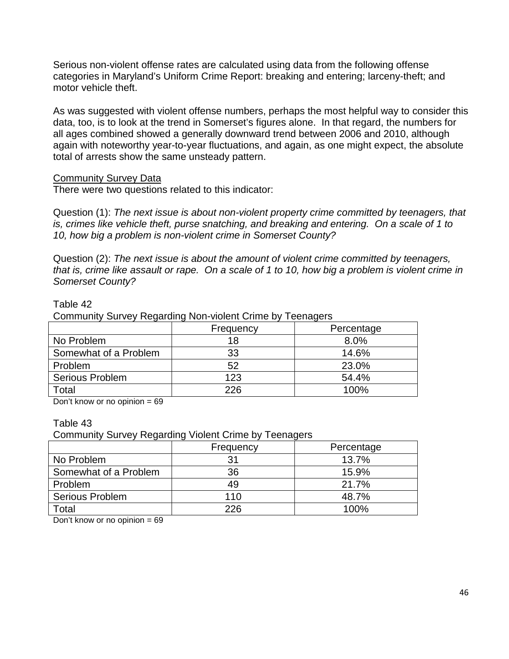Serious non-violent offense rates are calculated using data from the following offense categories in Maryland's Uniform Crime Report: breaking and entering; larceny-theft; and motor vehicle theft.

As was suggested with violent offense numbers, perhaps the most helpful way to consider this data, too, is to look at the trend in Somerset's figures alone. In that regard, the numbers for all ages combined showed a generally downward trend between 2006 and 2010, although again with noteworthy year-to-year fluctuations, and again, as one might expect, the absolute total of arrests show the same unsteady pattern.

### Community Survey Data

There were two questions related to this indicator:

Question (1): *The next issue is about non-violent property crime committed by teenagers, that is, crimes like vehicle theft, purse snatching, and breaking and entering. On a scale of 1 to 10, how big a problem is non-violent crime in Somerset County?*

Question (2): *The next issue is about the amount of violent crime committed by teenagers, that is, crime like assault or rape. On a scale of 1 to 10, how big a problem is violent crime in Somerset County?* 

#### Table 42

Community Survey Regarding Non-violent Crime by Teenagers

|                        | Frequency | Percentage |
|------------------------|-----------|------------|
| No Problem             |           | 8.0%       |
| Somewhat of a Problem  | 33        | 14.6%      |
| Problem                | 52        | 23.0%      |
| <b>Serious Problem</b> | 123       | 54.4%      |
| Total                  | 226       | 100%       |

Don't know or no opinion  $= 69$ 

#### Table 43

Community Survey Regarding Violent Crime by Teenagers

|                        | Frequency | Percentage |
|------------------------|-----------|------------|
| No Problem             | 31        | 13.7%      |
| Somewhat of a Problem  | 36        | 15.9%      |
| Problem                | 49        | 21.7%      |
| <b>Serious Problem</b> | 110       | 48.7%      |
| Total                  | 226       | 100%       |

Don't know or no opinion  $= 69$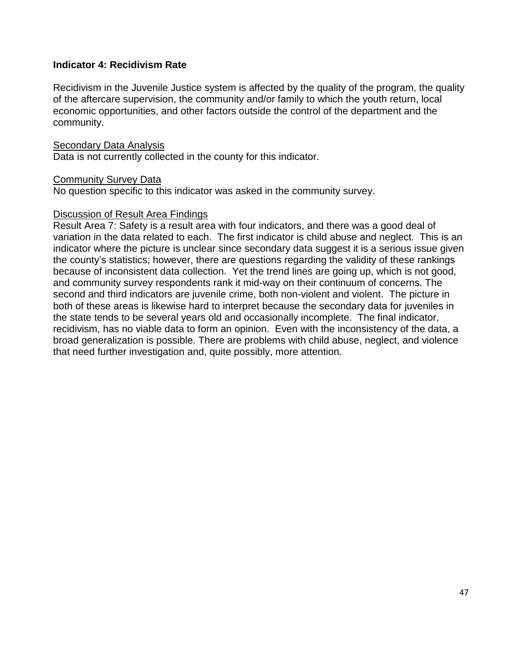### **Indicator 4: Recidivism Rate**

Recidivism in the Juvenile Justice system is affected by the quality of the program, the quality of the aftercare supervision, the community and/or family to which the youth return, local economic opportunities, and other factors outside the control of the department and the community.

#### Secondary Data Analysis

Data is not currently collected in the county for this indicator.

#### Community Survey Data

No question specific to this indicator was asked in the community survey.

#### Discussion of Result Area Findings

Result Area 7: Safety is a result area with four indicators, and there was a good deal of variation in the data related to each. The first indicator is child abuse and neglect. This is an indicator where the picture is unclear since secondary data suggest it is a serious issue given the county's statistics; however, there are questions regarding the validity of these rankings because of inconsistent data collection. Yet the trend lines are going up, which is not good, and community survey respondents rank it mid-way on their continuum of concerns. The second and third indicators are juvenile crime, both non-violent and violent. The picture in both of these areas is likewise hard to interpret because the secondary data for juveniles in the state tends to be several years old and occasionally incomplete. The final indicator, recidivism, has no viable data to form an opinion. Even with the inconsistency of the data, a broad generalization is possible. There are problems with child abuse, neglect, and violence that need further investigation and, quite possibly, more attention.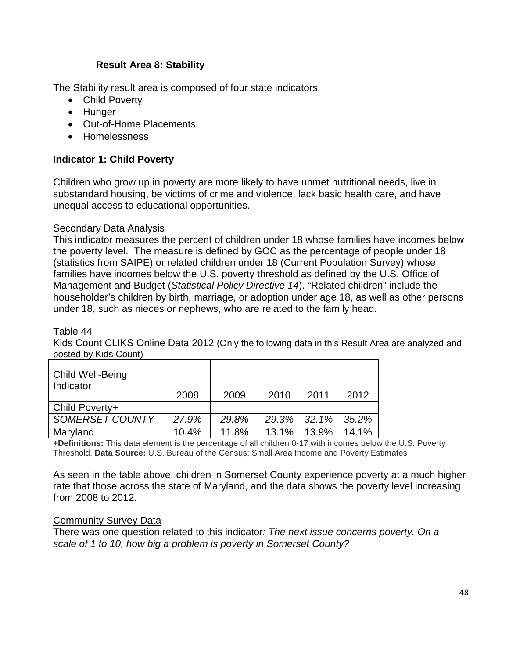### **Result Area 8: Stability**

The Stability result area is composed of four state indicators:

- Child Poverty
- Hunger
- Out-of-Home Placements
- Homelessness

### **Indicator 1: Child Poverty**

Children who grow up in poverty are more likely to have unmet nutritional needs, live in substandard housing, be victims of crime and violence, lack basic health care, and have unequal access to educational opportunities.

### **Secondary Data Analysis**

This indicator measures the percent of children under 18 whose families have incomes below the poverty level. The measure is defined by GOC as the percentage of people under 18 (statistics from SAIPE) or related children under 18 (Current Population Survey) whose families have incomes below the U.S. poverty threshold as defined by the U.S. Office of Management and Budget (*Statistical Policy Directive 14*). "Related children" include the householder's children by birth, marriage, or adoption under age 18, as well as other persons under 18, such as nieces or nephews, who are related to the family head.

### Table 44

Kids Count CLIKS Online Data 2012 (Only the following data in this Result Area are analyzed and posted by Kids Count)

| Child Well-Being<br>Indicator | 2008  | 2009  | 2010  | 2011  | 2012  |
|-------------------------------|-------|-------|-------|-------|-------|
| Child Poverty+                |       |       |       |       |       |
| <b>SOMERSET COUNTY</b>        | 27.9% | 29.8% | 29.3% | 32.1% | 35.2% |
| Maryland                      | 10.4% | 11.8% | 13.1% | 13.9% | 14.1% |

**+Definitions:** This data element is the percentage of all children 0-17 with incomes below the U.S. Poverty Threshold. **Data Source:** U.S. Bureau of the Census; Small Area Income and Poverty Estimates

As seen in the table above, children in Somerset County experience poverty at a much higher rate that those across the state of Maryland, and the data shows the poverty level increasing from 2008 to 2012.

### Community Survey Data

There was one question related to this indicator*: The next issue concerns poverty. On a scale of 1 to 10, how big a problem is poverty in Somerset County?*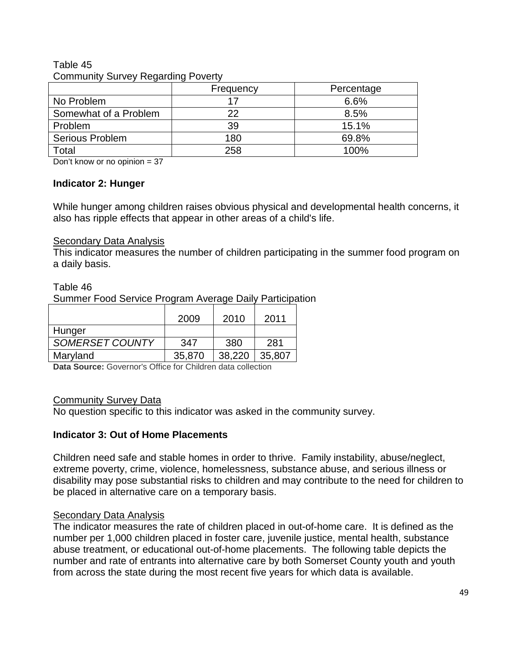### Table 45 Community Survey Regarding Poverty

|                        | Frequency | Percentage |  |  |
|------------------------|-----------|------------|--|--|
| No Problem             |           | 6.6%       |  |  |
| Somewhat of a Problem  | 22        | 8.5%       |  |  |
| Problem                | 39        | 15.1%      |  |  |
| <b>Serious Problem</b> | 180       | 69.8%      |  |  |
| Total                  | 258       | 100%       |  |  |

Don't know or no opinion = 37

### **Indicator 2: Hunger**

While hunger among children raises obvious physical and developmental health concerns, it also has ripple effects that appear in other areas of a child's life.

### **Secondary Data Analysis**

This indicator measures the number of children participating in the summer food program on a daily basis.

### Table 46

Summer Food Service Program Average Daily Participation

|                        | 2009   | 2010   | 2011   |
|------------------------|--------|--------|--------|
| Hunger                 |        |        |        |
| <b>SOMERSET COUNTY</b> | 347    | 380    | 281    |
| Maryland               | 35,870 | 38,220 | 35,807 |

**Data Source:** Governor's Office for Children data collection

### Community Survey Data

No question specific to this indicator was asked in the community survey.

### **Indicator 3: Out of Home Placements**

Children need safe and stable homes in order to thrive. Family instability, abuse/neglect, extreme poverty, crime, violence, homelessness, substance abuse, and serious illness or disability may pose substantial risks to children and may contribute to the need for children to be placed in alternative care on a temporary basis.

### **Secondary Data Analysis**

The indicator measures the rate of children placed in out-of-home care. It is defined as the number per 1,000 children placed in foster care, juvenile justice, mental health, substance abuse treatment, or educational out-of-home placements. The following table depicts the number and rate of entrants into alternative care by both Somerset County youth and youth from across the state during the most recent five years for which data is available.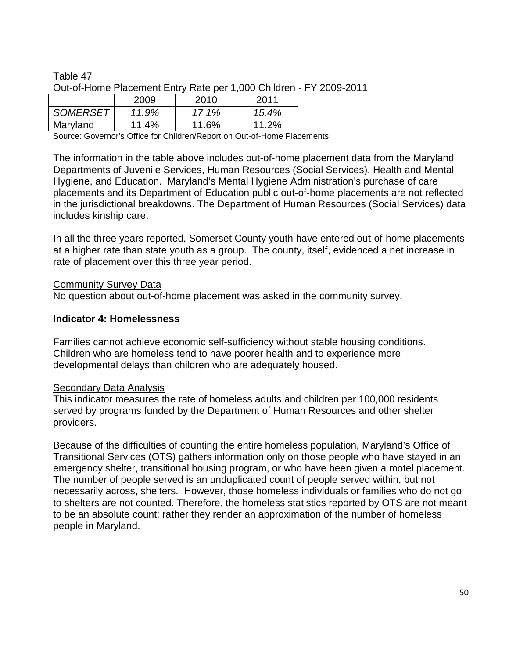Table 47 Out-of-Home Placement Entry Rate per 1,000 Children - FY 2009-2011

|                 | 2009  | 2010  | 2011  |
|-----------------|-------|-------|-------|
| <b>SOMERSET</b> | 11.9% | 17.1% | 15.4% |
| Maryland        | 11.4% | 11.6% | 11.2% |

Source: Governor's Office for Children/Report on Out-of-Home Placements

The information in the table above includes out-of-home placement data from the Maryland Departments of Juvenile Services, Human Resources (Social Services), Health and Mental Hygiene, and Education. Maryland's Mental Hygiene Administration's purchase of care placements and its Department of Education public out-of-home placements are not reflected in the jurisdictional breakdowns. The Department of Human Resources (Social Services) data includes kinship care.

In all the three years reported, Somerset County youth have entered out-of-home placements at a higher rate than state youth as a group. The county, itself, evidenced a net increase in rate of placement over this three year period.

### Community Survey Data

No question about out-of-home placement was asked in the community survey.

#### **Indicator 4: Homelessness**

Families cannot achieve economic self-sufficiency without stable housing conditions. Children who are homeless tend to have poorer health and to experience more developmental delays than children who are adequately housed.

#### Secondary Data Analysis

This indicator measures the rate of homeless adults and children per 100,000 residents served by programs funded by the Department of Human Resources and other shelter providers.

Because of the difficulties of counting the entire homeless population, Maryland's Office of Transitional Services (OTS) gathers information only on those people who have stayed in an emergency shelter, transitional housing program, or who have been given a motel placement. The number of people served is an unduplicated count of people served within, but not necessarily across, shelters. However, those homeless individuals or families who do not go to shelters are not counted. Therefore, the homeless statistics reported by OTS are not meant to be an absolute count; rather they render an approximation of the number of homeless people in Maryland.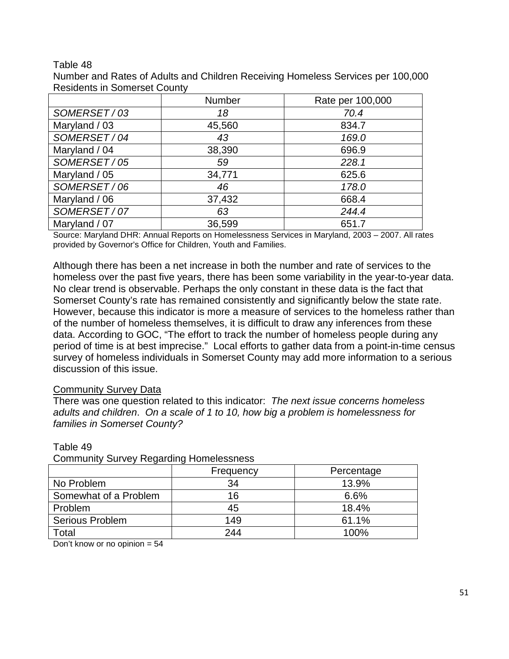#### Table 48

| Number and Rates of Adults and Children Receiving Homeless Services per 100,000 |  |
|---------------------------------------------------------------------------------|--|
| <b>Residents in Somerset County</b>                                             |  |

|               | Number | Rate per 100,000 |
|---------------|--------|------------------|
| SOMERSET/03   | 18     | 70.4             |
| Maryland / 03 | 45,560 | 834.7            |
| SOMERSET/04   | 43     | 169.0            |
| Maryland / 04 | 38,390 | 696.9            |
| SOMERSET/05   | 59     | 228.1            |
| Maryland / 05 | 34,771 | 625.6            |
| SOMERSET/06   | 46     | 178.0            |
| Maryland / 06 | 37,432 | 668.4            |
| SOMERSET/07   | 63     | 244.4            |
| Maryland / 07 | 36,599 | 651.7            |

Source: Maryland DHR: Annual Reports on Homelessness Services in Maryland, 2003 – 2007. All rates provided by Governor's Office for Children, Youth and Families.

Although there has been a net increase in both the number and rate of services to the homeless over the past five years, there has been some variability in the year-to-year data. No clear trend is observable. Perhaps the only constant in these data is the fact that Somerset County's rate has remained consistently and significantly below the state rate. However, because this indicator is more a measure of services to the homeless rather than of the number of homeless themselves, it is difficult to draw any inferences from these data. According to GOC, "The effort to track the number of homeless people during any period of time is at best imprecise." Local efforts to gather data from a point-in-time census survey of homeless individuals in Somerset County may add more information to a serious discussion of this issue.

#### Community Survey Data

There was one question related to this indicator: *The next issue concerns homeless adults and children*. *On a scale of 1 to 10, how big a problem is homelessness for families in Somerset County?* 

| Community Survey Regarding Homelessness |           |            |  |  |
|-----------------------------------------|-----------|------------|--|--|
|                                         | Frequency | Percentage |  |  |
| No Problem                              | 34        | 13.9%      |  |  |
| Somewhat of a Problem                   | 16        | 6.6%       |  |  |
| Problem                                 | 45        | 18.4%      |  |  |
| Serious Problem                         | 149       | 61.1%      |  |  |
| Total                                   | 244       | 100%       |  |  |

#### Table 49

|  | <b>Community Survey Regarding Homelessness</b> |
|--|------------------------------------------------|
|  |                                                |

Don't know or no opinion = 54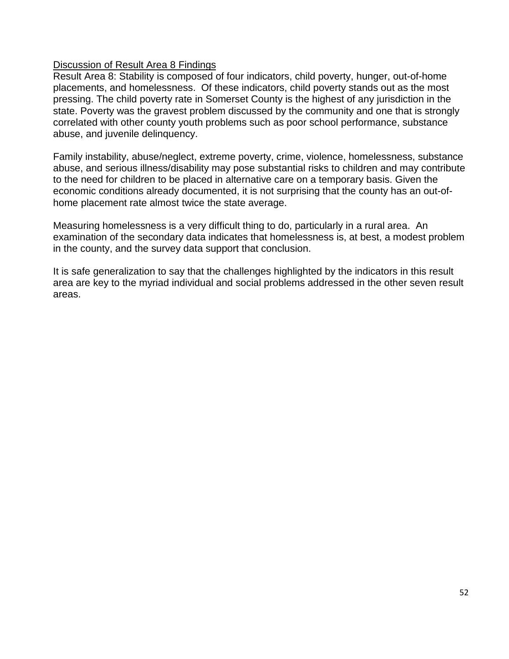### Discussion of Result Area 8 Findings

Result Area 8: Stability is composed of four indicators, child poverty, hunger, out-of-home placements, and homelessness. Of these indicators, child poverty stands out as the most pressing. The child poverty rate in Somerset County is the highest of any jurisdiction in the state. Poverty was the gravest problem discussed by the community and one that is strongly correlated with other county youth problems such as poor school performance, substance abuse, and juvenile delinquency.

Family instability, abuse/neglect, extreme poverty, crime, violence, homelessness, substance abuse, and serious illness/disability may pose substantial risks to children and may contribute to the need for children to be placed in alternative care on a temporary basis. Given the economic conditions already documented, it is not surprising that the county has an out-ofhome placement rate almost twice the state average.

Measuring homelessness is a very difficult thing to do, particularly in a rural area. An examination of the secondary data indicates that homelessness is, at best, a modest problem in the county, and the survey data support that conclusion.

It is safe generalization to say that the challenges highlighted by the indicators in this result area are key to the myriad individual and social problems addressed in the other seven result areas.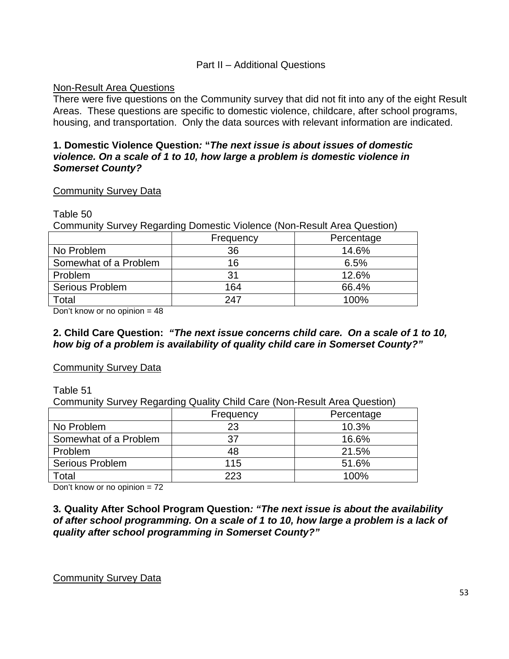#### Part II – Additional Questions

#### Non-Result Area Questions

There were five questions on the Community survey that did not fit into any of the eight Result Areas. These questions are specific to domestic violence, childcare, after school programs, housing, and transportation. Only the data sources with relevant information are indicated.

### **1. Domestic Violence Question***:* **"***The next issue is about issues of domestic violence. On a scale of 1 to 10, how large a problem is domestic violence in Somerset County?*

#### Community Survey Data

#### Table 50

Community Survey Regarding Domestic Violence (Non-Result Area Question)

|                        | Frequency | Percentage |
|------------------------|-----------|------------|
| No Problem             | 36        | 14.6%      |
| Somewhat of a Problem  | 16        | 6.5%       |
| Problem                |           | 12.6%      |
| <b>Serious Problem</b> | 164       | 66.4%      |
| Total                  | 247       | 100%       |

Don't know or no opinion  $= 48$ 

#### **2. Child Care Question:** *"The next issue concerns child care. On a scale of 1 to 10, how big of a problem is availability of quality child care in Somerset County?"*

### Community Survey Data

#### Table 51

Community Survey Regarding Quality Child Care (Non-Result Area Question)

|                        | Frequency | Percentage |
|------------------------|-----------|------------|
| No Problem             | 23        | 10.3%      |
| Somewhat of a Problem  | 37        | 16.6%      |
| Problem                |           | 21.5%      |
| <b>Serious Problem</b> | 115       | 51.6%      |
| Total                  | 223       | 100%       |

Don't know or no opinion = 72

**3***.* **Quality After School Program Question***: "The next issue is about the availability of after school programming. On a scale of 1 to 10, how large a problem is a lack of quality after school programming in Somerset County?"* 

Community Survey Data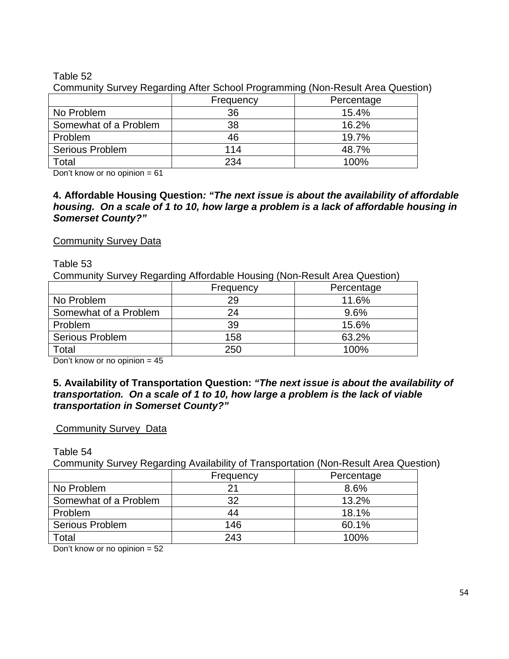### Table 52

|                        |           | ັັ         |
|------------------------|-----------|------------|
|                        | Frequency | Percentage |
| No Problem             | 36        | 15.4%      |
| Somewhat of a Problem  | 38        | 16.2%      |
| Problem                | 46        | 19.7%      |
| <b>Serious Problem</b> | 114       | 48.7%      |
| Total                  | 234       | 100%       |

Community Survey Regarding After School Programming (Non-Result Area Question)

Don't know or no opinion  $= 61$ 

**4. Affordable Housing Question***: "The next issue is about the availability of affordable housing. On a scale of 1 to 10, how large a problem is a lack of affordable housing in Somerset County?"* 

### **Community Survey Data**

Table 53

Community Survey Regarding Affordable Housing (Non-Result Area Question)

|                        | Frequency | Percentage |
|------------------------|-----------|------------|
| No Problem             | 29        | 11.6%      |
| Somewhat of a Problem  | 24        | 9.6%       |
| Problem                | 39        | 15.6%      |
| <b>Serious Problem</b> | 158       | 63.2%      |
| Total                  | 250       | 100%       |

Don't know or no opinion = 45

### **5. Availability of Transportation Question:** *"The next issue is about the availability of transportation. On a scale of 1 to 10, how large a problem is the lack of viable transportation in Somerset County?"*

### **Community Survey Data**

Table 54

Community Survey Regarding Availability of Transportation (Non-Result Area Question)

|                       | Frequency | Percentage |
|-----------------------|-----------|------------|
| No Problem            | っ         | 8.6%       |
| Somewhat of a Problem | 32        | 13.2%      |
| Problem               | 44        | 18.1%      |
| Serious Problem       | 146       | 60.1%      |
| Total                 | 243       | 100%       |
|                       |           |            |

Don't know or no opinion = 52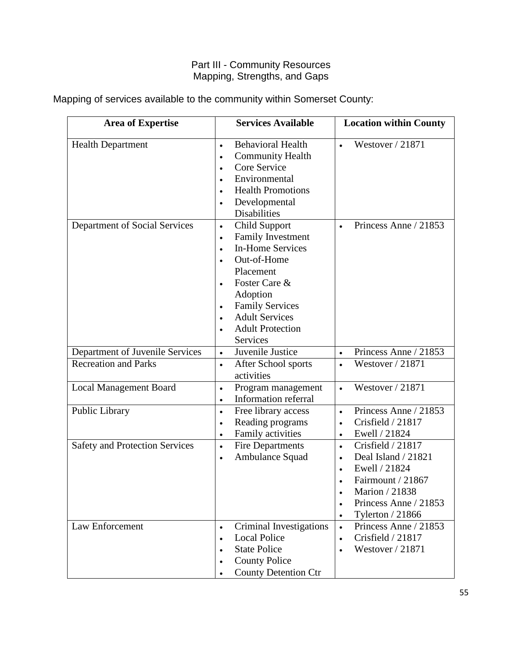# Part III - Community Resources Mapping, Strengths, and Gaps

| <b>Area of Expertise</b>              | <b>Services Available</b>                                                                                                                                                                                                                                                                                                 | <b>Location within County</b>                                                                                                                                                                                         |
|---------------------------------------|---------------------------------------------------------------------------------------------------------------------------------------------------------------------------------------------------------------------------------------------------------------------------------------------------------------------------|-----------------------------------------------------------------------------------------------------------------------------------------------------------------------------------------------------------------------|
| <b>Health Department</b>              | <b>Behavioral Health</b><br>$\bullet$<br><b>Community Health</b><br>$\bullet$<br>Core Service<br>$\bullet$<br>Environmental<br>$\bullet$<br><b>Health Promotions</b><br>Developmental<br>$\bullet$<br><b>Disabilities</b>                                                                                                 | Westover / 21871                                                                                                                                                                                                      |
| Department of Social Services         | <b>Child Support</b><br>$\bullet$<br>Family Investment<br>$\bullet$<br><b>In-Home Services</b><br>$\bullet$<br>Out-of-Home<br>Placement<br>Foster Care &<br>$\bullet$<br>Adoption<br><b>Family Services</b><br>$\bullet$<br><b>Adult Services</b><br>$\bullet$<br><b>Adult Protection</b><br>$\bullet$<br><b>Services</b> | Princess Anne / 21853                                                                                                                                                                                                 |
| Department of Juvenile Services       | Juvenile Justice<br>$\bullet$                                                                                                                                                                                                                                                                                             | Princess Anne / 21853<br>$\bullet$                                                                                                                                                                                    |
| <b>Recreation and Parks</b>           | After School sports<br>$\bullet$<br>activities                                                                                                                                                                                                                                                                            | Westover / 21871<br>$\bullet$                                                                                                                                                                                         |
| <b>Local Management Board</b>         | Program management<br>$\bullet$<br>Information referral<br>$\bullet$                                                                                                                                                                                                                                                      | Westover / 21871<br>$\bullet$                                                                                                                                                                                         |
| Public Library                        | Free library access<br>$\bullet$<br>Reading programs<br>$\bullet$<br>Family activities<br>$\bullet$                                                                                                                                                                                                                       | Princess Anne / 21853<br>$\bullet$<br>Crisfield / 21817<br>$\bullet$<br>Ewell / 21824<br>$\bullet$                                                                                                                    |
| <b>Safety and Protection Services</b> | <b>Fire Departments</b><br>$\bullet$<br>Ambulance Squad<br>$\bullet$                                                                                                                                                                                                                                                      | Crisfield / 21817<br>$\bullet$<br>Deal Island / 21821<br>$\bullet$<br>Ewell / 21824<br>$\bullet$<br>Fairmount / 21867<br>Marion / 21838<br>$\bullet$<br>Princess Anne / 21853<br>$\bullet$<br><b>Tylerton</b> / 21866 |
| Law Enforcement                       | Criminal Investigations<br>$\bullet$<br><b>Local Police</b><br>$\bullet$<br><b>State Police</b><br><b>County Police</b><br><b>County Detention Ctr</b>                                                                                                                                                                    | Princess Anne / 21853<br>$\bullet$<br>Crisfield / 21817<br>$\bullet$<br>Westover / 21871                                                                                                                              |

Mapping of services available to the community within Somerset County: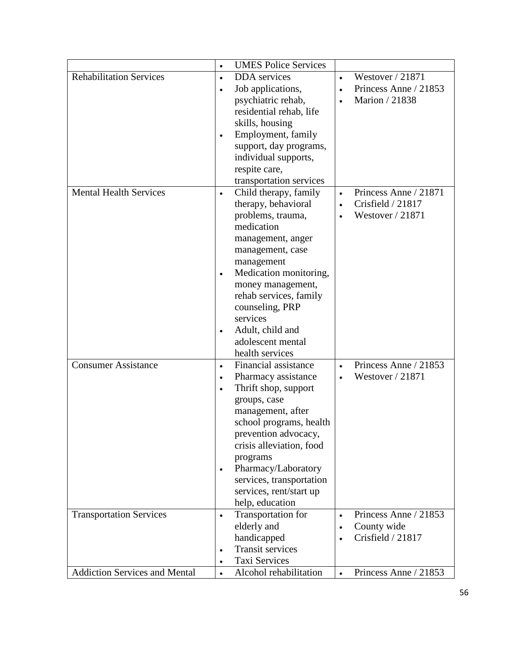|                                      | <b>UMES Police Services</b><br>$\bullet$                    |                                  |
|--------------------------------------|-------------------------------------------------------------|----------------------------------|
| <b>Rehabilitation Services</b>       | DDA services<br>$\bullet$                                   | Westover / 21871                 |
|                                      | Job applications,<br>$\bullet$<br>$\bullet$                 | Princess Anne / 21853            |
|                                      | psychiatric rehab,<br>$\bullet$                             | Marion / 21838                   |
|                                      | residential rehab, life                                     |                                  |
|                                      | skills, housing                                             |                                  |
|                                      | Employment, family<br>$\bullet$                             |                                  |
|                                      | support, day programs,                                      |                                  |
|                                      | individual supports,                                        |                                  |
|                                      | respite care,                                               |                                  |
|                                      | transportation services                                     |                                  |
| <b>Mental Health Services</b>        | Child therapy, family<br>$\bullet$                          | Princess Anne / 21871            |
|                                      | therapy, behavioral<br>$\bullet$                            | Crisfield / 21817                |
|                                      | problems, trauma,                                           | Westover / 21871                 |
|                                      | medication                                                  |                                  |
|                                      | management, anger                                           |                                  |
|                                      | management, case                                            |                                  |
|                                      | management                                                  |                                  |
|                                      | Medication monitoring,                                      |                                  |
|                                      | money management,                                           |                                  |
|                                      | rehab services, family                                      |                                  |
|                                      | counseling, PRP                                             |                                  |
|                                      | services                                                    |                                  |
|                                      | Adult, child and<br>$\bullet$                               |                                  |
|                                      | adolescent mental                                           |                                  |
|                                      | health services                                             |                                  |
| <b>Consumer Assistance</b>           | Financial assistance<br>$\bullet$<br>$\bullet$              | Princess Anne / 21853            |
|                                      | Pharmacy assistance<br>$\bullet$                            | Westover / 21871                 |
|                                      | Thrift shop, support<br>$\bullet$                           |                                  |
|                                      | groups, case                                                |                                  |
|                                      | management, after                                           |                                  |
|                                      | school programs, health                                     |                                  |
|                                      |                                                             |                                  |
|                                      | prevention advocacy,                                        |                                  |
|                                      | crisis alleviation, food                                    |                                  |
|                                      | programs                                                    |                                  |
|                                      | Pharmacy/Laboratory<br>$\bullet$                            |                                  |
|                                      | services, transportation<br>services, rent/start up         |                                  |
|                                      |                                                             |                                  |
|                                      | help, education                                             | Princess Anne / 21853            |
| <b>Transportation Services</b>       | Transportation for<br>$\bullet$<br>$\bullet$<br>elderly and |                                  |
|                                      | $\bullet$                                                   | County wide<br>Crisfield / 21817 |
|                                      | handicapped<br>$\bullet$<br><b>Transit services</b>         |                                  |
|                                      | $\bullet$                                                   |                                  |
| <b>Addiction Services and Mental</b> | Taxi Services<br>Alcohol rehabilitation                     |                                  |
|                                      | $\bullet$<br>$\bullet$                                      | Princess Anne / 21853            |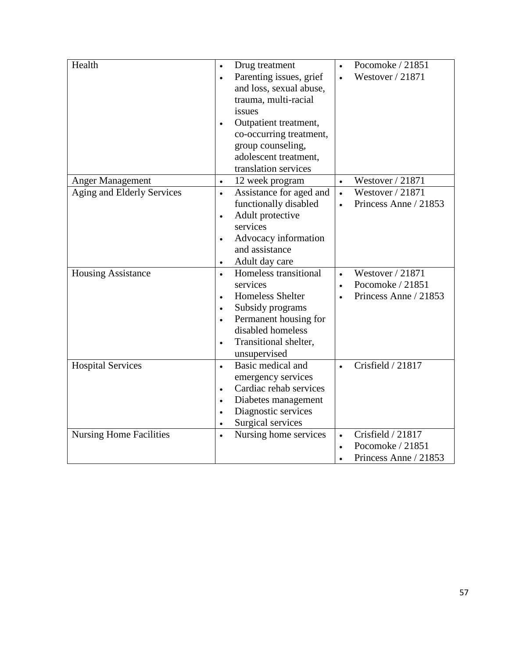| Health                                                     | Drug treatment<br>$\bullet$<br>Parenting issues, grief<br>$\bullet$<br>and loss, sexual abuse,<br>trauma, multi-racial<br>issues<br>Outpatient treatment,<br>$\bullet$<br>co-occurring treatment,<br>group counseling,<br>adolescent treatment,<br>translation services | Pocomoke / 21851<br>Westover / 21871                                                              |
|------------------------------------------------------------|-------------------------------------------------------------------------------------------------------------------------------------------------------------------------------------------------------------------------------------------------------------------------|---------------------------------------------------------------------------------------------------|
| <b>Anger Management</b>                                    | 12 week program                                                                                                                                                                                                                                                         | Westover / 21871                                                                                  |
| Aging and Elderly Services                                 | Assistance for aged and<br>$\bullet$<br>functionally disabled<br>Adult protective<br>services<br>Advocacy information<br>$\bullet$<br>and assistance<br>Adult day care<br>$\bullet$                                                                                     | Westover / 21871<br>$\bullet$<br>Princess Anne / 21853                                            |
| <b>Housing Assistance</b>                                  | Homeless transitional<br>services<br><b>Homeless Shelter</b><br>$\bullet$<br>Subsidy programs<br>$\bullet$<br>Permanent housing for<br>disabled homeless<br>Transitional shelter,<br>$\bullet$<br>unsupervised                                                          | Westover / 21871<br>Pocomoke / 21851<br>$\bullet$<br>Princess Anne / 21853                        |
| <b>Hospital Services</b><br><b>Nursing Home Facilities</b> | Basic medical and<br>$\bullet$<br>emergency services<br>Cardiac rehab services<br>$\bullet$<br>Diabetes management<br>Diagnostic services<br>Surgical services<br>$\bullet$<br>Nursing home services<br>$\bullet$                                                       | Crisfield / 21817<br>$\bullet$<br>Crisfield / 21817<br>$\bullet$<br>Pocomoke / 21851<br>$\bullet$ |
|                                                            |                                                                                                                                                                                                                                                                         | Princess Anne / 21853<br>$\bullet$                                                                |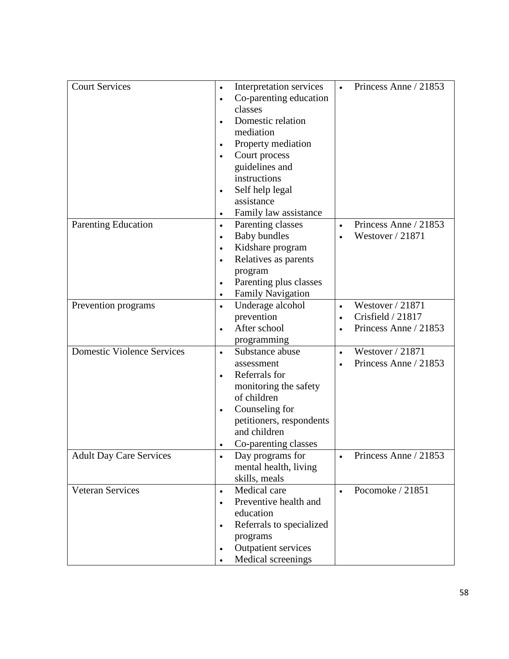| <b>Court Services</b>             | Interpretation services                    | Princess Anne / 21853 |
|-----------------------------------|--------------------------------------------|-----------------------|
|                                   | Co-parenting education                     |                       |
|                                   | classes                                    |                       |
|                                   | Domestic relation                          |                       |
|                                   | mediation                                  |                       |
|                                   |                                            |                       |
|                                   | Property mediation                         |                       |
|                                   | Court process                              |                       |
|                                   | guidelines and                             |                       |
|                                   | instructions                               |                       |
|                                   | Self help legal<br>$\bullet$<br>assistance |                       |
|                                   |                                            |                       |
|                                   | Family law assistance                      |                       |
| <b>Parenting Education</b>        | Parenting classes<br>$\bullet$             | Princess Anne / 21853 |
|                                   | <b>Baby bundles</b>                        | Westover / 21871      |
|                                   | Kidshare program                           |                       |
|                                   | Relatives as parents                       |                       |
|                                   | program                                    |                       |
|                                   | Parenting plus classes                     |                       |
|                                   | Family Navigation<br>$\bullet$             |                       |
| Prevention programs               | Underage alcohol<br>$\bullet$              | Westover / 21871      |
|                                   | prevention                                 | Crisfield / 21817     |
|                                   | After school<br>$\bullet$                  | Princess Anne / 21853 |
|                                   | programming                                |                       |
| <b>Domestic Violence Services</b> | Substance abuse<br>$\bullet$               | Westover / 21871      |
|                                   | assessment                                 | Princess Anne / 21853 |
|                                   | Referrals for<br>$\bullet$                 |                       |
|                                   | monitoring the safety                      |                       |
|                                   | of children                                |                       |
|                                   | Counseling for                             |                       |
|                                   | petitioners, respondents                   |                       |
|                                   | and children                               |                       |
|                                   | Co-parenting classes                       |                       |
| <b>Adult Day Care Services</b>    | Day programs for                           | Princess Anne / 21853 |
|                                   | mental health, living                      |                       |
|                                   | skills, meals                              |                       |
| <b>Veteran Services</b>           | Medical care<br>$\bullet$                  | Pocomoke / 21851      |
|                                   | Preventive health and                      |                       |
|                                   | education                                  |                       |
|                                   | Referrals to specialized<br>$\bullet$      |                       |
|                                   | programs                                   |                       |
|                                   | Outpatient services                        |                       |
|                                   | Medical screenings                         |                       |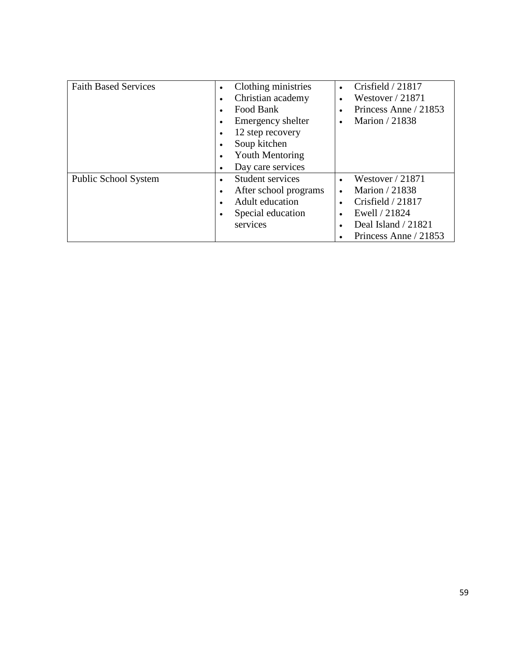| <b>Faith Based Services</b> | Clothing ministries<br>Christian academy<br>Food Bank                                                      | Crisfield / 21817<br>Westover $/ 21871$<br>Princess Anne / 21853                                                            |
|-----------------------------|------------------------------------------------------------------------------------------------------------|-----------------------------------------------------------------------------------------------------------------------------|
|                             | Emergency shelter<br>12 step recovery<br>Soup kitchen<br><b>Youth Mentoring</b><br>Day care services       | Marion / 21838                                                                                                              |
| <b>Public School System</b> | Student services<br>$\bullet$<br>After school programs<br>Adult education<br>Special education<br>services | Westover $/ 21871$<br>Marion / 21838<br>Crisfield $/21817$<br>Ewell / 21824<br>Deal Island / 21821<br>Princess Anne / 21853 |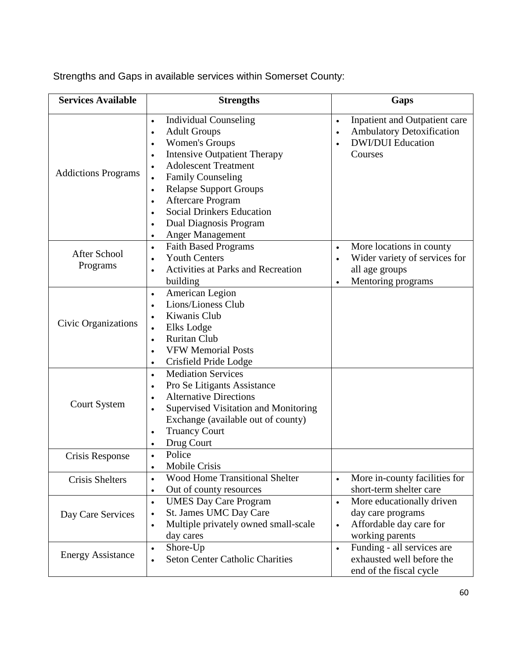Strengths and Gaps in available services within Somerset County:

| <b>Services Available</b>       | <b>Strengths</b>                                                                                                                                                                                                                                                                                                                                                                                                                                                             | Gaps                                                                                                                                     |
|---------------------------------|------------------------------------------------------------------------------------------------------------------------------------------------------------------------------------------------------------------------------------------------------------------------------------------------------------------------------------------------------------------------------------------------------------------------------------------------------------------------------|------------------------------------------------------------------------------------------------------------------------------------------|
| <b>Addictions Programs</b>      | <b>Individual Counseling</b><br>$\bullet$<br><b>Adult Groups</b><br>$\bullet$<br><b>Women's Groups</b><br>$\bullet$<br><b>Intensive Outpatient Therapy</b><br>$\bullet$<br><b>Adolescent Treatment</b><br>$\bullet$<br><b>Family Counseling</b><br>$\bullet$<br><b>Relapse Support Groups</b><br>$\bullet$<br><b>Aftercare Program</b><br>$\bullet$<br><b>Social Drinkers Education</b><br>$\bullet$<br>Dual Diagnosis Program<br>$\bullet$<br>Anger Management<br>$\bullet$ | Inpatient and Outpatient care<br>$\bullet$<br><b>Ambulatory Detoxification</b><br>$\bullet$<br><b>DWI/DUI</b> Education<br>Courses       |
| <b>After School</b><br>Programs | <b>Faith Based Programs</b><br>$\bullet$<br><b>Youth Centers</b><br>$\bullet$<br><b>Activities at Parks and Recreation</b><br>building                                                                                                                                                                                                                                                                                                                                       | More locations in county<br>$\bullet$<br>Wider variety of services for<br>$\bullet$<br>all age groups<br>Mentoring programs<br>$\bullet$ |
| Civic Organizations             | American Legion<br>$\bullet$<br>Lions/Lioness Club<br>$\bullet$<br>Kiwanis Club<br>$\bullet$<br>Elks Lodge<br>$\bullet$<br><b>Ruritan Club</b><br>$\bullet$<br><b>VFW Memorial Posts</b><br>$\bullet$<br>Crisfield Pride Lodge<br>$\bullet$                                                                                                                                                                                                                                  |                                                                                                                                          |
| <b>Court System</b>             | <b>Mediation Services</b><br>$\bullet$<br>Pro Se Litigants Assistance<br>$\bullet$<br><b>Alternative Directions</b><br>$\bullet$<br>Supervised Visitation and Monitoring<br>$\bullet$<br>Exchange (available out of county)<br><b>Truancy Court</b><br>$\bullet$<br>Drug Court<br>$\bullet$                                                                                                                                                                                  |                                                                                                                                          |
| Crisis Response                 | Police<br>$\bullet$<br>Mobile Crisis<br>$\bullet$                                                                                                                                                                                                                                                                                                                                                                                                                            |                                                                                                                                          |
| <b>Crisis Shelters</b>          | <b>Wood Home Transitional Shelter</b><br>$\bullet$<br>Out of county resources<br>$\bullet$                                                                                                                                                                                                                                                                                                                                                                                   | More in-county facilities for<br>$\bullet$<br>short-term shelter care                                                                    |
| Day Care Services               | <b>UMES Day Care Program</b><br>$\bullet$<br>St. James UMC Day Care<br>$\bullet$<br>Multiple privately owned small-scale<br>$\bullet$<br>day cares                                                                                                                                                                                                                                                                                                                           | More educationally driven<br>$\bullet$<br>day care programs<br>Affordable day care for<br>$\bullet$<br>working parents                   |
| <b>Energy Assistance</b>        | Shore-Up<br>$\bullet$<br><b>Seton Center Catholic Charities</b><br>$\bullet$                                                                                                                                                                                                                                                                                                                                                                                                 | Funding - all services are<br>$\bullet$<br>exhausted well before the<br>end of the fiscal cycle                                          |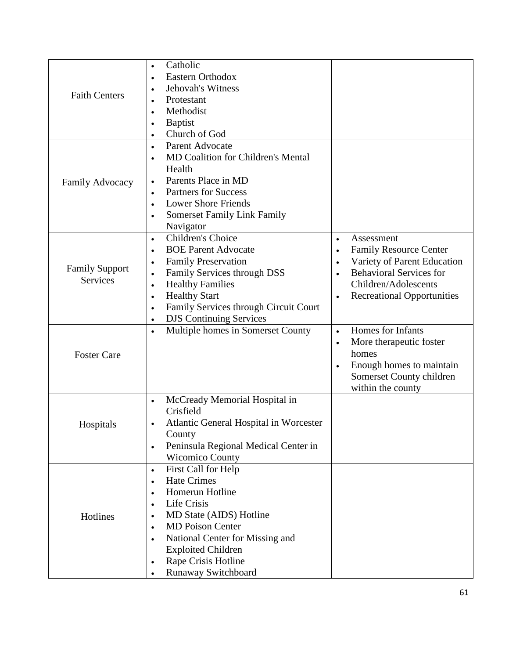| <b>Faith Centers</b><br>Family Advocacy  | Catholic<br>$\bullet$<br>Eastern Orthodox<br>$\bullet$<br>Jehovah's Witness<br>$\bullet$<br>Protestant<br>$\bullet$<br>Methodist<br>$\bullet$<br><b>Baptist</b><br>$\bullet$<br>Church of God<br>$\bullet$<br>Parent Advocate<br>$\bullet$<br><b>MD Coalition for Children's Mental</b><br>$\bullet$<br>Health<br>Parents Place in MD<br>$\bullet$           |                                                                                                                                                                                                     |
|------------------------------------------|--------------------------------------------------------------------------------------------------------------------------------------------------------------------------------------------------------------------------------------------------------------------------------------------------------------------------------------------------------------|-----------------------------------------------------------------------------------------------------------------------------------------------------------------------------------------------------|
|                                          | <b>Partners for Success</b><br>$\bullet$<br><b>Lower Shore Friends</b><br>$\bullet$<br><b>Somerset Family Link Family</b><br>$\bullet$<br>Navigator                                                                                                                                                                                                          |                                                                                                                                                                                                     |
| <b>Family Support</b><br><b>Services</b> | Children's Choice<br>$\bullet$<br><b>BOE Parent Advocate</b><br>$\bullet$<br><b>Family Preservation</b><br>$\bullet$<br>Family Services through DSS<br>$\bullet$<br><b>Healthy Families</b><br>$\bullet$<br><b>Healthy Start</b><br>$\bullet$<br>Family Services through Circuit Court<br>$\bullet$<br><b>DJS Continuing Services</b><br>$\bullet$           | Assessment<br>$\bullet$<br><b>Family Resource Center</b><br>$\bullet$<br>Variety of Parent Education<br><b>Behavioral Services for</b><br>Children/Adolescents<br><b>Recreational Opportunities</b> |
| <b>Foster Care</b>                       | Multiple homes in Somerset County<br>$\bullet$                                                                                                                                                                                                                                                                                                               | Homes for Infants<br>$\bullet$<br>More therapeutic foster<br>homes<br>Enough homes to maintain<br>$\bullet$<br>Somerset County children<br>within the county                                        |
| Hospitals                                | McCready Memorial Hospital in<br>$\bullet$<br>Crisfield<br>Atlantic General Hospital in Worcester<br>$\bullet$<br>County<br>Peninsula Regional Medical Center in<br>$\bullet$<br><b>Wicomico County</b>                                                                                                                                                      |                                                                                                                                                                                                     |
| Hotlines                                 | First Call for Help<br>$\bullet$<br><b>Hate Crimes</b><br>$\bullet$<br>Homerun Hotline<br>$\bullet$<br>Life Crisis<br>$\bullet$<br>MD State (AIDS) Hotline<br>$\bullet$<br><b>MD</b> Poison Center<br>$\bullet$<br>National Center for Missing and<br>$\bullet$<br><b>Exploited Children</b><br>Rape Crisis Hotline<br>$\bullet$<br>Runaway Switchboard<br>٠ |                                                                                                                                                                                                     |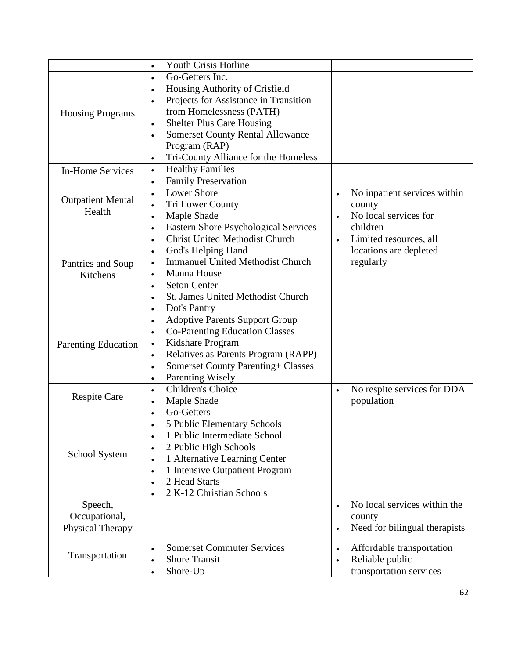|                            | <b>Youth Crisis Hotline</b><br>$\bullet$                 |                                           |
|----------------------------|----------------------------------------------------------|-------------------------------------------|
|                            | Go-Getters Inc.<br>$\bullet$                             |                                           |
|                            | Housing Authority of Crisfield<br>$\bullet$              |                                           |
|                            | Projects for Assistance in Transition<br>$\bullet$       |                                           |
| <b>Housing Programs</b>    | from Homelessness (PATH)                                 |                                           |
|                            | <b>Shelter Plus Care Housing</b><br>$\bullet$            |                                           |
|                            | <b>Somerset County Rental Allowance</b><br>$\bullet$     |                                           |
|                            | Program (RAP)                                            |                                           |
|                            | Tri-County Alliance for the Homeless<br>$\bullet$        |                                           |
| <b>In-Home Services</b>    | <b>Healthy Families</b><br>$\bullet$                     |                                           |
|                            | <b>Family Preservation</b><br>$\bullet$                  |                                           |
|                            | <b>Lower Shore</b><br>$\bullet$                          | No inpatient services within<br>$\bullet$ |
| <b>Outpatient Mental</b>   | Tri Lower County<br>$\bullet$                            | county                                    |
| Health                     | Maple Shade<br>$\bullet$                                 | No local services for<br>$\bullet$        |
|                            | <b>Eastern Shore Psychological Services</b><br>$\bullet$ | children                                  |
|                            | <b>Christ United Methodist Church</b><br>$\bullet$       | Limited resources, all<br>$\bullet$       |
|                            | God's Helping Hand<br>$\bullet$                          | locations are depleted                    |
| Pantries and Soup          | <b>Immanuel United Methodist Church</b><br>$\bullet$     | regularly                                 |
| Kitchens                   | Manna House<br>$\bullet$                                 |                                           |
|                            | <b>Seton Center</b><br>$\bullet$                         |                                           |
|                            | <b>St. James United Methodist Church</b><br>$\bullet$    |                                           |
|                            | Dot's Pantry<br>$\bullet$                                |                                           |
|                            | <b>Adoptive Parents Support Group</b><br>$\bullet$       |                                           |
|                            | <b>Co-Parenting Education Classes</b><br>$\bullet$       |                                           |
| <b>Parenting Education</b> | Kidshare Program<br>$\bullet$                            |                                           |
|                            | Relatives as Parents Program (RAPP)<br>$\bullet$         |                                           |
|                            | <b>Somerset County Parenting+ Classes</b><br>$\bullet$   |                                           |
|                            | Parenting Wisely<br>$\bullet$                            |                                           |
| <b>Respite Care</b>        | Children's Choice<br>$\bullet$                           | No respite services for DDA<br>$\bullet$  |
|                            | Maple Shade<br>$\bullet$                                 | population                                |
|                            | Go-Getters<br>$\bullet$                                  |                                           |
|                            | 5 Public Elementary Schools<br>$\bullet$                 |                                           |
|                            | 1 Public Intermediate School<br>$\bullet$                |                                           |
| School System              | 2 Public High Schools<br>$\bullet$                       |                                           |
|                            | 1 Alternative Learning Center<br>$\bullet$               |                                           |
|                            | 1 Intensive Outpatient Program<br>$\bullet$              |                                           |
|                            | 2 Head Starts<br>$\bullet$                               |                                           |
|                            | 2 K-12 Christian Schools<br>$\bullet$                    |                                           |
| Speech,                    |                                                          | No local services within the<br>$\bullet$ |
| Occupational,              |                                                          | county                                    |
| Physical Therapy           |                                                          | Need for bilingual therapists             |
|                            | <b>Somerset Commuter Services</b><br>$\bullet$           | Affordable transportation<br>$\bullet$    |
| Transportation             | <b>Shore Transit</b><br>$\bullet$                        | Reliable public<br>$\bullet$              |
|                            | Shore-Up<br>$\bullet$                                    | transportation services                   |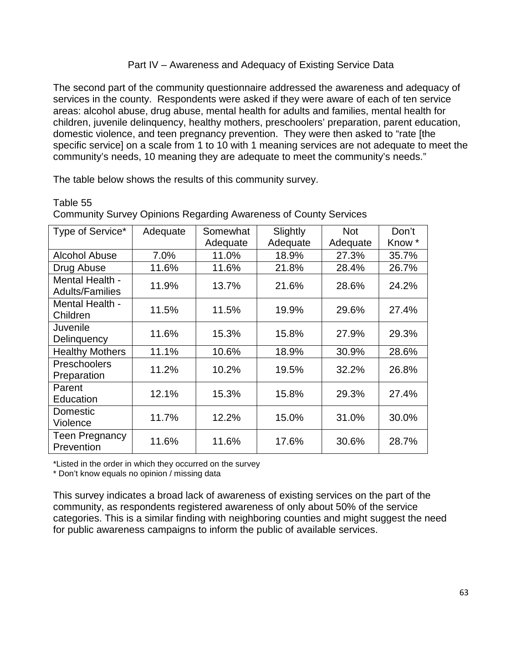### Part IV – Awareness and Adequacy of Existing Service Data

The second part of the community questionnaire addressed the awareness and adequacy of services in the county. Respondents were asked if they were aware of each of ten service areas: alcohol abuse, drug abuse, mental health for adults and families, mental health for children, juvenile delinquency, healthy mothers, preschoolers' preparation, parent education, domestic violence, and teen pregnancy prevention. They were then asked to "rate [the specific service] on a scale from 1 to 10 with 1 meaning services are not adequate to meet the community's needs, 10 meaning they are adequate to meet the community's needs."

The table below shows the results of this community survey.

### Table 55

| Type of Service*                          | Adequate | Somewhat | Slightly | <b>Not</b> | Don't  |
|-------------------------------------------|----------|----------|----------|------------|--------|
|                                           |          | Adequate | Adequate | Adequate   | Know * |
| <b>Alcohol Abuse</b>                      | 7.0%     | 11.0%    | 18.9%    | 27.3%      | 35.7%  |
| Drug Abuse                                | 11.6%    | 11.6%    | 21.8%    | 28.4%      | 26.7%  |
| Mental Health -<br><b>Adults/Families</b> | 11.9%    | 13.7%    | 21.6%    | 28.6%      | 24.2%  |
| Mental Health -<br>Children               | 11.5%    | 11.5%    | 19.9%    | 29.6%      | 27.4%  |
| Juvenile<br>Delinquency                   | 11.6%    | 15.3%    | 15.8%    | 27.9%      | 29.3%  |
| <b>Healthy Mothers</b>                    | 11.1%    | 10.6%    | 18.9%    | 30.9%      | 28.6%  |
| Preschoolers<br>Preparation               | 11.2%    | 10.2%    | 19.5%    | 32.2%      | 26.8%  |
| Parent<br>Education                       | 12.1%    | 15.3%    | 15.8%    | 29.3%      | 27.4%  |
| Domestic<br>Violence                      | 11.7%    | 12.2%    | 15.0%    | 31.0%      | 30.0%  |
| <b>Teen Pregnancy</b><br>Prevention       | 11.6%    | 11.6%    | 17.6%    | 30.6%      | 28.7%  |

Community Survey Opinions Regarding Awareness of County Services

\*Listed in the order in which they occurred on the survey

\* Don't know equals no opinion / missing data

This survey indicates a broad lack of awareness of existing services on the part of the community, as respondents registered awareness of only about 50% of the service categories. This is a similar finding with neighboring counties and might suggest the need for public awareness campaigns to inform the public of available services.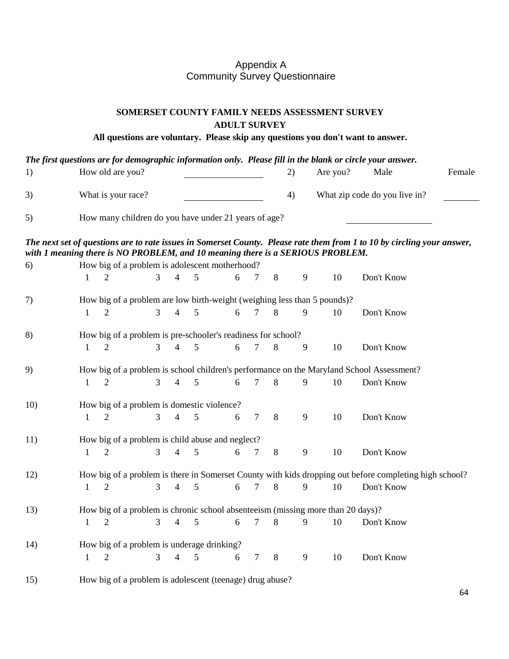### Appendix A Community Survey Questionnaire

### **SOMERSET COUNTY FAMILY NEEDS ASSESSMENT SURVEY ADULT SURVEY**

**All questions are voluntary. Please skip any questions you don't want to answer.**

|     |              |                                                              |                |                |   |   |                |         |              |                                                                                 | The first questions are for demographic information only. Please fill in the blank or circle your answer.               |        |
|-----|--------------|--------------------------------------------------------------|----------------|----------------|---|---|----------------|---------|--------------|---------------------------------------------------------------------------------|-------------------------------------------------------------------------------------------------------------------------|--------|
| 1)  |              | How old are you?                                             |                |                |   |   |                |         | 2)           | Are you?                                                                        | Male                                                                                                                    | Female |
| 3)  |              | What is your race?                                           |                |                |   |   |                |         | 4)           |                                                                                 | What zip code do you live in?                                                                                           |        |
| 5)  |              | How many children do you have under 21 years of age?         |                |                |   |   |                |         |              |                                                                                 |                                                                                                                         |        |
|     |              |                                                              |                |                |   |   |                |         |              | with 1 meaning there is NO PROBLEM, and 10 meaning there is a SERIOUS PROBLEM.  | The next set of questions are to rate issues in Somerset County. Please rate them from 1 to 10 by circling your answer, |        |
| 6)  |              | How big of a problem is adolescent motherhood?               |                |                |   |   |                |         |              |                                                                                 |                                                                                                                         |        |
|     | $\mathbf{1}$ | 2                                                            | $\overline{3}$ | $\overline{4}$ | 5 | 6 | $\overline{7}$ | $\,8\,$ | $\mathbf{9}$ | $10\,$                                                                          | Don't Know                                                                                                              |        |
| 7)  |              |                                                              |                |                |   |   |                |         |              | How big of a problem are low birth-weight (weighing less than 5 pounds)?        |                                                                                                                         |        |
|     | $\mathbf{1}$ | $\overline{2}$                                               | $\overline{3}$ | $\overline{4}$ | 5 | 6 | $\tau$         | $8\,$   | 9            | 10                                                                              | Don't Know                                                                                                              |        |
| 8)  |              | How big of a problem is pre-schooler's readiness for school? |                |                |   |   |                |         |              |                                                                                 |                                                                                                                         |        |
|     | $\mathbf{1}$ | $\overline{2}$                                               | $\overline{3}$ | $\overline{4}$ | 5 | 6 | $\overline{7}$ | $8\,$   | 9            | 10                                                                              | Don't Know                                                                                                              |        |
| 9)  |              |                                                              |                |                |   |   |                |         |              |                                                                                 | How big of a problem is school children's performance on the Maryland School Assessment?                                |        |
|     | $\mathbf{1}$ | $\overline{2}$                                               | $\overline{3}$ | $\overline{4}$ | 5 | 6 | $\overline{7}$ | $\,8\,$ | 9            | 10                                                                              | Don't Know                                                                                                              |        |
| 10) |              | How big of a problem is domestic violence?                   |                |                |   |   |                |         |              |                                                                                 |                                                                                                                         |        |
|     | $\mathbf{1}$ | $\overline{2}$                                               | $\overline{3}$ | $\overline{4}$ | 5 | 6 | $\tau$         | $8\,$   | 9            | 10                                                                              | Don't Know                                                                                                              |        |
| 11) |              | How big of a problem is child abuse and neglect?             |                |                |   |   |                |         |              |                                                                                 |                                                                                                                         |        |
|     | $\mathbf{1}$ | $\overline{2}$                                               | $\overline{3}$ | $\overline{4}$ | 5 | 6 | $\overline{7}$ | $\,8\,$ | 9            | 10                                                                              | Don't Know                                                                                                              |        |
| 12) |              |                                                              |                |                |   |   |                |         |              |                                                                                 | How big of a problem is there in Somerset County with kids dropping out before completing high school?                  |        |
|     | $\mathbf{1}$ | $\overline{2}$                                               | 3              | $\overline{4}$ | 5 | 6 | $\overline{7}$ | $8\,$   | 9            | $10\,$                                                                          | Don't Know                                                                                                              |        |
| 13) |              |                                                              |                |                |   |   |                |         |              | How big of a problem is chronic school absenteeism (missing more than 20 days)? |                                                                                                                         |        |
|     | $\mathbf{1}$ | $\overline{2}$                                               | 3              | 4              | 5 | 6 | $\overline{7}$ | 8       | 9            | 10                                                                              | Don't Know                                                                                                              |        |
| 14) |              | How big of a problem is underage drinking?                   |                |                |   |   |                |         |              |                                                                                 |                                                                                                                         |        |
|     | $\mathbf{1}$ | $\overline{2}$                                               | 3              | $\overline{4}$ | 5 | 6 | $\tau$         | 8       | 9            | 10                                                                              | Don't Know                                                                                                              |        |
| 15) |              | How big of a problem is adolescent (teenage) drug abuse?     |                |                |   |   |                |         |              |                                                                                 |                                                                                                                         |        |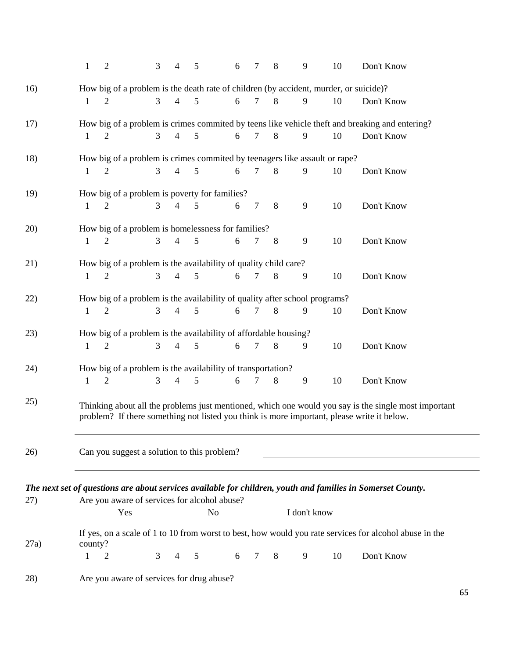|      | $\mathbf{1}$ | $\overline{2}$ | 3                                                                          | 4                        | 5               | 6 | 7              | 8              | 9            | 10 | Don't Know                                                                                                                                                                                         |
|------|--------------|----------------|----------------------------------------------------------------------------|--------------------------|-----------------|---|----------------|----------------|--------------|----|----------------------------------------------------------------------------------------------------------------------------------------------------------------------------------------------------|
| 16)  |              |                |                                                                            |                          |                 |   |                |                |              |    | How big of a problem is the death rate of children (by accident, murder, or suicide)?                                                                                                              |
|      | 1            | 2              | 3                                                                          | $\overline{4}$           | 5               | 6 | 7              | 8              | 9            | 10 | Don't Know                                                                                                                                                                                         |
| 17)  |              |                |                                                                            |                          |                 |   |                |                |              |    | How big of a problem is crimes commited by teens like vehicle theft and breaking and entering?                                                                                                     |
|      | $\mathbf{1}$ | $\overline{2}$ | $\mathfrak{Z}$                                                             | $\overline{4}$           | 5               | 6 | $\overline{7}$ | $8\phantom{.}$ | 9            | 10 | Don't Know                                                                                                                                                                                         |
| 18)  |              |                | How big of a problem is crimes commited by teenagers like assault or rape? |                          |                 |   |                |                |              |    |                                                                                                                                                                                                    |
|      | 1            | 2              | 3                                                                          | $\overline{4}$           | 5               | 6 | 7              | 8              | 9            | 10 | Don't Know                                                                                                                                                                                         |
| 19)  |              |                | How big of a problem is poverty for families?                              |                          |                 |   |                |                |              |    |                                                                                                                                                                                                    |
|      | $\mathbf{1}$ | $\overline{2}$ | $\mathfrak{Z}$                                                             | $\overline{4}$           | 5               | 6 | 7              | 8              | 9            | 10 | Don't Know                                                                                                                                                                                         |
| 20)  |              |                | How big of a problem is homelessness for families?                         |                          |                 |   |                |                |              |    |                                                                                                                                                                                                    |
|      | 1            | $\overline{2}$ | $\overline{3}$                                                             | 4                        | 5               | 6 | 7              | 8              | 9            | 10 | Don't Know                                                                                                                                                                                         |
| 21)  |              |                | How big of a problem is the availability of quality child care?            |                          |                 |   |                |                |              |    |                                                                                                                                                                                                    |
|      | $\mathbf{1}$ | $\overline{2}$ | $\overline{3}$                                                             | $\overline{4}$           | 5               | 6 | $\tau$         | 8              | 9            | 10 | Don't Know                                                                                                                                                                                         |
| 22)  |              |                | How big of a problem is the availability of quality after school programs? |                          |                 |   |                |                |              |    |                                                                                                                                                                                                    |
|      | 1            | $\overline{2}$ | $\overline{3}$                                                             | 4                        | 5               | 6 | 7              | 8              | 9            | 10 | Don't Know                                                                                                                                                                                         |
| 23)  |              |                | How big of a problem is the availability of affordable housing?            |                          |                 |   |                |                |              |    |                                                                                                                                                                                                    |
|      | $\mathbf{1}$ | $\overline{2}$ | $\overline{3}$                                                             | $\overline{4}$           | 5               | 6 | 7              | $\,8\,$        | 9            | 10 | Don't Know                                                                                                                                                                                         |
| 24)  |              |                | How big of a problem is the availability of transportation?                |                          |                 |   |                |                |              |    |                                                                                                                                                                                                    |
|      | 1            | $\overline{2}$ | 3                                                                          | $\overline{\mathcal{A}}$ | 5               | 6 | 7              | 8              | 9            | 10 | Don't Know                                                                                                                                                                                         |
| 25)  |              |                |                                                                            |                          |                 |   |                |                |              |    | Thinking about all the problems just mentioned, which one would you say is the single most important<br>problem? If there something not listed you think is more important, please write it below. |
| 26)  |              |                | Can you suggest a solution to this problem?                                |                          |                 |   |                |                |              |    |                                                                                                                                                                                                    |
|      |              |                |                                                                            |                          |                 |   |                |                |              |    |                                                                                                                                                                                                    |
| 27)  |              |                | Are you aware of services for alcohol abuse?                               |                          |                 |   |                |                |              |    | The next set of questions are about services available for children, youth and families in Somerset County.                                                                                        |
|      |              | Yes            |                                                                            |                          | N <sub>o</sub>  |   |                |                | I don't know |    |                                                                                                                                                                                                    |
| 27a) | county?      |                |                                                                            |                          |                 |   |                |                |              |    | If yes, on a scale of 1 to 10 from worst to best, how would you rate services for alcohol abuse in the                                                                                             |
|      | 1            | $\overline{2}$ | $\mathfrak{Z}$                                                             | 4                        | $5\overline{5}$ | 6 | $\overline{7}$ | 8              | 9            | 10 | Don't Know                                                                                                                                                                                         |
| 28)  |              |                | Are you aware of services for drug abuse?                                  |                          |                 |   |                |                |              |    |                                                                                                                                                                                                    |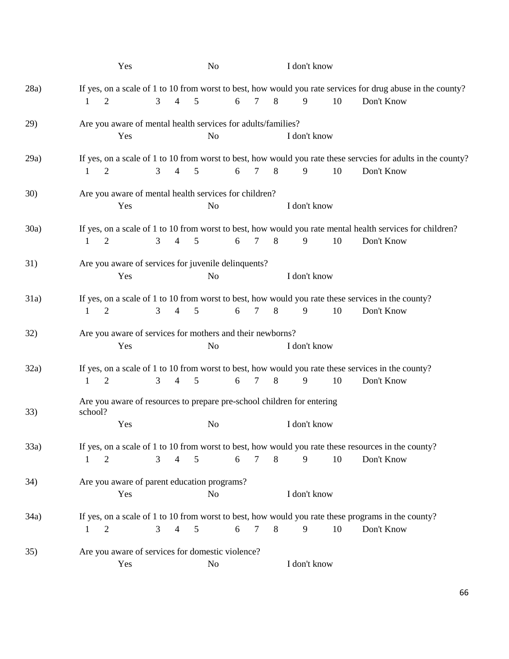|             | Yes                                                                                                |                                                                     |  | N <sub>o</sub> |                |   |                |   |                | I don't know |                                                                                        |    |                                                                                                                             |
|-------------|----------------------------------------------------------------------------------------------------|---------------------------------------------------------------------|--|----------------|----------------|---|----------------|---|----------------|--------------|----------------------------------------------------------------------------------------|----|-----------------------------------------------------------------------------------------------------------------------------|
| 28a)        | 1                                                                                                  | 2                                                                   |  | 3              | $\overline{4}$ | 5 |                | 6 | $\tau$         | 8            | 9                                                                                      | 10 | If yes, on a scale of 1 to 10 from worst to best, how would you rate services for drug abuse in the county?<br>Don't Know   |
| 29)         |                                                                                                    | Are you aware of mental health services for adults/families?<br>Yes |  |                |                |   | N <sub>o</sub> |   |                |              | I don't know                                                                           |    |                                                                                                                             |
| 29a)        | 1                                                                                                  | 2                                                                   |  | 3              | $\overline{4}$ | 5 |                | 6 | $\tau$         | 8            | 9                                                                                      | 10 | If yes, on a scale of 1 to 10 from worst to best, how would you rate these serveies for adults in the county?<br>Don't Know |
| <b>30</b> ) |                                                                                                    | Are you aware of mental health services for children?<br>Yes        |  |                |                |   | N <sub>o</sub> |   |                |              | I don't know                                                                           |    |                                                                                                                             |
| 30a)        | 1                                                                                                  | 2                                                                   |  | 3              | $\overline{4}$ | 5 |                | 6 | $\tau$         | 8            | 9                                                                                      | 10 | If yes, on a scale of 1 to 10 from worst to best, how would you rate mental health services for children?<br>Don't Know     |
| 31)         |                                                                                                    | Are you aware of services for juvenile delinquents?<br>Yes          |  |                |                |   | N <sub>o</sub> |   |                |              | I don't know                                                                           |    |                                                                                                                             |
| 31a)        | 1                                                                                                  | 2                                                                   |  | 3              | $\overline{4}$ | 5 |                | 6 | $\overline{7}$ | 8            | 9                                                                                      | 10 | If yes, on a scale of 1 to 10 from worst to best, how would you rate these services in the county?<br>Don't Know            |
| 32)         | Are you aware of services for mothers and their newborns?<br>I don't know<br>Yes<br>N <sub>o</sub> |                                                                     |  |                |                |   |                |   |                |              |                                                                                        |    |                                                                                                                             |
| 32a)        | 1                                                                                                  | 2                                                                   |  | 3              | $\overline{4}$ | 5 |                | 6 | $\tau$         | 8            | 9                                                                                      | 10 | If yes, on a scale of 1 to 10 from worst to best, how would you rate these services in the county?<br>Don't Know            |
| 33)         | school?                                                                                            | Yes                                                                 |  |                |                |   | N <sub>o</sub> |   |                |              | Are you aware of resources to prepare pre-school children for entering<br>I don't know |    |                                                                                                                             |
| 33a)        | 1                                                                                                  | 2                                                                   |  | 3              | $\overline{4}$ | 5 |                | 6 | $\overline{7}$ | 8            | 9                                                                                      | 10 | If yes, on a scale of 1 to 10 from worst to best, how would you rate these resources in the county?<br>Don't Know           |
| 34)         |                                                                                                    | Are you aware of parent education programs?<br>Yes                  |  |                |                |   | N <sub>o</sub> |   |                |              | I don't know                                                                           |    |                                                                                                                             |
| 34a)        | 1                                                                                                  | 2                                                                   |  | 3              | 4              | 5 |                | 6 | $\tau$         | 8            | 9                                                                                      | 10 | If yes, on a scale of 1 to 10 from worst to best, how would you rate these programs in the county?<br>Don't Know            |
| 35)         |                                                                                                    | Are you aware of services for domestic violence?<br>Yes             |  |                |                |   | No             |   |                |              | I don't know                                                                           |    |                                                                                                                             |

66